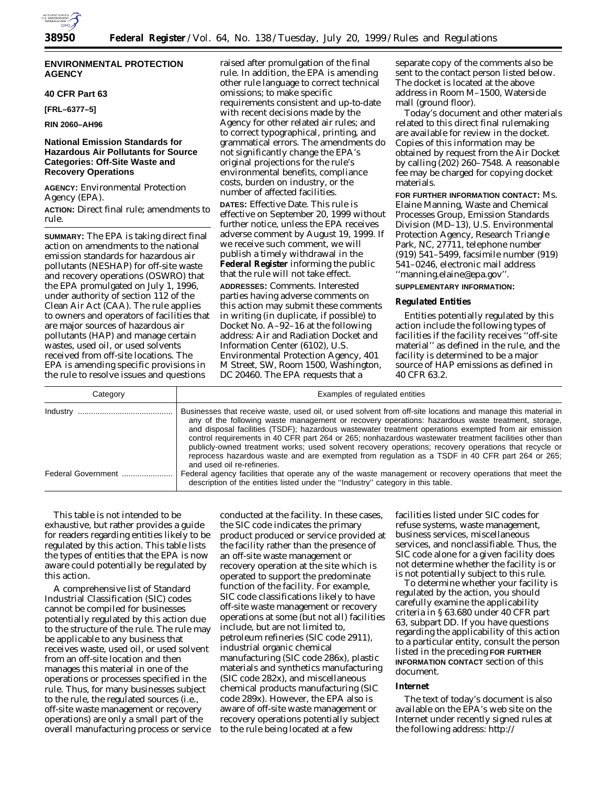

# **ENVIRONMENTAL PROTECTION AGENCY**

## **40 CFR Part 63**

**[FRL–6377–5]**

**RIN 2060–AH96**

# **National Emission Standards for Hazardous Air Pollutants for Source Categories: Off-Site Waste and Recovery Operations**

**AGENCY:** Environmental Protection Agency (EPA).

**ACTION:** Direct final rule; amendments to rule.

**SUMMARY:** The EPA is taking direct final action on amendments to the national emission standards for hazardous air pollutants (NESHAP) for off-site waste and recovery operations (OSWRO) that the EPA promulgated on July 1, 1996, under authority of section 112 of the Clean Air Act (CAA). The rule applies to owners and operators of facilities that are major sources of hazardous air pollutants (HAP) and manage certain wastes, used oil, or used solvents received from off-site locations. The EPA is amending specific provisions in the rule to resolve issues and questions

raised after promulgation of the final rule. In addition, the EPA is amending other rule language to correct technical omissions; to make specific requirements consistent and up-to-date with recent decisions made by the Agency for other related air rules; and to correct typographical, printing, and grammatical errors. The amendments do not significantly change the EPA's original projections for the rule's environmental benefits, compliance costs, burden on industry, or the number of affected facilities.

**DATES:** Effective Date. This rule is effective on September 20, 1999 without further notice, unless the EPA receives adverse comment by August 19, 1999. If we receive such comment, we will publish a timely withdrawal in the **Federal Register** informing the public that the rule will not take effect.

**ADDRESSES:** Comments. Interested parties having adverse comments on this action may submit these comments in writing (in duplicate, if possible) to Docket No. A–92–16 at the following address: Air and Radiation Docket and Information Center (6102), U.S. Environmental Protection Agency, 401 M Street, SW, Room 1500, Washington, DC 20460. The EPA requests that a

separate copy of the comments also be sent to the contact person listed below. The docket is located at the above address in Room M–1500, Waterside mall (ground floor).

Today's document and other materials related to this direct final rulemaking are available for review in the docket. Copies of this information may be obtained by request from the Air Docket by calling (202) 260–7548. A reasonable fee may be charged for copying docket materials.

**FOR FURTHER INFORMATION CONTACT:** Ms. Elaine Manning, Waste and Chemical Processes Group, Emission Standards Division (MD–13), U.S. Environmental Protection Agency, Research Triangle Park, NC, 27711, telephone number (919) 541–5499, facsimile number (919) 541–0246, electronic mail address ''manning.elaine@epa.gov''.

#### **SUPPLEMENTARY INFORMATION:**

#### **Regulated Entities**

Entities potentially regulated by this action include the following types of facilities if the facility receives ''off-site material'' as defined in the rule, and the facility is determined to be a major source of HAP emissions as defined in 40 CFR 63.2.

| Category           | Examples of regulated entities                                                                                                                                                                                                                                                                                                                                                                                                                                                                                                                                                                                                                                                  |
|--------------------|---------------------------------------------------------------------------------------------------------------------------------------------------------------------------------------------------------------------------------------------------------------------------------------------------------------------------------------------------------------------------------------------------------------------------------------------------------------------------------------------------------------------------------------------------------------------------------------------------------------------------------------------------------------------------------|
|                    | Businesses that receive waste, used oil, or used solvent from off-site locations and manage this material in<br>any of the following waste management or recovery operations: hazardous waste treatment, storage,<br>and disposal facilities (TSDF); hazardous wastewater treatment operations exempted from air emission<br>control requirements in 40 CFR part 264 or 265; nonhazardous wastewater treatment facilities other than<br>publicly-owned treatment works; used solvent recovery operations; recovery operations that recycle or<br>reprocess hazardous waste and are exempted from regulation as a TSDF in 40 CFR part 264 or 265;<br>and used oil re-refineries. |
| Federal Government | Federal agency facilities that operate any of the waste management or recovery operations that meet the<br>description of the entities listed under the "Industry" category in this table.                                                                                                                                                                                                                                                                                                                                                                                                                                                                                      |

This table is not intended to be exhaustive, but rather provides a guide for readers regarding entities likely to be regulated by this action. This table lists the types of entities that the EPA is now aware could potentially be regulated by this action.

A comprehensive list of Standard Industrial Classification (SIC) codes cannot be compiled for businesses potentially regulated by this action due to the structure of the rule. The rule may be applicable to any business that receives waste, used oil, or used solvent from an off-site location and then manages this material in one of the operations or processes specified in the rule. Thus, for many businesses subject to the rule, the regulated sources (i.e., off-site waste management or recovery operations) are only a small part of the overall manufacturing process or service

conducted at the facility. In these cases, the SIC code indicates the primary product produced or service provided at the facility rather than the presence of an off-site waste management or recovery operation at the site which is operated to support the predominate function of the facility. For example, SIC code classifications likely to have off-site waste management or recovery operations at some (but not all) facilities include, but are not limited to, petroleum refineries (SIC code 2911), industrial organic chemical manufacturing (SIC code 286x), plastic materials and synthetics manufacturing (SIC code 282x), and miscellaneous chemical products manufacturing (SIC code 289x). However, the EPA also is aware of off-site waste management or recovery operations potentially subject to the rule being located at a few

facilities listed under SIC codes for refuse systems, waste management, business services, miscellaneous services, and nonclassifiable. Thus, the SIC code alone for a given facility does not determine whether the facility is or is not potentially subject to this rule.

To determine whether your facility is regulated by the action, you should carefully examine the applicability criteria in § 63.680 under 40 CFR part 63, subpart DD. If you have questions regarding the applicability of this action to a particular entity, consult the person listed in the preceding **FOR FURTHER INFORMATION CONTACT** section of this document.

#### **Internet**

The text of today's document is also available on the EPA's web site on the Internet under recently signed rules at the following address: http://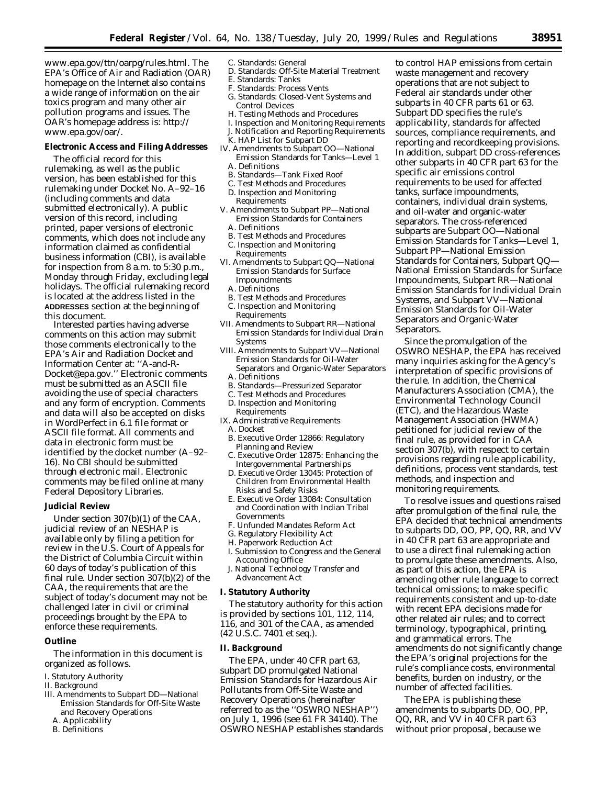www.epa.gov/ttn/oarpg/rules.html. The EPA's Office of Air and Radiation (OAR) homepage on the Internet also contains a wide range of information on the air toxics program and many other air pollution programs and issues. The OAR's homepage address is: http:// www.epa.gov/oar/.

# **Electronic Access and Filing Addresses**

The official record for this rulemaking, as well as the public version, has been established for this rulemaking under Docket No. A–92–16 (including comments and data submitted electronically). A public version of this record, including printed, paper versions of electronic comments, which does not include any information claimed as confidential business information (CBI), is available for inspection from 8 a.m. to 5:30 p.m., Monday through Friday, excluding legal holidays. The official rulemaking record is located at the address listed in the **ADDRESSES** section at the beginning of this document.

Interested parties having adverse comments on this action may submit those comments electronically to the EPA's Air and Radiation Docket and Information Center at: ''A-and-R-Docket@epa.gov.'' Electronic comments must be submitted as an ASCII file avoiding the use of special characters and any form of encryption. Comments and data will also be accepted on disks in WordPerfect in 6.1 file format or ASCII file format. All comments and data in electronic form must be identified by the docket number (A–92– 16). No CBI should be submitted through electronic mail. Electronic comments may be filed online at many Federal Depository Libraries.

#### **Judicial Review**

Under section 307(b)(1) of the CAA, judicial review of an NESHAP is available only by filing a petition for review in the U.S. Court of Appeals for the District of Columbia Circuit within 60 days of today's publication of this final rule. Under section 307(b)(2) of the CAA, the requirements that are the subject of today's document may not be challenged later in civil or criminal proceedings brought by the EPA to enforce these requirements.

# **Outline**

The information in this document is organized as follows.

- I. Statutory Authority
- II. Background
- III. Amendments to Subpart DD—National Emission Standards for Off-Site Waste and Recovery Operations
	- A. Applicability
	- B. Definitions
- C. Standards: General
	- D. Standards: Off-Site Material Treatment
	- E. Standards: Tanks
	- F. Standards: Process Vents
	- G. Standards: Closed-Vent Systems and Control Devices
	- H. Testing Methods and Procedures
	- I. Inspection and Monitoring Requirements
	- J. Notification and Reporting Requirements
	- K. HAP List for Subpart DD
- IV. Amendments to Subpart OO—National Emission Standards for Tanks—Level 1 A. Definitions
	- B. Standards—Tank Fixed Roof
	- C. Test Methods and Procedures
- D. Inspection and Monitoring Requirements
- V. Amendments to Subpart PP—National Emission Standards for Containers
	- A. Definitions
- B. Test Methods and Procedures C. Inspection and Monitoring
- Requirements VI. Amendments to Subpart QQ—National Emission Standards for Surface
	- Impoundments
	- A. Definitions
	- B. Test Methods and Procedures
	- C. Inspection and Monitoring Requirements
- VII. Amendments to Subpart RR—National Emission Standards for Individual Drain **Systems**
- VIII. Amendments to Subpart VV—National Emission Standards for Oil-Water Separators and Organic-Water Separators
	- A. Definitions
	- B. Standards—Pressurized Separator
	- C. Test Methods and Procedures D. Inspection and Monitoring
- Requirements
- IX. Administrative Requirements
- A. Docket
- B. Executive Order 12866: Regulatory Planning and Review
- C. Executive Order 12875: Enhancing the Intergovernmental Partnerships
- D. Executive Order 13045: Protection of Children from Environmental Health Risks and Safety Risks
- E. Executive Order 13084: Consultation and Coordination with Indian Tribal Governments
- F. Unfunded Mandates Reform Act
- G. Regulatory Flexibility Act
- H. Paperwork Reduction Act
- I. Submission to Congress and the General Accounting Office
- J. National Technology Transfer and Advancement Act

#### **I. Statutory Authority**

The statutory authority for this action is provided by sections 101, 112, 114, 116, and 301 of the CAA, as amended (42 U.S.C. 7401 *et seq.*).

#### **II. Background**

The EPA, under 40 CFR part 63, subpart DD promulgated National Emission Standards for Hazardous Air Pollutants from Off-Site Waste and Recovery Operations (hereinafter referred to as the ''OSWRO NESHAP'') on July 1, 1996 (see 61 FR 34140). The OSWRO NESHAP establishes standards

to control HAP emissions from certain waste management and recovery operations that are not subject to Federal air standards under other subparts in 40 CFR parts 61 or 63. Subpart DD specifies the rule's applicability, standards for affected sources, compliance requirements, and reporting and recordkeeping provisions. In addition, subpart DD cross-references other subparts in 40 CFR part 63 for the specific air emissions control requirements to be used for affected tanks, surface impoundments, containers, individual drain systems, and oil-water and organic-water separators. The cross-referenced subparts are Subpart OO—National Emission Standards for Tanks—Level 1, Subpart PP—National Emission Standards for Containers, Subpart QQ— National Emission Standards for Surface Impoundments, Subpart RR—National Emission Standards for Individual Drain Systems, and Subpart VV—National Emission Standards for Oil-Water Separators and Organic-Water Separators.

Since the promulgation of the OSWRO NESHAP, the EPA has received many inquiries asking for the Agency's interpretation of specific provisions of the rule. In addition, the Chemical Manufacturers Association (CMA), the Environmental Technology Council (ETC), and the Hazardous Waste Management Association (HWMA) petitioned for judicial review of the final rule, as provided for in CAA section 307(b), with respect to certain provisions regarding rule applicability, definitions, process vent standards, test methods, and inspection and monitoring requirements.

To resolve issues and questions raised after promulgation of the final rule, the EPA decided that technical amendments to subparts DD, OO, PP, QQ, RR, and VV in 40 CFR part 63 are appropriate and to use a direct final rulemaking action to promulgate these amendments. Also, as part of this action, the EPA is amending other rule language to correct technical omissions; to make specific requirements consistent and up-to-date with recent EPA decisions made for other related air rules; and to correct terminology, typographical, printing, and grammatical errors. The amendments do not significantly change the EPA's original projections for the rule's compliance costs, environmental benefits, burden on industry, or the number of affected facilities.

The EPA is publishing these amendments to subparts DD, OO, PP, QQ, RR, and VV in 40 CFR part 63 without prior proposal, because we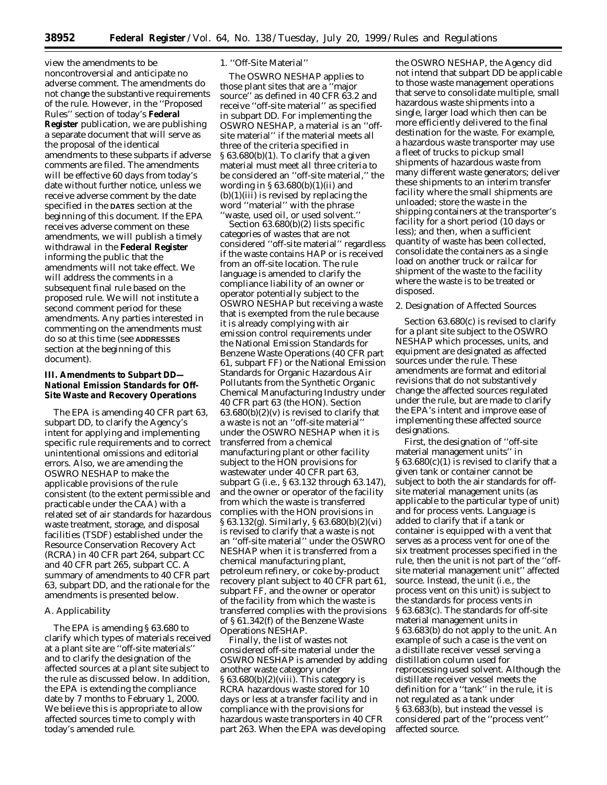view the amendments to be noncontroversial and anticipate no adverse comment. The amendments do not change the substantive requirements of the rule. However, in the ''Proposed Rules'' section of today's **Federal Register** publication, we are publishing a separate document that will serve as the proposal of the identical amendments to these subparts if adverse comments are filed. The amendments will be effective 60 days from today's date without further notice, unless we receive adverse comment by the date specified in the **DATES** section at the beginning of this document. If the EPA receives adverse comment on these amendments, we will publish a timely withdrawal in the **Federal Register** informing the public that the amendments will not take effect. We will address the comments in a subsequent final rule based on the proposed rule. We will not institute a second comment period for these amendments. Any parties interested in commenting on the amendments must do so at this time (see **ADDRESSES** section at the beginning of this document).

# **III. Amendments to Subpart DD— National Emission Standards for Off-Site Waste and Recovery Operations**

The EPA is amending 40 CFR part 63, subpart DD, to clarify the Agency's intent for applying and implementing specific rule requirements and to correct unintentional omissions and editorial errors. Also, we are amending the OSWRO NESHAP to make the applicable provisions of the rule consistent (to the extent permissible and practicable under the CAA) with a related set of air standards for hazardous waste treatment, storage, and disposal facilities (TSDF) established under the Resource Conservation Recovery Act (RCRA) in 40 CFR part 264, subpart CC and 40 CFR part 265, subpart CC. A summary of amendments to 40 CFR part 63, subpart DD, and the rationale for the amendments is presented below.

# *A. Applicability*

The EPA is amending § 63.680 to clarify which types of materials received at a plant site are ''off-site materials'' and to clarify the designation of the affected sources at a plant site subject to the rule as discussed below. In addition, the EPA is extending the compliance date by 7 months to February 1, 2000. We believe this is appropriate to allow affected sources time to comply with today's amended rule.

# 1. ''Off-Site Material''

The OSWRO NESHAP applies to those plant sites that are a ''major source'' as defined in 40 CFR 63.2 and receive ''off-site material'' as specified in subpart DD. For implementing the OSWRO NESHAP, a material is an ''offsite material'' if the material meets all three of the criteria specified in § 63.680(b)(1). To clarify that a given material must meet all three criteria to be considered an ''off-site material,'' the wording in  $\S 63.680(b)(1)(ii)$  and  $(b)(1)(iii)$  is revised by replacing the word ''material'' with the phrase 'waste, used oil, or used solvent.'

Section 63.680(b)(2) lists specific categories of wastes that are not considered ''off-site material'' regardless if the waste contains HAP or is received from an off-site location. The rule language is amended to clarify the compliance liability of an owner or operator potentially subject to the OSWRO NESHAP but receiving a waste that is exempted from the rule because it is already complying with air emission control requirements under the National Emission Standards for Benzene Waste Operations (40 CFR part 61, subpart FF) or the National Emission Standards for Organic Hazardous Air Pollutants from the Synthetic Organic Chemical Manufacturing Industry under 40 CFR part 63 (the HON). Section  $63.680(b)(2)(v)$  is revised to clarify that a waste is not an ''off-site material'' under the OSWRO NESHAP when it is transferred from a chemical manufacturing plant or other facility subject to the HON provisions for wastewater under 40 CFR part 63, subpart G (i.e., § 63.132 through 63.147), and the owner or operator of the facility from which the waste is transferred complies with the HON provisions in § 63.132(g). Similarly, § 63.680(b)(2)(vi) is revised to clarify that a waste is not an ''off-site material'' under the OSWRO NESHAP when it is transferred from a chemical manufacturing plant, petroleum refinery, or coke by-product recovery plant subject to 40 CFR part 61, subpart FF, and the owner or operator of the facility from which the waste is transferred complies with the provisions of § 61.342(f) of the Benzene Waste Operations NESHAP.

Finally, the list of wastes not considered off-site material under the OSWRO NESHAP is amended by adding another waste category under  $§ 63.680(b)(2)(viii)$ . This category is RCRA hazardous waste stored for 10 days or less at a transfer facility and in compliance with the provisions for hazardous waste transporters in 40 CFR part 263. When the EPA was developing

the OSWRO NESHAP, the Agency did not intend that subpart DD be applicable to those waste management operations that serve to consolidate multiple, small hazardous waste shipments into a single, larger load which then can be more efficiently delivered to the final destination for the waste. For example, a hazardous waste transporter may use a fleet of trucks to pickup small shipments of hazardous waste from many different waste generators; deliver these shipments to an interim transfer facility where the small shipments are unloaded; store the waste in the shipping containers at the transporter's facility for a short period (10 days or less); and then, when a sufficient quantity of waste has been collected, consolidate the containers as a single load on another truck or railcar for shipment of the waste to the facility where the waste is to be treated or disposed.

#### 2. Designation of Affected Sources

Section 63.680(c) is revised to clarify for a plant site subject to the OSWRO NESHAP which processes, units, and equipment are designated as affected sources under the rule. These amendments are format and editorial revisions that do not substantively change the affected sources regulated under the rule, but are made to clarify the EPA's intent and improve ease of implementing these affected source designations.

First, the designation of ''off-site material management units'' in § 63.680(c)(1) is revised to clarify that a given tank or container cannot be subject to both the air standards for offsite material management units (as applicable to the particular type of unit) and for process vents. Language is added to clarify that if a tank or container is equipped with a vent that serves as a process vent for one of the six treatment processes specified in the rule, then the unit is not part of the ''offsite material management unit'' affected source. Instead, the unit (i.e., the process vent on this unit) is subject to the standards for process vents in § 63.683(c). The standards for off-site material management units in § 63.683(b) do not apply to the unit. An example of such a case is the vent on a distillate receiver vessel serving a distillation column used for reprocessing used solvent. Although the distillate receiver vessel meets the definition for a ''tank'' in the rule, it is not regulated as a tank under § 63.683(b), but instead the vessel is considered part of the ''process vent'' affected source.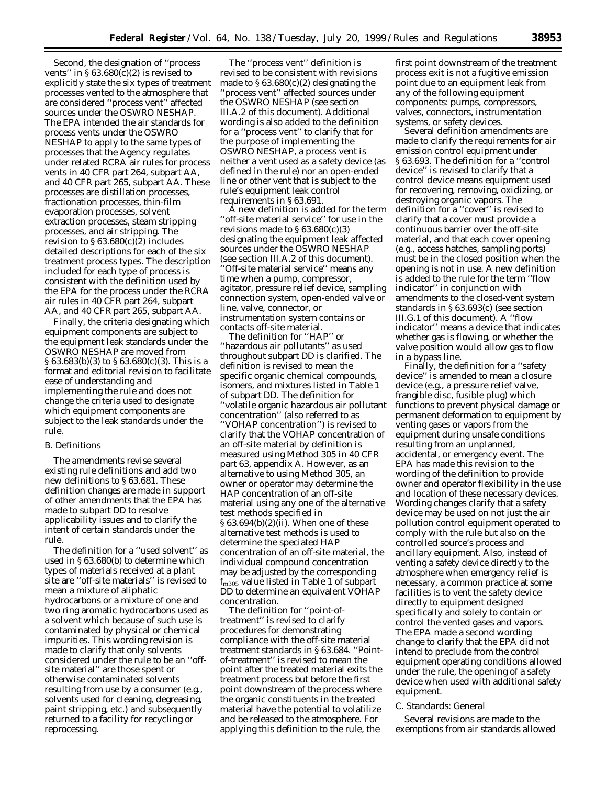Second, the designation of ''process vents" in  $\S 63.680(c)(2)$  is revised to explicitly state the six types of treatment processes vented to the atmosphere that are considered ''process vent'' affected sources under the OSWRO NESHAP. The EPA intended the air standards for process vents under the OSWRO NESHAP to apply to the same types of processes that the Agency regulates under related RCRA air rules for process vents in 40 CFR part 264, subpart AA, and 40 CFR part 265, subpart AA. These processes are distillation processes, fractionation processes, thin-film evaporation processes, solvent extraction processes, steam stripping processes, and air stripping. The revision to § 63.680(c)(2) includes detailed descriptions for each of the six treatment process types. The description included for each type of process is consistent with the definition used by the EPA for the process under the RCRA air rules in 40 CFR part 264, subpart AA, and 40 CFR part 265, subpart AA.

Finally, the criteria designating which equipment components are subject to the equipment leak standards under the OSWRO NESHAP are moved from § 63.683(b)(3) to § 63.680(c)(3). This is a format and editorial revision to facilitate ease of understanding and implementing the rule and does not change the criteria used to designate which equipment components are subject to the leak standards under the rule.

#### *B. Definitions*

The amendments revise several existing rule definitions and add two new definitions to § 63.681. These definition changes are made in support of other amendments that the EPA has made to subpart DD to resolve applicability issues and to clarify the intent of certain standards under the rule.

The definition for a ''used solvent'' as used in § 63.680(b) to determine which types of materials received at a plant site are ''off-site materials'' is revised to mean a mixture of aliphatic hydrocarbons or a mixture of one and two ring aromatic hydrocarbons used as a solvent which because of such use is contaminated by physical or chemical impurities. This wording revision is made to clarify that only solvents considered under the rule to be an ''offsite material'' are those spent or otherwise contaminated solvents resulting from use by a consumer (e.g., solvents used for cleaning, degreasing, paint stripping, etc.) and subsequently returned to a facility for recycling or reprocessing.

The ''process vent'' definition is revised to be consistent with revisions made to  $$63.680(c)(2)$  designating the 'process vent" affected sources under the OSWRO NESHAP (see section III.A.2 of this document). Additional wording is also added to the definition for a ''process vent'' to clarify that for the purpose of implementing the OSWRO NESHAP, a process vent is neither a vent used as a safety device (as defined in the rule) nor an open-ended line or other vent that is subject to the rule's equipment leak control requirements in § 63.691.

A new definition is added for the term ''off-site material service'' for use in the revisions made to  $\S 63.680(c)(3)$ designating the equipment leak affected sources under the OSWRO NESHAP (see section III.A.2 of this document). ''Off-site material service'' means any time when a pump, compressor, agitator, pressure relief device, sampling connection system, open-ended valve or line, valve, connector, or instrumentation system contains or contacts off-site material.

The definition for ''HAP'' or ''hazardous air pollutants'' as used throughout subpart DD is clarified. The definition is revised to mean the specific organic chemical compounds, isomers, and mixtures listed in Table 1 of subpart DD. The definition for ''volatile organic hazardous air pollutant concentration'' (also referred to as ''VOHAP concentration'') is revised to clarify that the VOHAP concentration of an off-site material by definition is measured using Method 305 in 40 CFR part 63, appendix A. However, as an alternative to using Method 305, an owner or operator may determine the HAP concentration of an off-site material using any one of the alternative test methods specified in § 63.694(b)(2)(ii). When one of these alternative test methods is used to determine the speciated HAP concentration of an off-site material, the individual compound concentration may be adjusted by the corresponding  $f_{\rm m305}$  value listed in Table 1 of subpart DD to determine an equivalent VOHAP concentration.

The definition for ''point-oftreatment'' is revised to clarify procedures for demonstrating compliance with the off-site material treatment standards in § 63.684. ''Pointof-treatment'' is revised to mean the point after the treated material exits the treatment process but before the first point downstream of the process where the organic constituents in the treated material have the potential to volatilize and be released to the atmosphere. For applying this definition to the rule, the

first point downstream of the treatment process exit is not a fugitive emission point due to an equipment leak from any of the following equipment components: pumps, compressors, valves, connectors, instrumentation systems, or safety devices.

Several definition amendments are made to clarify the requirements for air emission control equipment under § 63.693. The definition for a ''control device'' is revised to clarify that a control device means equipment used for recovering, removing, oxidizing, or destroying organic vapors. The definition for a ''cover'' is revised to clarify that a cover must provide a continuous barrier over the off-site material, and that each cover opening (e.g., access hatches, sampling ports) must be in the closed position when the opening is not in use. A new definition is added to the rule for the term ''flow indicator'' in conjunction with amendments to the closed-vent system standards in § 63.693(c) (see section III.G.1 of this document). A ''flow indicator'' means a device that indicates whether gas is flowing, or whether the valve position would allow gas to flow in a bypass line.

Finally, the definition for a ''safety device'' is amended to mean a closure device (e.g., a pressure relief valve, frangible disc, fusible plug) which functions to prevent physical damage or permanent deformation to equipment by venting gases or vapors from the equipment during unsafe conditions resulting from an unplanned, accidental, or emergency event. The EPA has made this revision to the wording of the definition to provide owner and operator flexibility in the use and location of these necessary devices. Wording changes clarify that a safety device may be used on not just the air pollution control equipment operated to comply with the rule but also on the controlled source's process and ancillary equipment. Also, instead of venting a safety device directly to the atmosphere when emergency relief is necessary, a common practice at some facilities is to vent the safety device directly to equipment designed specifically and solely to contain or control the vented gases and vapors. The EPA made a second wording change to clarify that the EPA did not intend to preclude from the control equipment operating conditions allowed under the rule, the opening of a safety device when used with additional safety equipment.

#### *C. Standards: General*

Several revisions are made to the exemptions from air standards allowed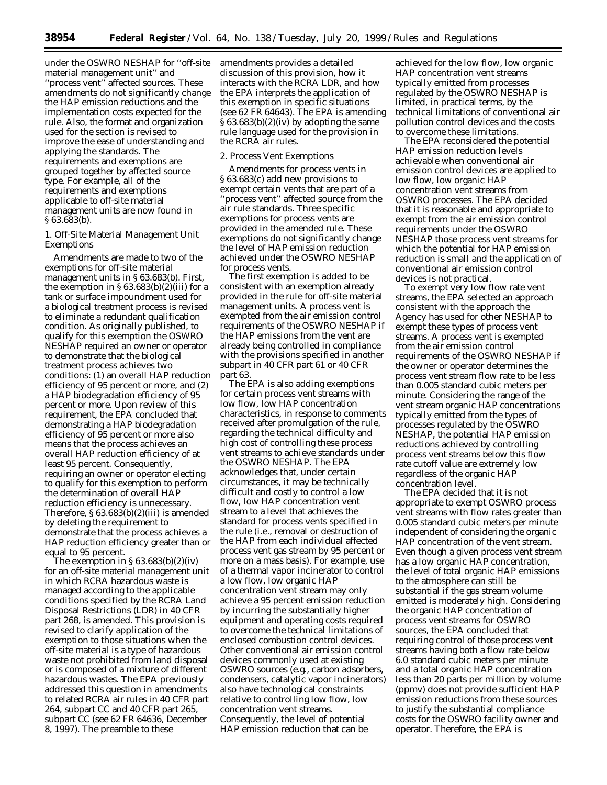under the OSWRO NESHAP for ''off-site material management unit'' and 'process vent'' affected sources. These amendments do not significantly change the HAP emission reductions and the implementation costs expected for the rule. Also, the format and organization used for the section is revised to improve the ease of understanding and applying the standards. The requirements and exemptions are grouped together by affected source type. For example, all of the requirements and exemptions applicable to off-site material management units are now found in § 63.683(b).

# 1. Off-Site Material Management Unit Exemptions

Amendments are made to two of the exemptions for off-site material management units in § 63.683(b). First, the exemption in  $\S 63.683(b)(2)(iii)$  for a tank or surface impoundment used for a biological treatment process is revised to eliminate a redundant qualification condition. As originally published, to qualify for this exemption the OSWRO NESHAP required an owner or operator to demonstrate that the biological treatment process achieves two conditions: (1) an overall HAP reduction efficiency of 95 percent or more, and (2) a HAP biodegradation efficiency of 95 percent or more. Upon review of this requirement, the EPA concluded that demonstrating a HAP biodegradation efficiency of 95 percent or more also means that the process achieves an overall HAP reduction efficiency of at least 95 percent. Consequently, requiring an owner or operator electing to qualify for this exemption to perform the determination of overall HAP reduction efficiency is unnecessary. Therefore, § 63.683(b)(2)(iii) is amended by deleting the requirement to demonstrate that the process achieves a HAP reduction efficiency greater than or equal to 95 percent.

The exemption in  $\S 63.683(b)(2)(iv)$ for an off-site material management unit in which RCRA hazardous waste is managed according to the applicable conditions specified by the RCRA Land Disposal Restrictions (LDR) in 40 CFR part 268, is amended. This provision is revised to clarify application of the exemption to those situations when the off-site material is a type of hazardous waste not prohibited from land disposal or is composed of a mixture of different hazardous wastes. The EPA previously addressed this question in amendments to related RCRA air rules in 40 CFR part 264, subpart CC and 40 CFR part 265, subpart CC (see 62 FR 64636, December 8, 1997). The preamble to these

amendments provides a detailed discussion of this provision, how it interacts with the RCRA LDR, and how the EPA interprets the application of this exemption in specific situations (see 62 FR 64643). The EPA is amending § 63.683(b)(2)(iv) by adopting the same rule language used for the provision in the RCRA air rules.

# 2. Process Vent Exemptions

Amendments for process vents in § 63.683(c) add new provisions to exempt certain vents that are part of a 'process vent'' affected source from the air rule standards. Three specific exemptions for process vents are provided in the amended rule. These exemptions do not significantly change the level of HAP emission reduction achieved under the OSWRO NESHAP for process vents.

The first exemption is added to be consistent with an exemption already provided in the rule for off-site material management units. A process vent is exempted from the air emission control requirements of the OSWRO NESHAP if the HAP emissions from the vent are already being controlled in compliance with the provisions specified in another subpart in 40 CFR part 61 or 40 CFR part 63.

The EPA is also adding exemptions for certain process vent streams with low flow, low HAP concentration characteristics, in response to comments received after promulgation of the rule, regarding the technical difficulty and high cost of controlling these process vent streams to achieve standards under the OSWRO NESHAP. The EPA acknowledges that, under certain circumstances, it may be technically difficult and costly to control a low flow, low HAP concentration vent stream to a level that achieves the standard for process vents specified in the rule (i.e., removal or destruction of the HAP from each individual affected process vent gas stream by 95 percent or more on a mass basis). For example, use of a thermal vapor incinerator to control a low flow, low organic HAP concentration vent stream may only achieve a 95 percent emission reduction by incurring the substantially higher equipment and operating costs required to overcome the technical limitations of enclosed combustion control devices. Other conventional air emission control devices commonly used at existing OSWRO sources (e.g., carbon adsorbers, condensers, catalytic vapor incinerators) also have technological constraints relative to controlling low flow, low concentration vent streams. Consequently, the level of potential HAP emission reduction that can be

achieved for the low flow, low organic HAP concentration vent streams typically emitted from processes regulated by the OSWRO NESHAP is limited, in practical terms, by the technical limitations of conventional air pollution control devices and the costs to overcome these limitations.

The EPA reconsidered the potential HAP emission reduction levels achievable when conventional air emission control devices are applied to low flow, low organic HAP concentration vent streams from OSWRO processes. The EPA decided that it is reasonable and appropriate to exempt from the air emission control requirements under the OSWRO NESHAP those process vent streams for which the potential for HAP emission reduction is small and the application of conventional air emission control devices is not practical.

To exempt very low flow rate vent streams, the EPA selected an approach consistent with the approach the Agency has used for other NESHAP to exempt these types of process vent streams. A process vent is exempted from the air emission control requirements of the OSWRO NESHAP if the owner or operator determines the process vent stream flow rate to be less than 0.005 standard cubic meters per minute. Considering the range of the vent stream organic HAP concentrations typically emitted from the types of processes regulated by the OSWRO NESHAP, the potential HAP emission reductions achieved by controlling process vent streams below this flow rate cutoff value are extremely low regardless of the organic HAP concentration level.

The EPA decided that it is not appropriate to exempt OSWRO process vent streams with flow rates greater than 0.005 standard cubic meters per minute independent of considering the organic HAP concentration of the vent stream. Even though a given process vent stream has a low organic HAP concentration, the level of total organic HAP emissions to the atmosphere can still be substantial if the gas stream volume emitted is moderately high. Considering the organic HAP concentration of process vent streams for OSWRO sources, the EPA concluded that requiring control of those process vent streams having both a flow rate below 6.0 standard cubic meters per minute and a total organic HAP concentration less than 20 parts per million by volume (ppmv) does not provide sufficient HAP emission reductions from these sources to justify the substantial compliance costs for the OSWRO facility owner and operator. Therefore, the EPA is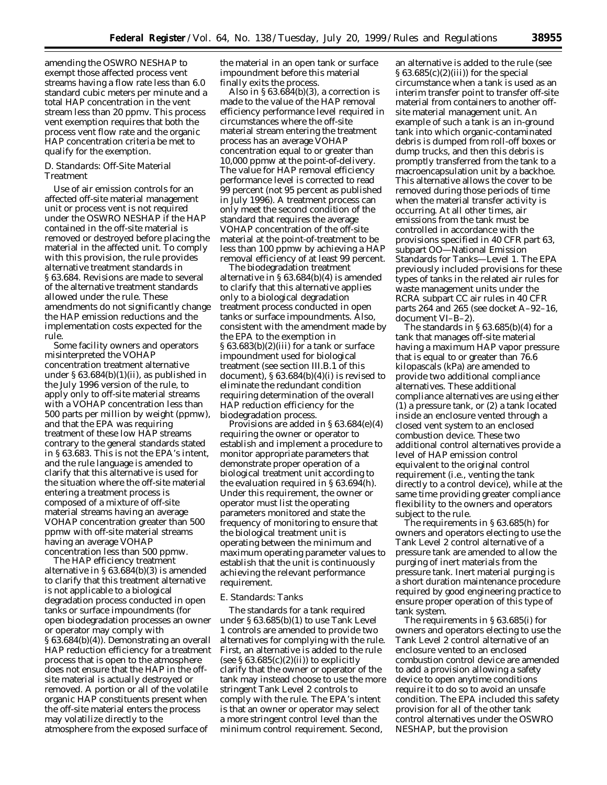amending the OSWRO NESHAP to exempt those affected process vent streams having a flow rate less than 6.0 standard cubic meters per minute and a total HAP concentration in the vent stream less than 20 ppmv. This process vent exemption requires that both the process vent flow rate and the organic HAP concentration criteria be met to qualify for the exemption.

#### *D. Standards: Off-Site Material Treatment*

Use of air emission controls for an affected off-site material management unit or process vent is not required under the OSWRO NESHAP if the HAP contained in the off-site material is removed or destroyed before placing the material in the affected unit. To comply with this provision, the rule provides alternative treatment standards in § 63.684. Revisions are made to several of the alternative treatment standards allowed under the rule. These amendments do not significantly change the HAP emission reductions and the implementation costs expected for the rule.

Some facility owners and operators misinterpreted the VOHAP concentration treatment alternative under  $\S 63.684(b)(1)(ii)$ , as published in the July 1996 version of the rule, to apply only to off-site material streams with a VOHAP concentration less than 500 parts per million by weight (ppmw), and that the EPA was requiring treatment of these low HAP streams contrary to the general standards stated in § 63.683. This is not the EPA's intent, and the rule language is amended to clarify that this alternative is used for the situation where the off-site material entering a treatment process is composed of a mixture of off-site material streams having an average VOHAP concentration greater than 500 ppmw with off-site material streams having an average VOHAP concentration less than 500 ppmw.

The HAP efficiency treatment alternative in § 63.684(b)(3) is amended to clarify that this treatment alternative is not applicable to a biological degradation process conducted in open tanks or surface impoundments (for open biodegradation processes an owner or operator may comply with § 63.684(b)(4)). Demonstrating an overall HAP reduction efficiency for a treatment process that is open to the atmosphere does not ensure that the HAP in the offsite material is actually destroyed or removed. A portion or all of the volatile organic HAP constituents present when the off-site material enters the process may volatilize directly to the atmosphere from the exposed surface of

the material in an open tank or surface impoundment before this material finally exits the process.

Also in § 63.684(b)(3), a correction is made to the value of the HAP removal efficiency performance level required in circumstances where the off-site material stream entering the treatment process has an average VOHAP concentration equal to or greater than 10,000 ppmw at the point-of-delivery. The value for HAP removal efficiency performance level is corrected to read 99 percent (not 95 percent as published in July 1996). A treatment process can only meet the second condition of the standard that requires the average VOHAP concentration of the off-site material at the point-of-treatment to be less than 100 ppmw by achieving a HAP removal efficiency of at least 99 percent.

The biodegradation treatment alternative in § 63.684(b)(4) is amended to clarify that this alternative applies only to a biological degradation treatment process conducted in open tanks or surface impoundments. Also, consistent with the amendment made by the EPA to the exemption in  $\S 63.683(b)(2)(iii)$  for a tank or surface impoundment used for biological treatment (see section III.B.1 of this document),  $§ 63.684(b)(4)(i)$  is revised to eliminate the redundant condition requiring determination of the overall HAP reduction efficiency for the biodegradation process.

Provisions are added in § 63.684(e)(4) requiring the owner or operator to establish and implement a procedure to monitor appropriate parameters that demonstrate proper operation of a biological treatment unit according to the evaluation required in § 63.694(h). Under this requirement, the owner or operator must list the operating parameters monitored and state the frequency of monitoring to ensure that the biological treatment unit is operating between the minimum and maximum operating parameter values to establish that the unit is continuously achieving the relevant performance requirement.

#### *E. Standards: Tanks*

The standards for a tank required under § 63.685(b)(1) to use Tank Level 1 controls are amended to provide two alternatives for complying with the rule. First, an alternative is added to the rule (see  $\S 63.685(c)(2)(ii)$ ) to explicitly clarify that the owner or operator of the tank may instead choose to use the more stringent Tank Level 2 controls to comply with the rule. The EPA's intent is that an owner or operator may select a more stringent control level than the minimum control requirement. Second,

an alternative is added to the rule (see  $\S 63.685(c)(2)(iii)$  for the special circumstance when a tank is used as an interim transfer point to transfer off-site material from containers to another offsite material management unit. An example of such a tank is an in-ground tank into which organic-contaminated debris is dumped from roll-off boxes or dump trucks, and then this debris is promptly transferred from the tank to a macroencapsulation unit by a backhoe. This alternative allows the cover to be removed during those periods of time when the material transfer activity is occurring. At all other times, air emissions from the tank must be controlled in accordance with the provisions specified in 40 CFR part 63, subpart OO—National Emission Standards for Tanks—Level 1. The EPA previously included provisions for these types of tanks in the related air rules for waste management units under the RCRA subpart CC air rules in 40 CFR parts 264 and 265 (see docket A–92–16, document VI–B–2).

The standards in  $\S 63.685(b)(4)$  for a tank that manages off-site material having a maximum HAP vapor pressure that is equal to or greater than 76.6 kilopascals (kPa) are amended to provide two additional compliance alternatives. These additional compliance alternatives are using either (1) a pressure tank, or (2) a tank located inside an enclosure vented through a closed vent system to an enclosed combustion device. These two additional control alternatives provide a level of HAP emission control equivalent to the original control requirement (i.e., venting the tank directly to a control device), while at the same time providing greater compliance flexibility to the owners and operators subject to the rule.

The requirements in § 63.685(h) for owners and operators electing to use the Tank Level 2 control alternative of a pressure tank are amended to allow the purging of inert materials from the pressure tank. Inert material purging is a short duration maintenance procedure required by good engineering practice to ensure proper operation of this type of tank system.

The requirements in § 63.685(i) for owners and operators electing to use the Tank Level 2 control alternative of an enclosure vented to an enclosed combustion control device are amended to add a provision allowing a safety device to open anytime conditions require it to do so to avoid an unsafe condition. The EPA included this safety provision for all of the other tank control alternatives under the OSWRO NESHAP, but the provision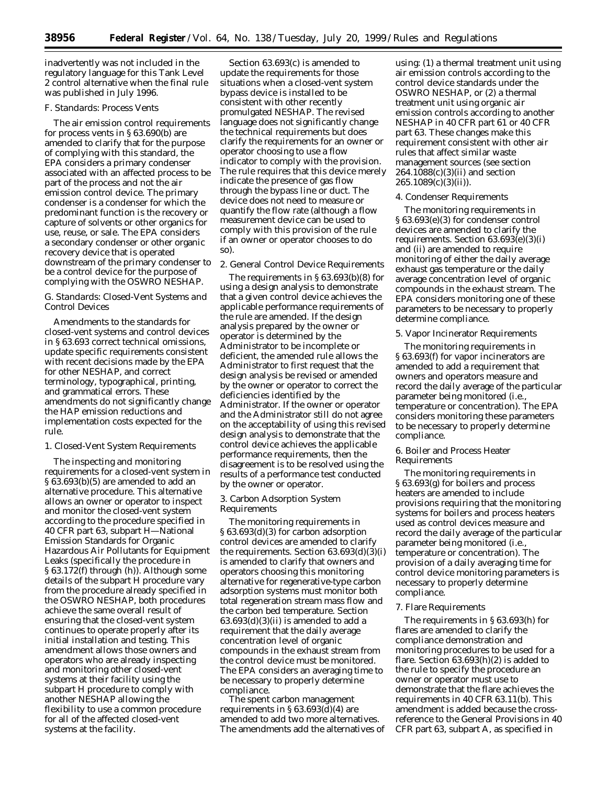inadvertently was not included in the regulatory language for this Tank Level 2 control alternative when the final rule was published in July 1996.

# *F. Standards: Process Vents*

The air emission control requirements for process vents in § 63.690(b) are amended to clarify that for the purpose of complying with this standard, the EPA considers a primary condenser associated with an affected process to be part of the process and not the air emission control device. The primary condenser is a condenser for which the predominant function is the recovery or capture of solvents or other organics for use, reuse, or sale. The EPA considers a secondary condenser or other organic recovery device that is operated downstream of the primary condenser to be a control device for the purpose of complying with the OSWRO NESHAP.

#### *G. Standards: Closed-Vent Systems and Control Devices*

Amendments to the standards for closed-vent systems and control devices in § 63.693 correct technical omissions, update specific requirements consistent with recent decisions made by the EPA for other NESHAP, and correct terminology, typographical, printing, and grammatical errors. These amendments do not significantly change the HAP emission reductions and implementation costs expected for the rule.

#### 1. Closed-Vent System Requirements

The inspecting and monitoring requirements for a closed-vent system in § 63.693(b)(5) are amended to add an alternative procedure. This alternative allows an owner or operator to inspect and monitor the closed-vent system according to the procedure specified in 40 CFR part 63, subpart H—National Emission Standards for Organic Hazardous Air Pollutants for Equipment Leaks (specifically the procedure in § 63.172(f) through (h)). Although some details of the subpart H procedure vary from the procedure already specified in the OSWRO NESHAP, both procedures achieve the same overall result of ensuring that the closed-vent system continues to operate properly after its initial installation and testing. This amendment allows those owners and operators who are already inspecting and monitoring other closed-vent systems at their facility using the subpart H procedure to comply with another NESHAP allowing the flexibility to use a common procedure for all of the affected closed-vent systems at the facility.

Section 63.693(c) is amended to update the requirements for those situations when a closed-vent system bypass device is installed to be consistent with other recently promulgated NESHAP. The revised language does not significantly change the technical requirements but does clarify the requirements for an owner or operator choosing to use a flow indicator to comply with the provision. The rule requires that this device merely indicate the presence of gas flow through the bypass line or duct. The device does not need to measure or quantify the flow rate (although a flow measurement device can be used to comply with this provision of the rule if an owner or operator chooses to do so).

# 2. General Control Device Requirements

The requirements in § 63.693(b)(8) for using a design analysis to demonstrate that a given control device achieves the applicable performance requirements of the rule are amended. If the design analysis prepared by the owner or operator is determined by the Administrator to be incomplete or deficient, the amended rule allows the Administrator to first request that the design analysis be revised or amended by the owner or operator to correct the deficiencies identified by the Administrator. If the owner or operator and the Administrator still do not agree on the acceptability of using this revised design analysis to demonstrate that the control device achieves the applicable performance requirements, then the disagreement is to be resolved using the results of a performance test conducted by the owner or operator.

#### 3. Carbon Adsorption System Requirements

The monitoring requirements in § 63.693(d)(3) for carbon adsorption control devices are amended to clarify the requirements. Section  $63.693(d)(3)(i)$ is amended to clarify that owners and operators choosing this monitoring alternative for regenerative-type carbon adsorption systems must monitor both total regeneration stream mass flow and the carbon bed temperature. Section  $63.693(d)(3)(ii)$  is amended to add a requirement that the daily average concentration level of organic compounds in the exhaust stream from the control device must be monitored. The EPA considers an averaging time to be necessary to properly determine compliance.

The spent carbon management requirements in  $\S 63.693(\bar{d})$ (4) are amended to add two more alternatives. The amendments add the alternatives of

using: (1) a thermal treatment unit using air emission controls according to the control device standards under the OSWRO NESHAP, or (2) a thermal treatment unit using organic air emission controls according to another NESHAP in 40 CFR part 61 or 40 CFR part 63. These changes make this requirement consistent with other air rules that affect similar waste management sources (see section 264.1088(c)(3)(ii) and section  $265.1089(c)(3)(ii)$ .

#### 4. Condenser Requirements

The monitoring requirements in § 63.693(e)(3) for condenser control devices are amended to clarify the requirements. Section 63.693(e)(3)(i) and (ii) are amended to require monitoring of either the daily average exhaust gas temperature or the daily average concentration level of organic compounds in the exhaust stream. The EPA considers monitoring one of these parameters to be necessary to properly determine compliance.

#### 5. Vapor Incinerator Requirements

The monitoring requirements in § 63.693(f) for vapor incinerators are amended to add a requirement that owners and operators measure and record the daily average of the particular parameter being monitored (i.e., temperature or concentration). The EPA considers monitoring these parameters to be necessary to properly determine compliance.

## 6. Boiler and Process Heater Requirements

The monitoring requirements in § 63.693(g) for boilers and process heaters are amended to include provisions requiring that the monitoring systems for boilers and process heaters used as control devices measure and record the daily average of the particular parameter being monitored (i.e., temperature or concentration). The provision of a daily averaging time for control device monitoring parameters is necessary to properly determine compliance.

#### 7. Flare Requirements

The requirements in § 63.693(h) for flares are amended to clarify the compliance demonstration and monitoring procedures to be used for a flare. Section 63.693(h)(2) is added to the rule to specify the procedure an owner or operator must use to demonstrate that the flare achieves the requirements in 40 CFR 63.11(b). This amendment is added because the crossreference to the General Provisions in 40 CFR part 63, subpart A, as specified in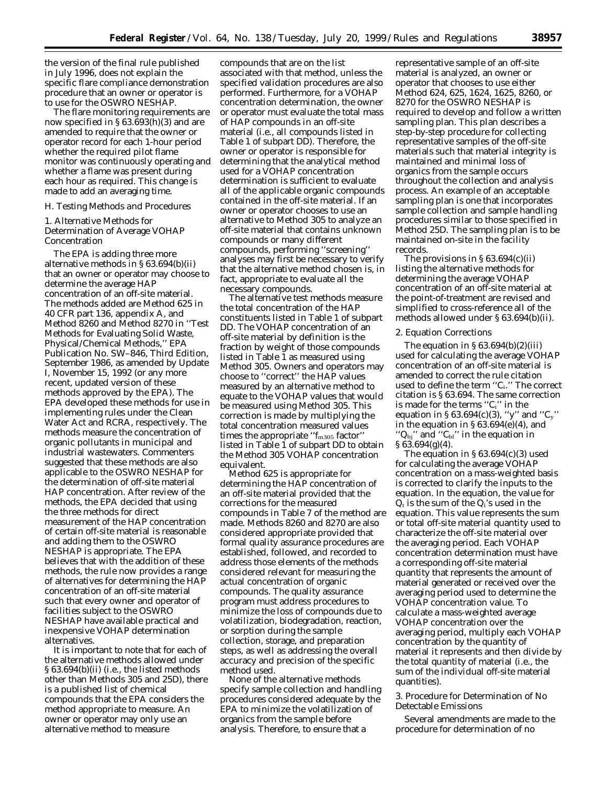the version of the final rule published in July 1996, does not explain the specific flare compliance demonstration procedure that an owner or operator is to use for the OSWRO NESHAP.

The flare monitoring requirements are now specified in § 63.693(h)(3) and are amended to require that the owner or operator record for each 1-hour period whether the required pilot flame monitor was continuously operating and whether a flame was present during each hour as required. This change is made to add an averaging time.

# *H. Testing Methods and Procedures*

## 1. Alternative Methods for Determination of Average VOHAP Concentration

The EPA is adding three more alternative methods in § 63.694(b)(ii) that an owner or operator may choose to determine the average HAP concentration of an off-site material. The methods added are Method 625 in 40 CFR part 136, appendix A, and Method 8260 and Method 8270 in ''Test Methods for Evaluating Solid Waste, Physical/Chemical Methods,'' EPA Publication No. SW–846, Third Edition, September 1986, as amended by Update I, November 15, 1992 (or any more recent, updated version of these methods approved by the EPA). The EPA developed these methods for use in implementing rules under the Clean Water Act and RCRA, respectively. The methods measure the concentration of organic pollutants in municipal and industrial wastewaters. Commenters suggested that these methods are also applicable to the OSWRO NESHAP for the determination of off-site material HAP concentration. After review of the methods, the EPA decided that using the three methods for direct measurement of the HAP concentration of certain off-site material is reasonable and adding them to the OSWRO NESHAP is appropriate. The EPA believes that with the addition of these methods, the rule now provides a range of alternatives for determining the HAP concentration of an off-site material such that every owner and operator of facilities subject to the OSWRO NESHAP have available practical and inexpensive VOHAP determination alternatives.

It is important to note that for each of the alternative methods allowed under § 63.694(b)(ii) (i.e., the listed methods other than Methods 305 and 25D), there is a published list of chemical compounds that the EPA considers the method appropriate to measure. An owner or operator may only use an alternative method to measure

compounds that are on the list associated with that method, unless the specified validation procedures are also performed. Furthermore, for a VOHAP concentration determination, the owner or operator must evaluate the total mass of HAP compounds in an off-site material (i.e., all compounds listed in Table 1 of subpart DD). Therefore, the owner or operator is responsible for determining that the analytical method used for a VOHAP concentration determination is sufficient to evaluate all of the applicable organic compounds contained in the off-site material. If an owner or operator chooses to use an alternative to Method 305 to analyze an off-site material that contains unknown compounds or many different compounds, performing ''screening'' analyses may first be necessary to verify that the alternative method chosen is, in fact, appropriate to evaluate all the necessary compounds.

The alternative test methods measure the total concentration of the HAP constituents listed in Table 1 of subpart DD. The VOHAP concentration of an off-site material by definition is the fraction by weight of those compounds listed in Table 1 as measured using Method 305. Owners and operators may choose to ''correct'' the HAP values measured by an alternative method to equate to the VOHAP values that would be measured using Method 305. This correction is made by multiplying the total concentration measured values times the appropriate " $f_{\rm m305}$  factor" listed in Table 1 of subpart DD to obtain the Method 305 VOHAP concentration equivalent.

Method 625 is appropriate for determining the HAP concentration of an off-site material provided that the corrections for the measured compounds in Table 7 of the method are made. Methods 8260 and 8270 are also considered appropriate provided that formal quality assurance procedures are established, followed, and recorded to address those elements of the methods considered relevant for measuring the actual concentration of organic compounds. The quality assurance program must address procedures to minimize the loss of compounds due to volatilization, biodegradation, reaction, or sorption during the sample collection, storage, and preparation steps, as well as addressing the overall accuracy and precision of the specific method used.

None of the alternative methods specify sample collection and handling procedures considered adequate by the EPA to minimize the volatilization of organics from the sample before analysis. Therefore, to ensure that a

representative sample of an off-site material is analyzed, an owner or operator that chooses to use either Method 624, 625, 1624, 1625, 8260, or 8270 for the OSWRO NESHAP is required to develop and follow a written sampling plan. This plan describes a step-by-step procedure for collecting representative samples of the off-site materials such that material integrity is maintained and minimal loss of organics from the sample occurs throughout the collection and analysis process. An example of an acceptable sampling plan is one that incorporates sample collection and sample handling procedures similar to those specified in Method 25D. The sampling plan is to be maintained on-site in the facility records.

The provisions in  $\S 63.694(c)(ii)$ listing the alternative methods for determining the average VOHAP concentration of an off-site material at the point-of-treatment are revised and simplified to cross-reference all of the methods allowed under § 63.694(b)(ii).

# 2. Equation Corrections

The equation in  $\S 63.694(b)(2)(iii)$ used for calculating the average VOHAP concentration of an off-site material is amended to correct the rule citation used to define the term ''Ci.'' The correct citation is § 63.694. The same correction is made for the terms " $C_i$ " in the equation in § 63.694(c)(3), "y" and " $C_y$ " in the equation in  $\S 63.694(e)(4)$ , and " $Q_{bj}$ " and " $C_{bl}$ " in the equation in § 63.694(g)(4).

The equation in § 63.694(c)(3) used for calculating the average VOHAP concentration on a mass-weighted basis is corrected to clarify the inputs to the equation. In the equation, the value for  $Q_t$  is the sum of the  $Q_i$ 's used in the equation. This value represents the sum or total off-site material quantity used to characterize the off-site material over the averaging period. Each VOHAP concentration determination must have a corresponding off-site material quantity that represents the amount of material generated or received over the averaging period used to determine the VOHAP concentration value. To calculate a mass-weighted average VOHAP concentration over the averaging period, multiply each VOHAP concentration by the quantity of material it represents and then divide by the total quantity of material (i.e., the sum of the individual off-site material quantities).

# 3. Procedure for Determination of No Detectable Emissions

Several amendments are made to the procedure for determination of no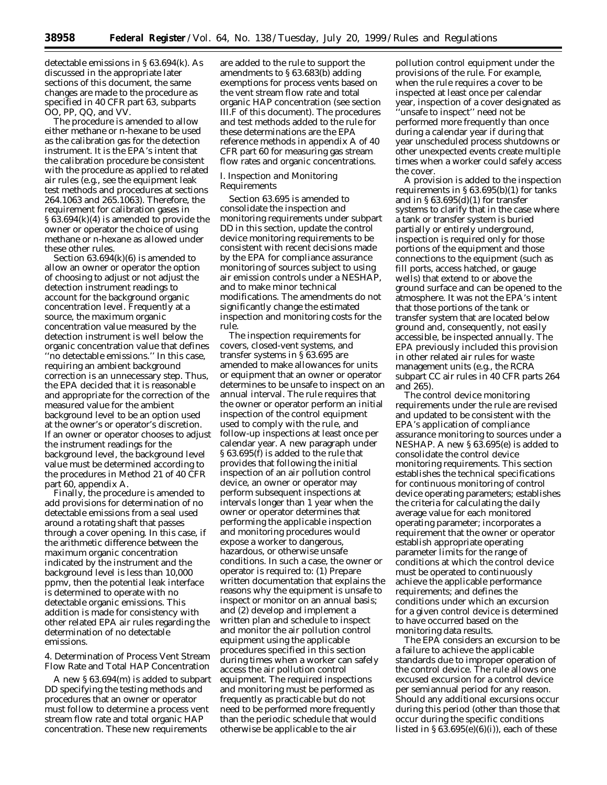detectable emissions in § 63.694(k). As discussed in the appropriate later sections of this document, the same changes are made to the procedure as specified in 40 CFR part 63, subparts OO, PP, QQ, and VV.

The procedure is amended to allow either methane or n-hexane to be used as the calibration gas for the detection instrument. It is the EPA's intent that the calibration procedure be consistent with the procedure as applied to related air rules (e.g., see the equipment leak test methods and procedures at sections 264.1063 and 265.1063). Therefore, the requirement for calibration gases in § 63.694(k)(4) is amended to provide the owner or operator the choice of using methane or n-hexane as allowed under these other rules.

Section 63.694(k)(6) is amended to allow an owner or operator the option of choosing to adjust or not adjust the detection instrument readings to account for the background organic concentration level. Frequently at a source, the maximum organic concentration value measured by the detection instrument is well below the organic concentration value that defines ''no detectable emissions.'' In this case, requiring an ambient background correction is an unnecessary step. Thus, the EPA decided that it is reasonable and appropriate for the correction of the measured value for the ambient background level to be an option used at the owner's or operator's discretion. If an owner or operator chooses to adjust the instrument readings for the background level, the background level value must be determined according to the procedures in Method 21 of 40 CFR part 60, appendix A.

Finally, the procedure is amended to add provisions for determination of no detectable emissions from a seal used around a rotating shaft that passes through a cover opening. In this case, if the arithmetic difference between the maximum organic concentration indicated by the instrument and the background level is less than 10,000 ppmv, then the potential leak interface is determined to operate with no detectable organic emissions. This addition is made for consistency with other related EPA air rules regarding the determination of no detectable emissions.

4. Determination of Process Vent Stream Flow Rate and Total HAP Concentration

A new § 63.694(m) is added to subpart DD specifying the testing methods and procedures that an owner or operator must follow to determine a process vent stream flow rate and total organic HAP concentration. These new requirements

are added to the rule to support the amendments to § 63.683(b) adding exemptions for process vents based on the vent stream flow rate and total organic HAP concentration (see section III.F of this document). The procedures and test methods added to the rule for these determinations are the EPA reference methods in appendix A of 40 CFR part 60 for measuring gas stream flow rates and organic concentrations.

#### *I. Inspection and Monitoring Requirements*

Section 63.695 is amended to consolidate the inspection and monitoring requirements under subpart DD in this section, update the control device monitoring requirements to be consistent with recent decisions made by the EPA for compliance assurance monitoring of sources subject to using air emission controls under a NESHAP, and to make minor technical modifications. The amendments do not significantly change the estimated inspection and monitoring costs for the rule.

The inspection requirements for covers, closed-vent systems, and transfer systems in § 63.695 are amended to make allowances for units or equipment that an owner or operator determines to be unsafe to inspect on an annual interval. The rule requires that the owner or operator perform an initial inspection of the control equipment used to comply with the rule, and follow-up inspections at least once per calendar year. A new paragraph under § 63.695(f) is added to the rule that provides that following the initial inspection of an air pollution control device, an owner or operator may perform subsequent inspections at intervals longer than 1 year when the owner or operator determines that performing the applicable inspection and monitoring procedures would expose a worker to dangerous, hazardous, or otherwise unsafe conditions. In such a case, the owner or operator is required to: (1) Prepare written documentation that explains the reasons why the equipment is unsafe to inspect or monitor on an annual basis; and (2) develop and implement a written plan and schedule to inspect and monitor the air pollution control equipment using the applicable procedures specified in this section during times when a worker can safely access the air pollution control equipment. The required inspections and monitoring must be performed as frequently as practicable but do not need to be performed more frequently than the periodic schedule that would otherwise be applicable to the air

pollution control equipment under the provisions of the rule. For example, when the rule requires a cover to be inspected at least once per calendar year, inspection of a cover designated as

''unsafe to inspect'' need not be performed more frequently than once during a calendar year if during that year unscheduled process shutdowns or other unexpected events create multiple times when a worker could safely access the cover.

A provision is added to the inspection requirements in  $\S 63.695(b)(1)$  for tanks and in  $\S 63.695(d)(1)$  for transfer systems to clarify that in the case where a tank or transfer system is buried partially or entirely underground, inspection is required only for those portions of the equipment and those connections to the equipment (such as fill ports, access hatched, or gauge wells) that extend to or above the ground surface and can be opened to the atmosphere. It was not the EPA's intent that those portions of the tank or transfer system that are located below ground and, consequently, not easily accessible, be inspected annually. The EPA previously included this provision in other related air rules for waste management units (e.g., the RCRA subpart CC air rules in 40 CFR parts 264 and 265).

The control device monitoring requirements under the rule are revised and updated to be consistent with the EPA's application of compliance assurance monitoring to sources under a NESHAP. A new § 63.695(e) is added to consolidate the control device monitoring requirements. This section establishes the technical specifications for continuous monitoring of control device operating parameters; establishes the criteria for calculating the daily average value for each monitored operating parameter; incorporates a requirement that the owner or operator establish appropriate operating parameter limits for the range of conditions at which the control device must be operated to continuously achieve the applicable performance requirements; and defines the conditions under which an excursion for a given control device is determined to have occurred based on the monitoring data results.

The EPA considers an excursion to be a failure to achieve the applicable standards due to improper operation of the control device. The rule allows one excused excursion for a control device per semiannual period for any reason. Should any additional excursions occur during this period (other than those that occur during the specific conditions listed in  $\S 63.695(e)(6)(i)$ , each of these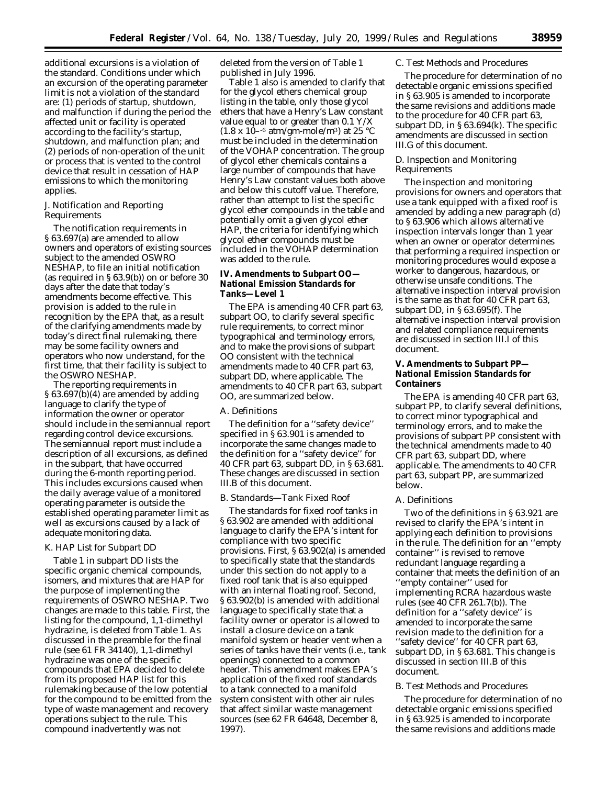additional excursions is a violation of the standard. Conditions under which an excursion of the operating parameter limit is not a violation of the standard are: (1) periods of startup, shutdown, and malfunction if during the period the affected unit or facility is operated according to the facility's startup, shutdown, and malfunction plan; and (2) periods of non-operation of the unit or process that is vented to the control device that result in cessation of HAP emissions to which the monitoring applies.

# *J. Notification and Reporting Requirements*

The notification requirements in § 63.697(a) are amended to allow owners and operators of existing sources subject to the amended OSWRO NESHAP, to file an initial notification (as required in § 63.9(b)) on or before 30 days after the date that today's amendments become effective. This provision is added to the rule in recognition by the EPA that, as a result of the clarifying amendments made by today's direct final rulemaking, there may be some facility owners and operators who now understand, for the first time, that their facility is subject to the OSWRO NESHAP.

The reporting requirements in § 63.697(b)(4) are amended by adding language to clarify the type of information the owner or operator should include in the semiannual report regarding control device excursions. The semiannual report must include a description of all excursions, as defined in the subpart, that have occurred during the 6-month reporting period. This includes excursions caused when the daily average value of a monitored operating parameter is outside the established operating parameter limit as well as excursions caused by a lack of adequate monitoring data.

#### *K. HAP List for Subpart DD*

Table 1 in subpart DD lists the specific organic chemical compounds, isomers, and mixtures that are HAP for the purpose of implementing the requirements of OSWRO NESHAP. Two changes are made to this table. First, the listing for the compound, 1,1-dimethyl hydrazine, is deleted from Table 1. As discussed in the preamble for the final rule (see 61 FR 34140), 1,1-dimethyl hydrazine was one of the specific compounds that EPA decided to delete from its proposed HAP list for this rulemaking because of the low potential for the compound to be emitted from the type of waste management and recovery operations subject to the rule. This compound inadvertently was not

deleted from the version of Table 1 published in July 1996.

Table 1 also is amended to clarify that for the glycol ethers chemical group listing in the table, only those glycol ethers that have a Henry's Law constant value equal to or greater than 0.1 Y/X  $(1.8 \times 10^{-6} \text{ atm/gm-mole/m}^3)$  at 25 °C must be included in the determination of the VOHAP concentration. The group of glycol ether chemicals contains a large number of compounds that have Henry's Law constant values both above and below this cutoff value. Therefore, rather than attempt to list the specific glycol ether compounds in the table and potentially omit a given glycol ether HAP, the criteria for identifying which glycol ether compounds must be included in the VOHAP determination was added to the rule.

# **IV. Amendments to Subpart OO— National Emission Standards for Tanks—Level 1**

The EPA is amending 40 CFR part 63, subpart OO, to clarify several specific rule requirements, to correct minor typographical and terminology errors, and to make the provisions of subpart OO consistent with the technical amendments made to 40 CFR part 63, subpart DD, where applicable. The amendments to 40 CFR part 63, subpart OO, are summarized below.

#### *A. Definitions*

The definition for a ''safety device'' specified in § 63.901 is amended to incorporate the same changes made to the definition for a ''safety device'' for 40 CFR part 63, subpart DD, in § 63.681. These changes are discussed in section III.B of this document.

# *B. Standards—Tank Fixed Roof*

The standards for fixed roof tanks in § 63.902 are amended with additional language to clarify the EPA's intent for compliance with two specific provisions. First, § 63.902(a) is amended to specifically state that the standards under this section do not apply to a fixed roof tank that is also equipped with an internal floating roof. Second, § 63.902(b) is amended with additional language to specifically state that a facility owner or operator is allowed to install a closure device on a tank manifold system or header vent when a series of tanks have their vents (i.e., tank openings) connected to a common header. This amendment makes EPA's application of the fixed roof standards to a tank connected to a manifold system consistent with other air rules that affect similar waste management sources (see 62 FR 64648, December 8, 1997).

#### *C. Test Methods and Procedures*

The procedure for determination of no detectable organic emissions specified in § 63.905 is amended to incorporate the same revisions and additions made to the procedure for 40 CFR part 63, subpart DD, in § 63.694(k). The specific amendments are discussed in section III.G of this document.

# *D. Inspection and Monitoring Requirements*

The inspection and monitoring provisions for owners and operators that use a tank equipped with a fixed roof is amended by adding a new paragraph (d) to § 63.906 which allows alternative inspection intervals longer than 1 year when an owner or operator determines that performing a required inspection or monitoring procedures would expose a worker to dangerous, hazardous, or otherwise unsafe conditions. The alternative inspection interval provision is the same as that for 40 CFR part 63, subpart DD, in § 63.695(f). The alternative inspection interval provision and related compliance requirements are discussed in section III.I of this document.

# **V. Amendments to Subpart PP— National Emission Standards for Containers**

The EPA is amending 40 CFR part 63, subpart PP, to clarify several definitions, to correct minor typographical and terminology errors, and to make the provisions of subpart PP consistent with the technical amendments made to 40 CFR part 63, subpart DD, where applicable. The amendments to 40 CFR part 63, subpart PP, are summarized below.

# *A. Definitions*

Two of the definitions in § 63.921 are revised to clarify the EPA's intent in applying each definition to provisions in the rule. The definition for an ''empty container'' is revised to remove redundant language regarding a container that meets the definition of an ''empty container'' used for implementing RCRA hazardous waste rules (see 40 CFR 261.7(b)). The definition for a ''safety device'' is amended to incorporate the same revision made to the definition for a "safety device" for 40 CFR part 63, subpart DD, in § 63.681. This change is discussed in section III.B of this document.

#### *B. Test Methods and Procedures*

The procedure for determination of no detectable organic emissions specified in § 63.925 is amended to incorporate the same revisions and additions made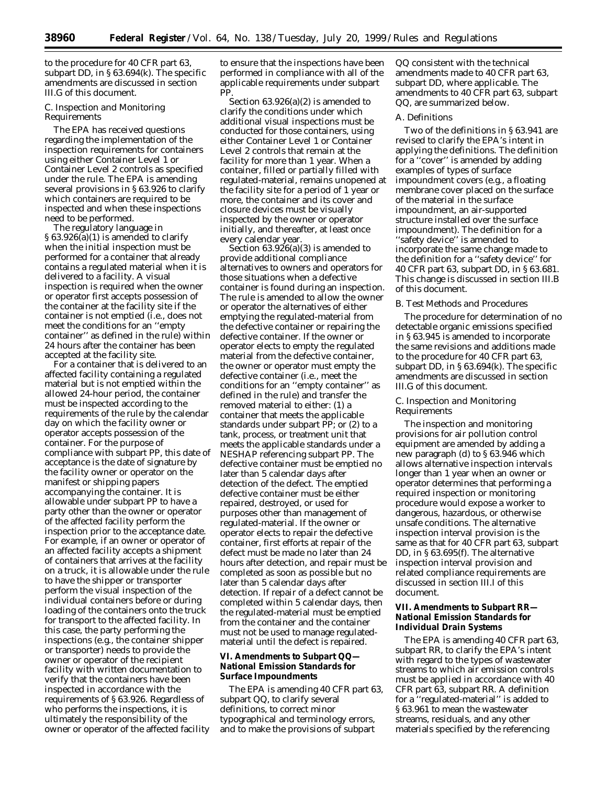to the procedure for 40 CFR part 63, subpart DD, in § 63.694(k). The specific amendments are discussed in section III.G of this document.

# *C. Inspection and Monitoring Requirements*

The EPA has received questions regarding the implementation of the inspection requirements for containers using either Container Level 1 or Container Level 2 controls as specified under the rule. The EPA is amending several provisions in § 63.926 to clarify which containers are required to be inspected and when these inspections need to be performed.

The regulatory language in  $§ 63.926(a)(1)$  is amended to clarify when the initial inspection must be performed for a container that already contains a regulated material when it is delivered to a facility. A visual inspection is required when the owner or operator first accepts possession of the container at the facility site if the container is not emptied (i.e., does not meet the conditions for an ''empty container'' as defined in the rule) within 24 hours after the container has been accepted at the facility site.

For a container that is delivered to an affected facility containing a regulated material but is not emptied within the allowed 24-hour period, the container must be inspected according to the requirements of the rule by the calendar day on which the facility owner or operator accepts possession of the container. For the purpose of compliance with subpart PP, this date of acceptance is the date of signature by the facility owner or operator on the manifest or shipping papers accompanying the container. It is allowable under subpart PP to have a party other than the owner or operator of the affected facility perform the inspection prior to the acceptance date. For example, if an owner or operator of an affected facility accepts a shipment of containers that arrives at the facility on a truck, it is allowable under the rule to have the shipper or transporter perform the visual inspection of the individual containers before or during loading of the containers onto the truck for transport to the affected facility. In this case, the party performing the inspections (e.g., the container shipper or transporter) needs to provide the owner or operator of the recipient facility with written documentation to verify that the containers have been inspected in accordance with the requirements of § 63.926. Regardless of who performs the inspections, it is ultimately the responsibility of the owner or operator of the affected facility

to ensure that the inspections have been performed in compliance with all of the applicable requirements under subpart PP.

Section 63.926(a)(2) is amended to clarify the conditions under which additional visual inspections must be conducted for those containers, using either Container Level 1 or Container Level 2 controls that remain at the facility for more than 1 year. When a container, filled or partially filled with regulated-material, remains unopened at the facility site for a period of 1 year or more, the container and its cover and closure devices must be visually inspected by the owner or operator initially, and thereafter, at least once every calendar year.

Section  $63.926(a)(3)$  is amended to provide additional compliance alternatives to owners and operators for those situations when a defective container is found during an inspection. The rule is amended to allow the owner or operator the alternatives of either emptying the regulated-material from the defective container or repairing the defective container. If the owner or operator elects to empty the regulated material from the defective container, the owner or operator must empty the defective container (i.e., meet the conditions for an ''empty container'' as defined in the rule) and transfer the removed material to either: (1) a container that meets the applicable standards under subpart PP; or (2) to a tank, process, or treatment unit that meets the applicable standards under a NESHAP referencing subpart PP. The defective container must be emptied no later than 5 calendar days after detection of the defect. The emptied defective container must be either repaired, destroyed, or used for purposes other than management of regulated-material. If the owner or operator elects to repair the defective container, first efforts at repair of the defect must be made no later than 24 hours after detection, and repair must be completed as soon as possible but no later than 5 calendar days after detection. If repair of a defect cannot be completed within 5 calendar days, then the regulated-material must be emptied from the container and the container must not be used to manage regulatedmaterial until the defect is repaired.

# **VI. Amendments to Subpart QQ— National Emission Standards for Surface Impoundments**

The EPA is amending 40 CFR part 63, subpart QQ, to clarify several definitions, to correct minor typographical and terminology errors, and to make the provisions of subpart

QQ consistent with the technical amendments made to 40 CFR part 63, subpart DD, where applicable. The amendments to 40 CFR part 63, subpart QQ, are summarized below.

# *A. Definitions*

Two of the definitions in § 63.941 are revised to clarify the EPA's intent in applying the definitions. The definition for a ''cover'' is amended by adding examples of types of surface impoundment covers (e.g., a floating membrane cover placed on the surface of the material in the surface impoundment, an air-supported structure installed over the surface impoundment). The definition for a ''safety device'' is amended to incorporate the same change made to the definition for a ''safety device'' for 40 CFR part 63, subpart DD, in § 63.681. This change is discussed in section III.B of this document.

# *B. Test Methods and Procedures*

The procedure for determination of no detectable organic emissions specified in § 63.945 is amended to incorporate the same revisions and additions made to the procedure for 40 CFR part 63, subpart DD, in § 63.694(k). The specific amendments are discussed in section III.G of this document.

# *C. Inspection and Monitoring Requirements*

The inspection and monitoring provisions for air pollution control equipment are amended by adding a new paragraph (d) to § 63.946 which allows alternative inspection intervals longer than 1 year when an owner or operator determines that performing a required inspection or monitoring procedure would expose a worker to dangerous, hazardous, or otherwise unsafe conditions. The alternative inspection interval provision is the same as that for 40 CFR part 63, subpart DD, in § 63.695(f). The alternative inspection interval provision and related compliance requirements are discussed in section III.I of this document.

# **VII. Amendments to Subpart RR— National Emission Standards for Individual Drain Systems**

The EPA is amending 40 CFR part 63, subpart RR, to clarify the EPA's intent with regard to the types of wastewater streams to which air emission controls must be applied in accordance with 40 CFR part 63, subpart RR. A definition for a ''regulated-material'' is added to § 63.961 to mean the wastewater streams, residuals, and any other materials specified by the referencing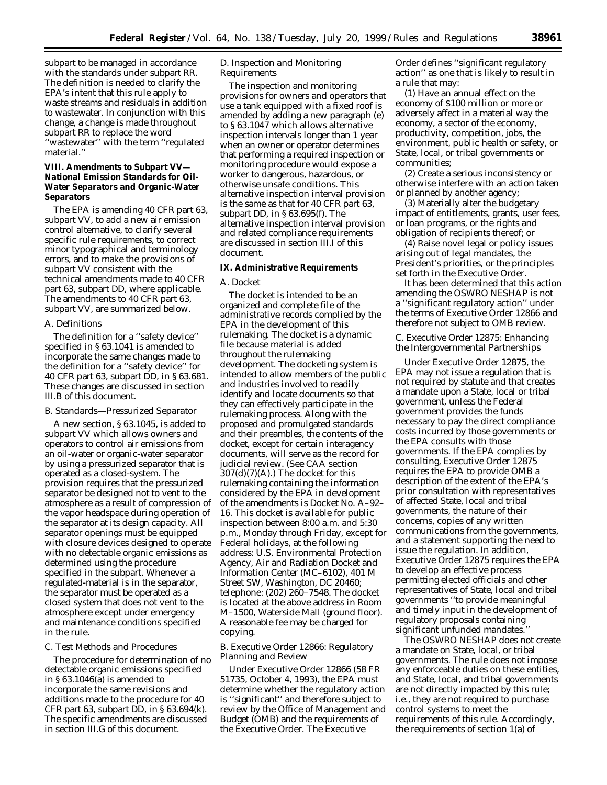subpart to be managed in accordance with the standards under subpart RR. The definition is needed to clarify the EPA's intent that this rule apply to waste streams and residuals in addition to wastewater. In conjunction with this change, a change is made throughout subpart RR to replace the word ''wastewater'' with the term ''regulated material.''

# **VIII. Amendments to Subpart VV— National Emission Standards for Oil-Water Separators and Organic-Water Separators**

The EPA is amending 40 CFR part 63, subpart VV, to add a new air emission control alternative, to clarify several specific rule requirements, to correct minor typographical and terminology errors, and to make the provisions of subpart VV consistent with the technical amendments made to 40 CFR part 63, subpart DD, where applicable. The amendments to 40 CFR part 63, subpart VV, are summarized below.

#### *A. Definitions*

The definition for a ''safety device'' specified in § 63.1041 is amended to incorporate the same changes made to the definition for a ''safety device'' for 40 CFR part 63, subpart DD, in § 63.681. These changes are discussed in section III.B of this document.

#### *B. Standards—Pressurized Separator*

A new section, § 63.1045, is added to subpart VV which allows owners and operators to control air emissions from an oil-water or organic-water separator by using a pressurized separator that is operated as a closed-system. The provision requires that the pressurized separator be designed not to vent to the atmosphere as a result of compression of the vapor headspace during operation of the separator at its design capacity. All separator openings must be equipped with closure devices designed to operate with no detectable organic emissions as determined using the procedure specified in the subpart. Whenever a regulated-material is in the separator, the separator must be operated as a closed system that does not vent to the atmosphere except under emergency and maintenance conditions specified in the rule.

#### *C. Test Methods and Procedures*

The procedure for determination of no detectable organic emissions specified in § 63.1046(a) is amended to incorporate the same revisions and additions made to the procedure for 40 CFR part 63, subpart DD, in § 63.694(k). The specific amendments are discussed in section III.G of this document.

# *D. Inspection and Monitoring Requirements*

The inspection and monitoring provisions for owners and operators that use a tank equipped with a fixed roof is amended by adding a new paragraph (e) to § 63.1047 which allows alternative inspection intervals longer than 1 year when an owner or operator determines that performing a required inspection or monitoring procedure would expose a worker to dangerous, hazardous, or otherwise unsafe conditions. This alternative inspection interval provision is the same as that for 40 CFR part 63, subpart DD, in § 63.695(f). The alternative inspection interval provision and related compliance requirements are discussed in section III.I of this document.

# **IX. Administrative Requirements**

# *A. Docket*

The docket is intended to be an organized and complete file of the administrative records complied by the EPA in the development of this rulemaking. The docket is a dynamic file because material is added throughout the rulemaking development. The docketing system is intended to allow members of the public and industries involved to readily identify and locate documents so that they can effectively participate in the rulemaking process. Along with the proposed and promulgated standards and their preambles, the contents of the docket, except for certain interagency documents, will serve as the record for judicial review. (See CAA section  $307(d)(7)(A)$ .) The docket for this rulemaking containing the information considered by the EPA in development of the amendments is Docket No. A–92– 16. This docket is available for public inspection between 8:00 a.m. and 5:30 p.m., Monday through Friday, except for Federal holidays, at the following address: U.S. Environmental Protection Agency, Air and Radiation Docket and Information Center (MC–6102), 401 M Street SW, Washington, DC 20460; telephone: (202) 260–7548. The docket is located at the above address in Room M–1500, Waterside Mall (ground floor). A reasonable fee may be charged for copying.

# *B. Executive Order 12866: Regulatory Planning and Review*

Under Executive Order 12866 (58 FR 51735, October 4, 1993), the EPA must determine whether the regulatory action is ''significant'' and therefore subject to review by the Office of Management and Budget (OMB) and the requirements of the Executive Order. The Executive

Order defines ''significant regulatory action'' as one that is likely to result in a rule that may:

(1) Have an annual effect on the economy of \$100 million or more or adversely affect in a material way the economy, a sector of the economy, productivity, competition, jobs, the environment, public health or safety, or State, local, or tribal governments or communities;

(2) Create a serious inconsistency or otherwise interfere with an action taken or planned by another agency;

(3) Materially alter the budgetary impact of entitlements, grants, user fees, or loan programs, or the rights and obligation of recipients thereof; or

(4) Raise novel legal or policy issues arising out of legal mandates, the President's priorities, or the principles set forth in the Executive Order.

It has been determined that this action amending the OSWRO NESHAP is not a ''significant regulatory action'' under the terms of Executive Order 12866 and therefore not subject to OMB review.

# *C. Executive Order 12875: Enhancing the Intergovernmental Partnerships*

Under Executive Order 12875, the EPA may not issue a regulation that is not required by statute and that creates a mandate upon a State, local or tribal government, unless the Federal government provides the funds necessary to pay the direct compliance costs incurred by those governments or the EPA consults with those governments. If the EPA complies by consulting, Executive Order 12875 requires the EPA to provide OMB a description of the extent of the EPA's prior consultation with representatives of affected State, local and tribal governments, the nature of their concerns, copies of any written communications from the governments, and a statement supporting the need to issue the regulation. In addition, Executive Order 12875 requires the EPA to develop an effective process permitting elected officials and other representatives of State, local and tribal governments ''to provide meaningful and timely input in the development of regulatory proposals containing significant unfunded mandates.''

The OSWRO NESHAP does not create a mandate on State, local, or tribal governments. The rule does not impose any enforceable duties on these entities, and State, local, and tribal governments are not directly impacted by this rule; i.e., they are not required to purchase control systems to meet the requirements of this rule. Accordingly, the requirements of section 1(a) of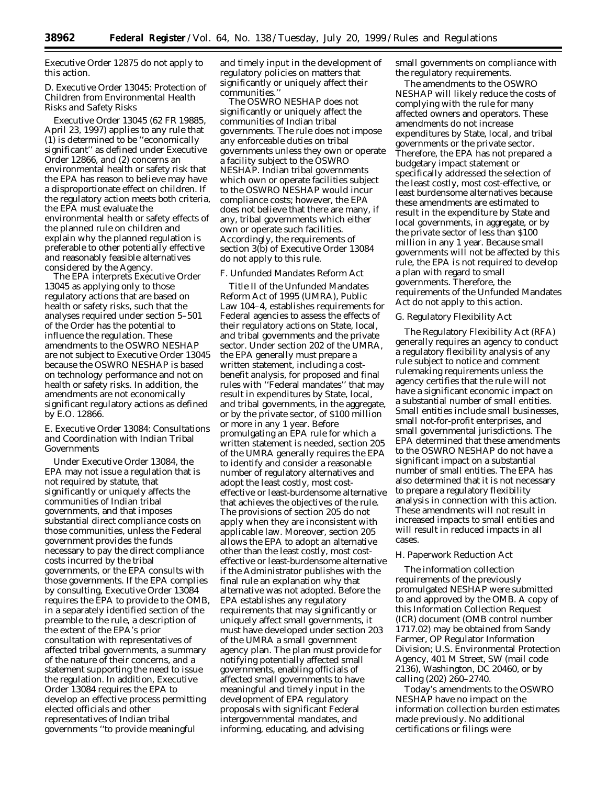Executive Order 12875 do not apply to this action.

# *D. Executive Order 13045: Protection of Children from Environmental Health Risks and Safety Risks*

Executive Order 13045 (62 FR 19885, April 23, 1997) applies to any rule that (1) is determined to be ''economically significant'' as defined under Executive Order 12866, and (2) concerns an environmental health or safety risk that the EPA has reason to believe may have a disproportionate effect on children. If the regulatory action meets both criteria, the EPA must evaluate the environmental health or safety effects of the planned rule on children and explain why the planned regulation is preferable to other potentially effective and reasonably feasible alternatives considered by the Agency.

The EPA interprets Executive Order 13045 as applying only to those regulatory actions that are based on health or safety risks, such that the analyses required under section 5–501 of the Order has the potential to influence the regulation. These amendments to the OSWRO NESHAP are not subject to Executive Order 13045 because the OSWRO NESHAP is based on technology performance and not on health or safety risks. In addition, the amendments are not economically significant regulatory actions as defined by E.O. 12866.

# *E. Executive Order 13084: Consultations and Coordination with Indian Tribal Governments*

Under Executive Order 13084, the EPA may not issue a regulation that is not required by statute, that significantly or uniquely affects the communities of Indian tribal governments, and that imposes substantial direct compliance costs on those communities, unless the Federal government provides the funds necessary to pay the direct compliance costs incurred by the tribal governments, or the EPA consults with those governments. If the EPA complies by consulting, Executive Order 13084 requires the EPA to provide to the OMB, in a separately identified section of the preamble to the rule, a description of the extent of the EPA's prior consultation with representatives of affected tribal governments, a summary of the nature of their concerns, and a statement supporting the need to issue the regulation. In addition, Executive Order 13084 requires the EPA to develop an effective process permitting elected officials and other representatives of Indian tribal governments ''to provide meaningful

and timely input in the development of regulatory policies on matters that significantly or uniquely affect their communities.''

The OSWRO NESHAP does not significantly or uniquely affect the communities of Indian tribal governments. The rule does not impose any enforceable duties on tribal governments unless they own or operate a facility subject to the OSWRO NESHAP. Indian tribal governments which own or operate facilities subject to the OSWRO NESHAP would incur compliance costs; however, the EPA does not believe that there are many, if any, tribal governments which either own or operate such facilities. Accordingly, the requirements of section 3(b) of Executive Order 13084 do not apply to this rule.

#### *F. Unfunded Mandates Reform Act*

Title II of the Unfunded Mandates Reform Act of 1995 (UMRA), Public Law 104–4, establishes requirements for Federal agencies to assess the effects of their regulatory actions on State, local, and tribal governments and the private sector. Under section 202 of the UMRA, the EPA generally must prepare a written statement, including a costbenefit analysis, for proposed and final rules with ''Federal mandates'' that may result in expenditures by State, local, and tribal governments, in the aggregate, or by the private sector, of \$100 million or more in any 1 year. Before promulgating an EPA rule for which a written statement is needed, section 205 of the UMRA generally requires the EPA to identify and consider a reasonable number of regulatory alternatives and adopt the least costly, most costeffective or least-burdensome alternative that achieves the objectives of the rule. The provisions of section 205 do not apply when they are inconsistent with applicable law. Moreover, section 205 allows the EPA to adopt an alternative other than the least costly, most costeffective or least-burdensome alternative if the Administrator publishes with the final rule an explanation why that alternative was not adopted. Before the EPA establishes any regulatory requirements that may significantly or uniquely affect small governments, it must have developed under section 203 of the UMRA a small government agency plan. The plan must provide for notifying potentially affected small governments, enabling officials of affected small governments to have meaningful and timely input in the development of EPA regulatory proposals with significant Federal intergovernmental mandates, and informing, educating, and advising

small governments on compliance with the regulatory requirements.

The amendments to the OSWRO NESHAP will likely reduce the costs of complying with the rule for many affected owners and operators. These amendments do not increase expenditures by State, local, and tribal governments or the private sector. Therefore, the EPA has not prepared a budgetary impact statement or specifically addressed the selection of the least costly, most cost-effective, or least burdensome alternatives because these amendments are estimated to result in the expenditure by State and local governments, in aggregate, or by the private sector of less than \$100 million in any 1 year. Because small governments will not be affected by this rule, the EPA is not required to develop a plan with regard to small governments. Therefore, the requirements of the Unfunded Mandates Act do not apply to this action.

## *G. Regulatory Flexibility Act*

The Regulatory Flexibility Act (RFA) generally requires an agency to conduct a regulatory flexibility analysis of any rule subject to notice and comment rulemaking requirements unless the agency certifies that the rule will not have a significant economic impact on a substantial number of small entities. Small entities include small businesses, small not-for-profit enterprises, and small governmental jurisdictions. The EPA determined that these amendments to the OSWRO NESHAP do not have a significant impact on a substantial number of small entities. The EPA has also determined that it is not necessary to prepare a regulatory flexibility analysis in connection with this action. These amendments will not result in increased impacts to small entities and will result in reduced impacts in all cases.

#### *H. Paperwork Reduction Act*

The information collection requirements of the previously promulgated NESHAP were submitted to and approved by the OMB. A copy of this Information Collection Request (ICR) document (OMB control number 1717.02) may be obtained from Sandy Farmer, OP Regulator Information Division; U.S. Environmental Protection Agency, 401 M Street, SW (mail code 2136), Washington, DC 20460, or by calling (202) 260–2740.

Today's amendments to the OSWRO NESHAP have no impact on the information collection burden estimates made previously. No additional certifications or filings were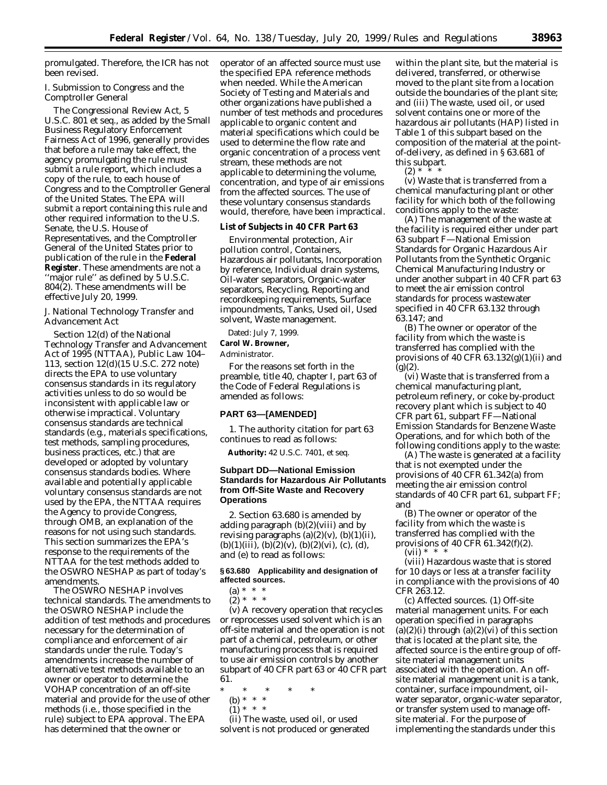promulgated. Therefore, the ICR has not been revised.

# *I. Submission to Congress and the Comptroller General*

The Congressional Review Act, 5 U.S.C. 801 *et seq.*, as added by the Small Business Regulatory Enforcement Fairness Act of 1996, generally provides that before a rule may take effect, the agency promulgating the rule must submit a rule report, which includes a copy of the rule, to each house of Congress and to the Comptroller General of the United States. The EPA will submit a report containing this rule and other required information to the U.S. Senate, the U.S. House of Representatives, and the Comptroller General of the United States prior to publication of the rule in the **Federal Register**. These amendments are not a ''major rule'' as defined by 5 U.S.C. 804(2). These amendments will be effective July 20, 1999.

# *J. National Technology Transfer and Advancement Act*

Section 12(d) of the National Technology Transfer and Advancement Act of 1995 (NTTAA), Public Law 104– 113, section 12(d)(15 U.S.C. 272 note) directs the EPA to use voluntary consensus standards in its regulatory activities unless to do so would be inconsistent with applicable law or otherwise impractical. Voluntary consensus standards are technical standards (e.g., materials specifications, test methods, sampling procedures, business practices, etc.) that are developed or adopted by voluntary consensus standards bodies. Where available and potentially applicable voluntary consensus standards are not used by the EPA, the NTTAA requires the Agency to provide Congress, through OMB, an explanation of the reasons for not using such standards. This section summarizes the EPA's response to the requirements of the NTTAA for the test methods added to the OSWRO NESHAP as part of today's amendments.

The OSWRO NESHAP involves technical standards. The amendments to the OSWRO NESHAP include the addition of test methods and procedures necessary for the determination of compliance and enforcement of air standards under the rule. Today's amendments increase the number of alternative test methods available to an owner or operator to determine the VOHAP concentration of an off-site material and provide for the use of other methods (i.e., those specified in the rule) subject to EPA approval. The EPA has determined that the owner or

operator of an affected source must use the specified EPA reference methods when needed. While the American Society of Testing and Materials and other organizations have published a number of test methods and procedures applicable to organic content and material specifications which could be used to determine the flow rate and organic concentration of a process vent stream, these methods are not applicable to determining the volume, concentration, and type of air emissions from the affected sources. The use of these voluntary consensus standards would, therefore, have been impractical.

#### **List of Subjects in 40 CFR Part 63**

Environmental protection, Air pollution control, Containers, Hazardous air pollutants, Incorporation by reference, Individual drain systems, Oil-water separators, Organic-water separators, Recycling, Reporting and recordkeeping requirements, Surface impoundments, Tanks, Used oil, Used solvent, Waste management.

Dated: July 7, 1999.

# **Carol W. Browner,**

*Administrator.*

For the reasons set forth in the preamble, title 40, chapter I, part 63 of the Code of Federal Regulations is amended as follows:

# **PART 63—[AMENDED]**

1. The authority citation for part 63 continues to read as follows:

**Authority:** 42 U.S.C. 7401, *et seq.*

# **Subpart DD—National Emission Standards for Hazardous Air Pollutants from Off-Site Waste and Recovery Operations**

2. Section 63.680 is amended by adding paragraph (b)(2)(viii) and by revising paragraphs  $(a)(2)(v)$ ,  $(b)(1)(ii)$ ,  $(b)(1)(iii)$ ,  $(b)(2)(v)$ ,  $(b)(2)(vi)$ ,  $(c)$ ,  $(d)$ , and (e) to read as follows:

# **§ 63.680 Applicability and designation of affected sources.**

 $(a) * * * *$ 

 $(2) * * * *$ 

(v) A recovery operation that recycles or reprocesses used solvent which is an off-site material and the operation is not part of a chemical, petroleum, or other manufacturing process that is required to use air emission controls by another subpart of 40 CFR part 63 or 40 CFR part 61.

\* \* \* \* \*

- (b) \* \* \*
- $(1) * * * *$

(ii) The waste, used oil, or used solvent is not produced or generated

within the plant site, but the material is delivered, transferred, or otherwise moved to the plant site from a location outside the boundaries of the plant site; and (iii) The waste, used oil, or used solvent contains one or more of the hazardous air pollutants (HAP) listed in Table 1 of this subpart based on the composition of the material at the pointof-delivery, as defined in § 63.681 of this subpart.

 $(2) *$ 

(v) Waste that is transferred from a chemical manufacturing plant or other facility for which both of the following conditions apply to the waste:

(A) The management of the waste at the facility is required either under part 63 subpart F—National Emission Standards for Organic Hazardous Air Pollutants from the Synthetic Organic Chemical Manufacturing Industry or under another subpart in 40 CFR part 63 to meet the air emission control standards for process wastewater specified in 40 CFR 63.132 through 63.147; and

(B) The owner or operator of the facility from which the waste is transferred has complied with the provisions of 40 CFR  $63.132(g)(1)(ii)$  and  $(g)(2)$ .

(vi) Waste that is transferred from a chemical manufacturing plant, petroleum refinery, or coke by-product recovery plant which is subject to 40 CFR part 61, subpart FF—National Emission Standards for Benzene Waste Operations, and for which both of the following conditions apply to the waste:

(A) The waste is generated at a facility that is not exempted under the provisions of 40 CFR 61.342(a) from meeting the air emission control standards of 40 CFR part 61, subpart FF; and

(B) The owner or operator of the facility from which the waste is transferred has complied with the provisions of 40 CFR 61.342(f)(2).  $(vii) * *$ 

(viii) Hazardous waste that is stored for 10 days or less at a transfer facility in compliance with the provisions of 40 CFR 263.12.

(c) *Affected sources.* (1) *Off-site material management units.* For each operation specified in paragraphs  $(a)(2)(i)$  through  $(a)(2)(vi)$  of this section that is located at the plant site, the affected source is the entire group of offsite material management units associated with the operation. An offsite material management unit is a tank, container, surface impoundment, oilwater separator, organic-water separator, or transfer system used to manage offsite material. For the purpose of implementing the standards under this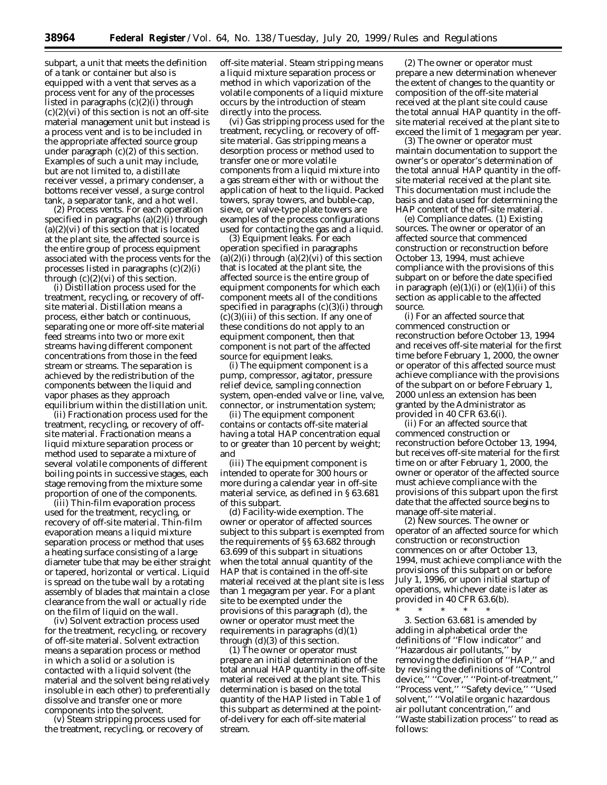subpart, a unit that meets the definition of a tank or container but also is equipped with a vent that serves as a process vent for any of the processes listed in paragraphs (c)(2)(i) through  $(c)(2)(vi)$  of this section is not an off-site material management unit but instead is a process vent and is to be included in the appropriate affected source group under paragraph  $(c)(2)$  of this section. Examples of such a unit may include, but are not limited to, a distillate receiver vessel, a primary condenser, a bottoms receiver vessel, a surge control tank, a separator tank, and a hot well.

(2) *Process vents.* For each operation specified in paragraphs (a)(2)(i) through  $(a)(2)(vi)$  of this section that is located at the plant site, the affected source is the entire group of process equipment associated with the process vents for the processes listed in paragraphs (c)(2)(i) through  $(c)(2)(vi)$  of this section.

(i) Distillation process used for the treatment, recycling, or recovery of offsite material. Distillation means a process, either batch or continuous, separating one or more off-site material feed streams into two or more exit streams having different component concentrations from those in the feed stream or streams. The separation is achieved by the redistribution of the components between the liquid and vapor phases as they approach equilibrium within the distillation unit.

(ii) Fractionation process used for the treatment, recycling, or recovery of offsite material. Fractionation means a liquid mixture separation process or method used to separate a mixture of several volatile components of different boiling points in successive stages, each stage removing from the mixture some proportion of one of the components.

(iii) Thin-film evaporation process used for the treatment, recycling, or recovery of off-site material. Thin-film evaporation means a liquid mixture separation process or method that uses a heating surface consisting of a large diameter tube that may be either straight or tapered, horizontal or vertical. Liquid is spread on the tube wall by a rotating assembly of blades that maintain a close clearance from the wall or actually ride on the film of liquid on the wall.

(iv) Solvent extraction process used for the treatment, recycling, or recovery of off-site material. Solvent extraction means a separation process or method in which a solid or a solution is contacted with a liquid solvent (the material and the solvent being relatively insoluble in each other) to preferentially dissolve and transfer one or more components into the solvent.

(v) Steam stripping process used for the treatment, recycling, or recovery of off-site material. Steam stripping means a liquid mixture separation process or method in which vaporization of the volatile components of a liquid mixture occurs by the introduction of steam directly into the process.

(vi) Gas stripping process used for the treatment, recycling, or recovery of offsite material. Gas stripping means a desorption process or method used to transfer one or more volatile components from a liquid mixture into a gas stream either with or without the application of heat to the liquid. Packed towers, spray towers, and bubble-cap, sieve, or valve-type plate towers are examples of the process configurations used for contacting the gas and a liquid.

(3) *Equipment leaks.* For each operation specified in paragraphs  $(a)(2)(i)$  through  $(a)(2)(vi)$  of this section that is located at the plant site, the affected source is the entire group of equipment components for which each component meets all of the conditions specified in paragraphs (c)(3)(i) through  $(c)(3)(iii)$  of this section. If any one of these conditions do not apply to an equipment component, then that component is not part of the affected source for equipment leaks.

(i) The equipment component is a pump, compressor, agitator, pressure relief device, sampling connection system, open-ended valve or line, valve, connector, or instrumentation system;

(ii) The equipment component contains or contacts off-site material having a total HAP concentration equal to or greater than 10 percent by weight; and

(iii) The equipment component is intended to operate for 300 hours or more during a calendar year in off-site material service, as defined in § 63.681 of this subpart.

(d) *Facility-wide exemption.* The owner or operator of affected sources subject to this subpart is exempted from the requirements of §§ 63.682 through 63.699 of this subpart in situations when the total annual quantity of the HAP that is contained in the off-site material received at the plant site is less than 1 megagram per year. For a plant site to be exempted under the provisions of this paragraph (d), the owner or operator must meet the requirements in paragraphs  $(d)(1)$ through (d)(3) of this section.

(1) The owner or operator must prepare an initial determination of the total annual HAP quantity in the off-site material received at the plant site. This determination is based on the total quantity of the HAP listed in Table 1 of this subpart as determined at the pointof-delivery for each off-site material stream.

(2) The owner or operator must prepare a new determination whenever the extent of changes to the quantity or composition of the off-site material received at the plant site could cause the total annual HAP quantity in the offsite material received at the plant site to exceed the limit of 1 megagram per year.

(3) The owner or operator must maintain documentation to support the owner's or operator's determination of the total annual HAP quantity in the offsite material received at the plant site. This documentation must include the basis and data used for determining the HAP content of the off-site material.

(e) *Compliance dates.* (1) *Existing sources.* The owner or operator of an affected source that commenced construction or reconstruction before October 13, 1994, must achieve compliance with the provisions of this subpart on or before the date specified in paragraph  $(e)(1)(i)$  or  $(e)(1)(ii)$  of this section as applicable to the affected source.

(i) For an affected source that commenced construction or reconstruction before October 13, 1994 and receives off-site material for the first time before February 1, 2000, the owner or operator of this affected source must achieve compliance with the provisions of the subpart on or before February 1, 2000 unless an extension has been granted by the Administrator as provided in 40 CFR 63.6(i).

(ii) For an affected source that commenced construction or reconstruction before October 13, 1994, but receives off-site material for the first time on or after February 1, 2000, the owner or operator of the affected source must achieve compliance with the provisions of this subpart upon the first date that the affected source begins to manage off-site material.

(2) *New sources.* The owner or operator of an affected source for which construction or reconstruction commences on or after October 13, 1994, must achieve compliance with the provisions of this subpart on or before July 1, 1996, or upon initial startup of operations, whichever date is later as provided in 40 CFR 63.6(b).

\* \* \* \* \*

3. Section 63.681 is amended by adding in alphabetical order the definitions of ''Flow indicator'' and ''Hazardous air pollutants,'' by removing the definition of ''HAP,'' and by revising the definitions of ''Control device,'' ''Cover,'' ''Point-of-treatment,'' ''Process vent,'' ''Safety device,'' ''Used solvent,'' ''Volatile organic hazardous air pollutant concentration,'' and ''Waste stabilization process'' to read as follows: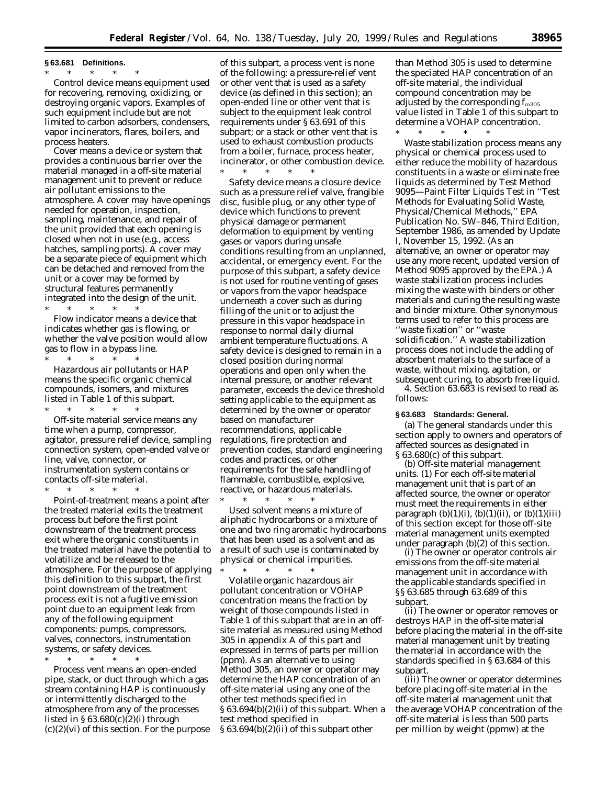#### **§ 63.681 Definitions.**

\* \* \* \* \*

*Control device* means equipment used for recovering, removing, oxidizing, or destroying organic vapors. Examples of such equipment include but are not limited to carbon adsorbers, condensers, vapor incinerators, flares, boilers, and process heaters.

*Cover* means a device or system that provides a continuous barrier over the material managed in a off-site material management unit to prevent or reduce air pollutant emissions to the atmosphere. A cover may have openings needed for operation, inspection, sampling, maintenance, and repair of the unit provided that each opening is closed when not in use (e.g., access hatches, sampling ports). A cover may be a separate piece of equipment which can be detached and removed from the unit or a *cover* may be formed by structural features permanently integrated into the design of the unit.

\* \* \* \* \* *Flow indicator* means a device that indicates whether gas is flowing, or whether the valve position would allow gas to flow in a bypass line. \* \* \* \* \*

*Hazardous air pollutants* or *HAP* means the specific organic chemical compounds, isomers, and mixtures listed in Table 1 of this subpart.

\* \* \* \* \* *Off-site material service* means any time when a pump, compressor, agitator, pressure relief device, sampling connection system, open-ended valve or line, valve, connector, or instrumentation system contains or contacts off-site material.

\* \* \* \* \* *Point-of-treatment* means a point after the treated material exits the treatment process but before the first point downstream of the treatment process exit where the organic constituents in the treated material have the potential to volatilize and be released to the atmosphere. For the purpose of applying this definition to this subpart, the first point downstream of the treatment process exit is not a fugitive emission point due to an equipment leak from any of the following equipment components: pumps, compressors, valves, connectors, instrumentation systems, or safety devices.

\* \* \* \* \*

*Process vent* means an open-ended pipe, stack, or duct through which a gas stream containing HAP is continuously or intermittently discharged to the atmosphere from any of the processes listed in  $\S 63.680(c)(2)(i)$  through  $(c)(2)(vi)$  of this section. For the purpose

of this subpart, a process vent is none of the following: a pressure-relief vent or other vent that is used as a safety device (as defined in this section); an open-ended line or other vent that is subject to the equipment leak control requirements under § 63.691 of this subpart; or a stack or other vent that is used to exhaust combustion products from a boiler, furnace, process heater, incinerator, or other combustion device. \* \* \* \* \*

*Safety device* means a closure device such as a pressure relief valve, frangible disc, fusible plug, or any other type of device which functions to prevent physical damage or permanent deformation to equipment by venting gases or vapors during unsafe conditions resulting from an unplanned, accidental, or emergency event. For the purpose of this subpart, a safety device is not used for routine venting of gases or vapors from the vapor headspace underneath a cover such as during filling of the unit or to adjust the pressure in this vapor headspace in response to normal daily diurnal ambient temperature fluctuations. A safety device is designed to remain in a closed position during normal operations and open only when the internal pressure, or another relevant parameter, exceeds the device threshold setting applicable to the equipment as determined by the owner or operator based on manufacturer recommendations, applicable regulations, fire protection and prevention codes, standard engineering codes and practices, or other requirements for the safe handling of flammable, combustible, explosive, reactive, or hazardous materials. \* \* \* \* \*

*Used solvent* means a mixture of aliphatic hydrocarbons or a mixture of one and two ring aromatic hydrocarbons that has been used as a solvent and as a result of such use is contaminated by physical or chemical impurities.

\* \* \* \* \*

*Volatile organic hazardous air pollutant concentration* or *VOHAP concentration* means the fraction by weight of those compounds listed in Table 1 of this subpart that are in an offsite material as measured using Method 305 in appendix A of this part and expressed in terms of parts per million (ppm). As an alternative to using Method 305, an owner or operator may determine the HAP concentration of an off-site material using any one of the other test methods specified in § 63.694(b)(2)(ii) of this subpart. When a test method specified in § 63.694(b)(2)(ii) of this subpart other

than Method 305 is used to determine the speciated HAP concentration of an off-site material, the individual compound concentration may be adjusted by the corresponding  $f_{m305}$ value listed in Table 1 of this subpart to determine a VOHAP concentration.

\* \* \* \* \*

*Waste stabilization process* means any physical or chemical process used to either reduce the mobility of hazardous constituents in a waste or eliminate free liquids as determined by Test Method 9095—Paint Filter Liquids Test in ''Test Methods for Evaluating Solid Waste, Physical/Chemical Methods,'' EPA Publication No. SW–846, Third Edition, September 1986, as amended by Update I, November 15, 1992. (As an alternative, an owner or operator may use any more recent, updated version of Method 9095 approved by the EPA.) A waste stabilization process includes mixing the waste with binders or other materials and curing the resulting waste and binder mixture. Other synonymous terms used to refer to this process are ''waste fixation'' or ''waste solidification.'' A waste stabilization process does not include the adding of absorbent materials to the surface of a waste, without mixing, agitation, or subsequent curing, to absorb free liquid.

4. Section 63.683 is revised to read as follows:

# **§ 63.683 Standards: General.**

(a) The general standards under this section apply to owners and operators of affected sources as designated in § 63.680(c) of this subpart.

(b) *Off-site material management units.* (1) For each off-site material management unit that is part of an affected source, the owner or operator must meet the requirements in either paragraph  $(b)(1)(i)$ ,  $(b)(1)(ii)$ , or  $(b)(1)(iii)$ of this section except for those off-site material management units exempted under paragraph (b)(2) of this section.

(i) The owner or operator controls air emissions from the off-site material management unit in accordance with the applicable standards specified in §§ 63.685 through 63.689 of this subpart.

(ii) The owner or operator removes or destroys HAP in the off-site material before placing the material in the off-site material management unit by treating the material in accordance with the standards specified in § 63.684 of this subpart.

(iii) The owner or operator determines before placing off-site material in the off-site material management unit that the average VOHAP concentration of the off-site material is less than 500 parts per million by weight (ppmw) at the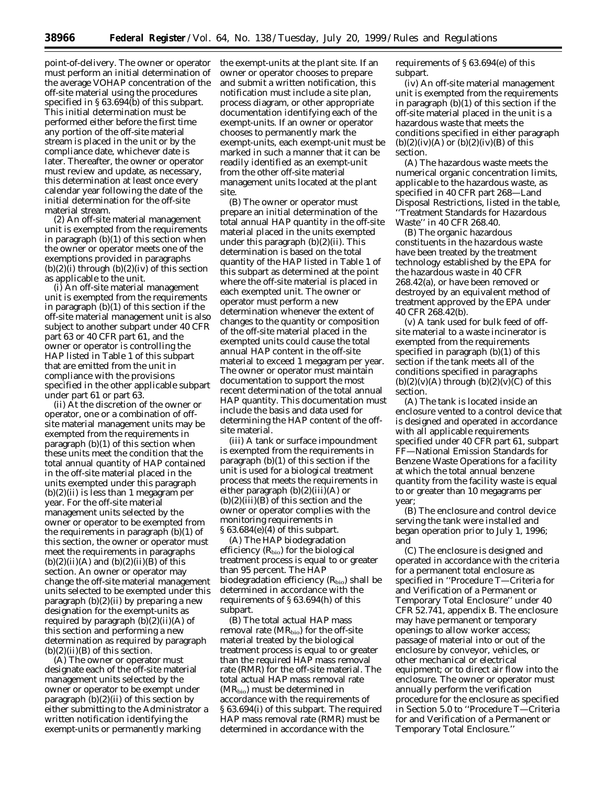point-of-delivery. The owner or operator must perform an initial determination of the average VOHAP concentration of the off-site material using the procedures specified in § 63.694(b) of this subpart. This initial determination must be performed either before the first time any portion of the off-site material stream is placed in the unit or by the compliance date, whichever date is later. Thereafter, the owner or operator must review and update, as necessary, this determination at least once every calendar year following the date of the initial determination for the off-site material stream.

(2) An off-site material management unit is exempted from the requirements in paragraph (b)(1) of this section when the owner or operator meets one of the exemptions provided in paragraphs  $(b)(2)(i)$  through  $(b)(2)(iv)$  of this section as applicable to the unit.

(i) An off-site material management unit is exempted from the requirements in paragraph (b)(1) of this section if the off-site material management unit is also subject to another subpart under 40 CFR part 63 or 40 CFR part 61, and the owner or operator is controlling the HAP listed in Table 1 of this subpart that are emitted from the unit in compliance with the provisions specified in the other applicable subpart under part 61 or part 63.

(ii) At the discretion of the owner or operator, one or a combination of offsite material management units may be exempted from the requirements in paragraph (b)(1) of this section when these units meet the condition that the total annual quantity of HAP contained in the off-site material placed in the units exempted under this paragraph  $(b)(2)(ii)$  is less than 1 megagram per year. For the off-site material management units selected by the owner or operator to be exempted from the requirements in paragraph (b)(1) of this section, the owner or operator must meet the requirements in paragraphs  $(b)(2)(ii)(A)$  and  $(b)(2)(ii)(B)$  of this section. An owner or operator may change the off-site material management units selected to be exempted under this paragraph  $(b)(2)(ii)$  by preparing a new designation for the exempt-units as required by paragraph (b)(2)(ii)(A) of this section and performing a new determination as required by paragraph  $(b)(2)(ii)(B)$  of this section.

(A) The owner or operator must designate each of the off-site material management units selected by the owner or operator to be exempt under paragraph  $(b)(2)(ii)$  of this section by either submitting to the Administrator a written notification identifying the exempt-units or permanently marking

the exempt-units at the plant site. If an owner or operator chooses to prepare and submit a written notification, this notification must include a site plan, process diagram, or other appropriate documentation identifying each of the exempt-units. If an owner or operator chooses to permanently mark the exempt-units, each exempt-unit must be marked in such a manner that it can be readily identified as an exempt-unit from the other off-site material management units located at the plant site.

(B) The owner or operator must prepare an initial determination of the total annual HAP quantity in the off-site material placed in the units exempted under this paragraph (b)(2)(ii). This determination is based on the total quantity of the HAP listed in Table 1 of this subpart as determined at the point where the off-site material is placed in each exempted unit. The owner or operator must perform a new determination whenever the extent of changes to the quantity or composition of the off-site material placed in the exempted units could cause the total annual HAP content in the off-site material to exceed 1 megagram per year. The owner or operator must maintain documentation to support the most recent determination of the total annual HAP quantity. This documentation must include the basis and data used for determining the HAP content of the offsite material.

(iii) A tank or surface impoundment is exempted from the requirements in paragraph (b)(1) of this section if the unit is used for a biological treatment process that meets the requirements in either paragraph  $(b)(2)(iii)(A)$  or  $(b)(2)(iii)(B)$  of this section and the owner or operator complies with the monitoring requirements in § 63.684(e)(4) of this subpart.

(A) The HAP biodegradation efficiency  $(R_{bio})$  for the biological treatment process is equal to or greater than 95 percent. The HAP biodegradation efficiency  $(R_{bio})$  shall be determined in accordance with the requirements of § 63.694(h) of this subpart.

(B) The total actual HAP mass removal rate  $(MR_{bio})$  for the off-site material treated by the biological treatment process is equal to or greater than the required HAP mass removal rate (RMR) for the off-site material. The total actual HAP mass removal rate (MRbio) must be determined in accordance with the requirements of § 63.694(i) of this subpart. The required HAP mass removal rate (RMR) must be determined in accordance with the

requirements of § 63.694(e) of this subpart.

(iv) An off-site material management unit is exempted from the requirements in paragraph (b)(1) of this section if the off-site material placed in the unit is a hazardous waste that meets the conditions specified in either paragraph  $(b)(2)(iv)(A)$  or  $(b)(2)(iv)(B)$  of this section.

(A) The hazardous waste meets the numerical organic concentration limits, applicable to the hazardous waste, as specified in 40 CFR part 268—Land Disposal Restrictions, listed in the table, ''Treatment Standards for Hazardous Waste'' in 40 CFR 268.40.

(B) The organic hazardous constituents in the hazardous waste have been treated by the treatment technology established by the EPA for the hazardous waste in 40 CFR 268.42(a), or have been removed or destroyed by an equivalent method of treatment approved by the EPA under 40 CFR 268.42(b).

(v) A tank used for bulk feed of offsite material to a waste incinerator is exempted from the requirements specified in paragraph (b)(1) of this section if the tank meets all of the conditions specified in paragraphs  $(b)(2)(v)(A)$  through  $(b)(2)(v)(C)$  of this section.

(A) The tank is located inside an enclosure vented to a control device that is designed and operated in accordance with all applicable requirements specified under 40 CFR part 61, subpart FF—National Emission Standards for Benzene Waste Operations for a facility at which the total annual benzene quantity from the facility waste is equal to or greater than 10 megagrams per year;

(B) The enclosure and control device serving the tank were installed and began operation prior to July 1, 1996; and

(C) The enclosure is designed and operated in accordance with the criteria for a permanent total enclosure as specified in ''Procedure T—Criteria for and Verification of a Permanent or Temporary Total Enclosure'' under 40 CFR 52.741, appendix B. The enclosure may have permanent or temporary openings to allow worker access; passage of material into or out of the enclosure by conveyor, vehicles, or other mechanical or electrical equipment; or to direct air flow into the enclosure. The owner or operator must annually perform the verification procedure for the enclosure as specified in Section 5.0 to ''Procedure T—Criteria for and Verification of a Permanent or Temporary Total Enclosure.''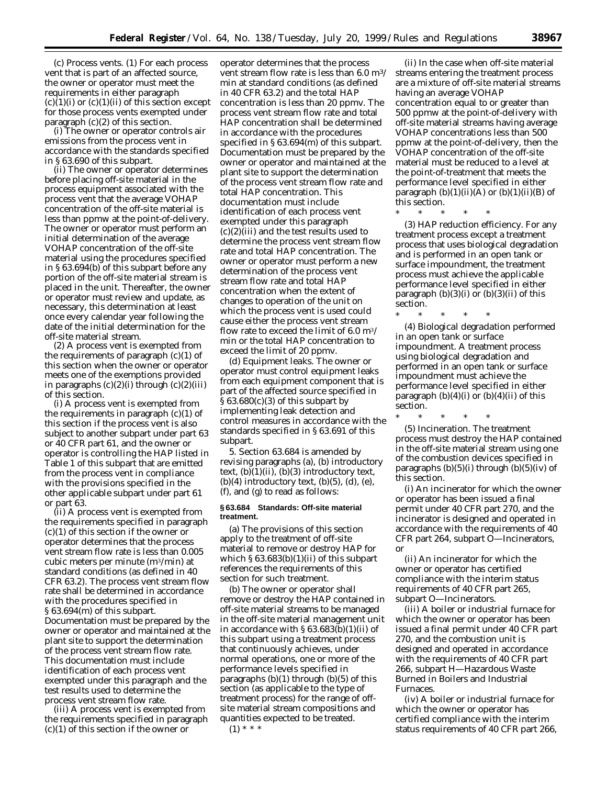(c) *Process vents.* (1) For each process vent that is part of an affected source, the owner or operator must meet the requirements in either paragraph  $(c)(1)(i)$  or  $(c)(1)(ii)$  of this section except for those process vents exempted under paragraph (c)(2) of this section.

(i) The owner or operator controls air emissions from the process vent in accordance with the standards specified in § 63.690 of this subpart.

(ii) The owner or operator determines before placing off-site material in the process equipment associated with the process vent that the average VOHAP concentration of the off-site material is less than ppmw at the point-of-delivery. The owner or operator must perform an initial determination of the average VOHAP concentration of the off-site material using the procedures specified in § 63.694(b) of this subpart before any portion of the off-site material stream is placed in the unit. Thereafter, the owner or operator must review and update, as necessary, this determination at least once every calendar year following the date of the initial determination for the off-site material stream.

(2) A process vent is exempted from the requirements of paragraph  $(c)(1)$  of this section when the owner or operator meets one of the exemptions provided in paragraphs (c)(2)(i) through (c)(2)(iii) of this section.

(i) A process vent is exempted from the requirements in paragraph (c)(1) of this section if the process vent is also subject to another subpart under part 63 or 40 CFR part 61, and the owner or operator is controlling the HAP listed in Table 1 of this subpart that are emitted from the process vent in compliance with the provisions specified in the other applicable subpart under part 61 or part 63.

(ii) A process vent is exempted from the requirements specified in paragraph (c)(1) of this section if the owner or operator determines that the process vent stream flow rate is less than 0.005 cubic meters per minute (m3/min) at standard conditions (as defined in 40 CFR 63.2). The process vent stream flow rate shall be determined in accordance with the procedures specified in § 63.694(m) of this subpart. Documentation must be prepared by the owner or operator and maintained at the plant site to support the determination of the process vent stream flow rate. This documentation must include identification of each process vent exempted under this paragraph and the test results used to determine the process vent stream flow rate.

(iii) A process vent is exempted from the requirements specified in paragraph (c)(1) of this section if the owner or

operator determines that the process vent stream flow rate is less than 6.0 m3/ min at standard conditions (as defined in 40 CFR 63.2) and the total HAP concentration is less than 20 ppmv. The process vent stream flow rate and total HAP concentration shall be determined in accordance with the procedures specified in § 63.694(m) of this subpart. Documentation must be prepared by the owner or operator and maintained at the plant site to support the determination of the process vent stream flow rate and total HAP concentration. This documentation must include identification of each process vent exempted under this paragraph (c)(2)(iii) and the test results used to determine the process vent stream flow rate and total HAP concentration. The owner or operator must perform a new determination of the process vent stream flow rate and total HAP concentration when the extent of changes to operation of the unit on which the process vent is used could cause either the process vent stream flow rate to exceed the limit of 6.0 m3/ min or the total HAP concentration to exceed the limit of 20 ppmv.

(d) *Equipment leaks.* The owner or operator must control equipment leaks from each equipment component that is part of the affected source specified in  $\S 63.680(c)(3)$  of this subpart by implementing leak detection and control measures in accordance with the standards specified in § 63.691 of this subpart.

5. Section 63.684 is amended by revising paragraphs (a), (b) introductory text,  $(b)(1)(ii)$ ,  $(b)(3)$  introductory text,  $(b)(4)$  introductory text,  $(b)(5)$ ,  $(d)$ ,  $(e)$ , (f), and (g) to read as follows:

#### **§ 63.684 Standards: Off-site material treatment.**

(a) The provisions of this section apply to the treatment of off-site material to remove or destroy HAP for which § 63.683(b)(1)(ii) of this subpart references the requirements of this section for such treatment.

(b) The owner or operator shall remove or destroy the HAP contained in off-site material streams to be managed in the off-site material management unit in accordance with § 63.683(b)(1)(ii) of this subpart using a treatment process that continuously achieves, under normal operations, one or more of the performance levels specified in paragraphs  $(b)(1)$  through  $(b)(5)$  of this section (as applicable to the type of treatment process) for the range of offsite material stream compositions and quantities expected to be treated.

 $(1)$  \* \* \*

(ii) In the case when off-site material streams entering the treatment process are a mixture of off-site material streams having an average VOHAP concentration equal to or greater than 500 ppmw at the point-of-delivery with off-site material streams having average VOHAP concentrations less than 500 ppmw at the point-of-delivery, then the VOHAP concentration of the off-site material must be reduced to a level at the point-of-treatment that meets the performance level specified in either paragraph  $(b)(1)(ii)(A)$  or  $(b)(1)(ii)(B)$  of this section.<br> $*$ 

\* \* \* \* \* (3) *HAP reduction efficiency.* For any treatment process except a treatment process that uses biological degradation and is performed in an open tank or surface impoundment, the treatment process must achieve the applicable performance level specified in either paragraph  $(b)(3)(i)$  or  $(b)(3)(ii)$  of this section.

(4) *Biological degradation performed in an open tank or surface impoundment.* A treatment process using biological degradation and performed in an open tank or surface impoundment must achieve the performance level specified in either paragraph  $(b)(4)(i)$  or  $(b)(4)(ii)$  of this section.

\* \* \* \* \*

\* \* \* \* \* (5) *Incineration.* The treatment process must destroy the HAP contained in the off-site material stream using one of the combustion devices specified in paragraphs  $(b)(5)(i)$  through  $(b)(5)(iv)$  of this section.

(i) An incinerator for which the owner or operator has been issued a final permit under 40 CFR part 270, and the incinerator is designed and operated in accordance with the requirements of 40 CFR part 264, subpart O—Incinerators, or

(ii) An incinerator for which the owner or operator has certified compliance with the interim status requirements of 40 CFR part 265, subpart O—Incinerators.

(iii) A boiler or industrial furnace for which the owner or operator has been issued a final permit under 40 CFR part 270, and the combustion unit is designed and operated in accordance with the requirements of 40 CFR part 266, subpart H—Hazardous Waste Burned in Boilers and Industrial Furnaces.

(iv) A boiler or industrial furnace for which the owner or operator has certified compliance with the interim status requirements of 40 CFR part 266,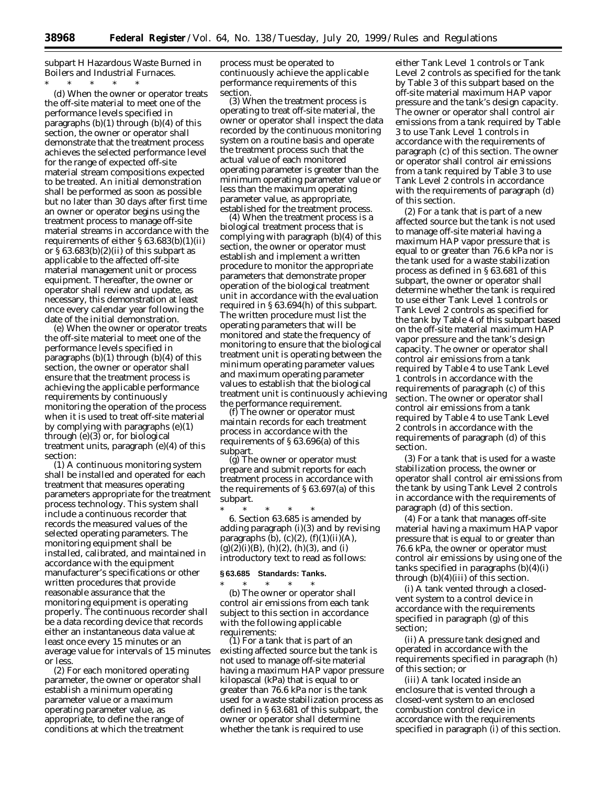subpart H Hazardous Waste Burned in Boilers and Industrial Furnaces.

\* \* \* \* \* (d) When the owner or operator treats the off-site material to meet one of the performance levels specified in paragraphs  $(b)(1)$  through  $(b)(4)$  of this section, the owner or operator shall demonstrate that the treatment process achieves the selected performance level for the range of expected off-site material stream compositions expected to be treated. An initial demonstration shall be performed as soon as possible but no later than 30 days after first time an owner or operator begins using the treatment process to manage off-site material streams in accordance with the requirements of either § 63.683(b)(1)(ii) or  $\S 63.683(b)(2)(ii)$  of this subpart as applicable to the affected off-site material management unit or process equipment. Thereafter, the owner or operator shall review and update, as necessary, this demonstration at least once every calendar year following the date of the initial demonstration.

(e) When the owner or operator treats the off-site material to meet one of the performance levels specified in paragraphs  $(b)(1)$  through  $(b)(4)$  of this section, the owner or operator shall ensure that the treatment process is achieving the applicable performance requirements by continuously monitoring the operation of the process when it is used to treat off-site material by complying with paragraphs (e)(1) through (e)(3) or, for biological treatment units, paragraph (e)(4) of this section:

(1) A continuous monitoring system shall be installed and operated for each treatment that measures operating parameters appropriate for the treatment process technology. This system shall include a continuous recorder that records the measured values of the selected operating parameters. The monitoring equipment shall be installed, calibrated, and maintained in accordance with the equipment manufacturer's specifications or other written procedures that provide reasonable assurance that the monitoring equipment is operating properly. The continuous recorder shall be a data recording device that records either an instantaneous data value at least once every 15 minutes or an average value for intervals of 15 minutes or less.

(2) For each monitored operating parameter, the owner or operator shall establish a minimum operating parameter value or a maximum operating parameter value, as appropriate, to define the range of conditions at which the treatment

process must be operated to continuously achieve the applicable performance requirements of this section.

(3) When the treatment process is operating to treat off-site material, the owner or operator shall inspect the data recorded by the continuous monitoring system on a routine basis and operate the treatment process such that the actual value of each monitored operating parameter is greater than the minimum operating parameter value or less than the maximum operating parameter value, as appropriate,

 $(4)$  When the treatment process is a biological treatment process that is complying with paragraph (b)(4) of this section, the owner or operator must establish and implement a written procedure to monitor the appropriate parameters that demonstrate proper operation of the biological treatment unit in accordance with the evaluation required in § 63.694(h) of this subpart. The written procedure must list the operating parameters that will be monitored and state the frequency of monitoring to ensure that the biological treatment unit is operating between the minimum operating parameter values and maximum operating parameter values to establish that the biological treatment unit is continuously achieving

(f) The owner or operator must maintain records for each treatment process in accordance with the requirements of § 63.696(a) of this subpart.<br>(g) The owner or operator must

prepare and submit reports for each treatment process in accordance with the requirements of § 63.697(a) of this subpart.

\* \* \* \* \* 6. Section 63.685 is amended by adding paragraph (i)(3) and by revising paragraphs  $(b)$ ,  $(c)(2)$ ,  $(f)(1)(ii)(A)$ ,  $(g)(2)(i)(B)$ ,  $(h)(2)$ ,  $(h)(3)$ , and  $(i)$ introductory text to read as follows:

#### **§ 63.685 Standards: Tanks.**

\* \* \* \* \* (b) The owner or operator shall control air emissions from each tank subject to this section in accordance with the following applicable<br>requirements:

 $(1)$  For a tank that is part of an existing affected source but the tank is not used to manage off-site material having a maximum HAP vapor pressure kilopascal (kPa) that is equal to or greater than 76.6 kPa nor is the tank used for a waste stabilization process as defined in § 63.681 of this subpart, the owner or operator shall determine whether the tank is required to use

either Tank Level 1 controls or Tank Level 2 controls as specified for the tank by Table 3 of this subpart based on the off-site material maximum HAP vapor pressure and the tank's design capacity. The owner or operator shall control air emissions from a tank required by Table 3 to use Tank Level 1 controls in accordance with the requirements of paragraph (c) of this section. The owner or operator shall control air emissions from a tank required by Table 3 to use Tank Level 2 controls in accordance with the requirements of paragraph (d) of this section.

(2) For a tank that is part of a new affected source but the tank is not used to manage off-site material having a maximum HAP vapor pressure that is equal to or greater than 76.6 kPa nor is the tank used for a waste stabilization process as defined in § 63.681 of this subpart, the owner or operator shall determine whether the tank is required to use either Tank Level 1 controls or Tank Level 2 controls as specified for the tank by Table 4 of this subpart based on the off-site material maximum HAP vapor pressure and the tank's design capacity. The owner or operator shall control air emissions from a tank required by Table 4 to use Tank Level 1 controls in accordance with the requirements of paragraph (c) of this section. The owner or operator shall control air emissions from a tank required by Table 4 to use Tank Level 2 controls in accordance with the requirements of paragraph (d) of this section.

(3) For a tank that is used for a waste stabilization process, the owner or operator shall control air emissions from the tank by using Tank Level 2 controls in accordance with the requirements of paragraph (d) of this section.

(4) For a tank that manages off-site material having a maximum HAP vapor pressure that is equal to or greater than 76.6 kPa, the owner or operator must control air emissions by using one of the tanks specified in paragraphs (b)(4)(i) through (b)(4)(iii) of this section.

(i) A tank vented through a closedvent system to a control device in accordance with the requirements specified in paragraph (g) of this section;

(ii) A pressure tank designed and operated in accordance with the requirements specified in paragraph (h) of this section; or

(iii) A tank located inside an enclosure that is vented through a closed-vent system to an enclosed combustion control device in accordance with the requirements specified in paragraph (i) of this section.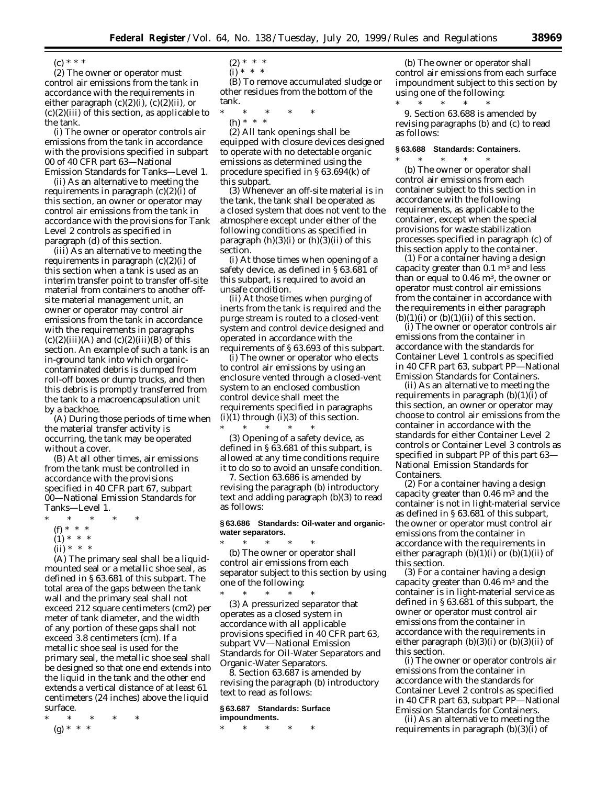$(c) * * * *$ 

(2) The owner or operator must control air emissions from the tank in accordance with the requirements in either paragraph  $(c)(2)(i)$ ,  $(c)(2)(ii)$ , or  $(c)(2)(iii)$  of this section, as applicable to the tank.

(i) The owner or operator controls air emissions from the tank in accordance with the provisions specified in subpart 00 of 40 CFR part 63—National Emission Standards for Tanks—Level 1.

(ii) As an alternative to meeting the requirements in paragraph (c)(2)(i) of this section, an owner or operator may control air emissions from the tank in accordance with the provisions for Tank Level 2 controls as specified in paragraph (d) of this section.

(iii) As an alternative to meeting the requirements in paragraph  $(c)(2)(i)$  of this section when a tank is used as an interim transfer point to transfer off-site material from containers to another offsite material management unit, an owner or operator may control air emissions from the tank in accordance with the requirements in paragraphs  $(c)(2)(iii)(A)$  and  $(c)(2)(iii)(B)$  of this section. An example of such a tank is an in-ground tank into which organiccontaminated debris is dumped from roll-off boxes or dump trucks, and then this debris is promptly transferred from the tank to a macroencapsulation unit by a backhoe.

(A) During those periods of time when the material transfer activity is occurring, the tank may be operated without a cover.

(B) At all other times, air emissions from the tank must be controlled in accordance with the provisions specified in 40 CFR part 67, subpart 00—National Emission Standards for Tanks—Level 1.

- \* \* \* \* \*
	- (f) \* \* \*
	- $(1) * * * *$

 $(ii) * * * *$ (A) The primary seal shall be a liquidmounted seal or a metallic shoe seal, as defined in § 63.681 of this subpart. The total area of the gaps between the tank wall and the primary seal shall not exceed 212 square centimeters (cm2) per meter of tank diameter, and the width of any portion of these gaps shall not exceed 3.8 centimeters (cm). If a metallic shoe seal is used for the primary seal, the metallic shoe seal shall be designed so that one end extends into the liquid in the tank and the other end extends a vertical distance of at least 61

centimeters (24 inches) above the liquid surface.

\* \* \* \* \* (g) \* \* \*

- $(2) * * * *$
- $(i)$ <sup>'\*</sup> \* \*

(B) To remove accumulated sludge or other residues from the bottom of the tank.

\* \* \* \* \* (h) \* \* \*

(2) All tank openings shall be equipped with closure devices designed to operate with no detectable organic emissions as determined using the procedure specified in § 63.694(k) of this subpart.

(3) Whenever an off-site material is in the tank, the tank shall be operated as a closed system that does not vent to the atmosphere except under either of the following conditions as specified in paragraph  $(h)(3)(i)$  or  $(h)(3)(ii)$  of this section.

(i) At those times when opening of a safety device, as defined in § 63.681 of this subpart, is required to avoid an unsafe condition.

(ii) At those times when purging of inerts from the tank is required and the purge stream is routed to a closed-vent system and control device designed and operated in accordance with the requirements of § 63.693 of this subpart.

(i) The owner or operator who elects to control air emissions by using an enclosure vented through a closed-vent system to an enclosed combustion control device shall meet the requirements specified in paragraphs  $(i)(1)$  through  $(i)(3)$  of this section. \* \* \* \* \*

(3) Opening of a safety device, as defined in § 63.681 of this subpart, is allowed at any time conditions require it to do so to avoid an unsafe condition.

7. Section 63.686 is amended by revising the paragraph (b) introductory text and adding paragraph (b)(3) to read as follows:

#### **§ 63.686 Standards: Oil-water and organicwater separators.**  $*$  \*

(b) The owner or operator shall control air emissions from each separator subject to this section by using one of the following: \* \* \* \* \*

(3) A pressurized separator that operates as a closed system in accordance with all applicable provisions specified in 40 CFR part 63, subpart VV—National Emission Standards for Oil-Water Separators and Organic-Water Separators.

8. Section 63.687 is amended by revising the paragraph (b) introductory text to read as follows:

#### **§ 63.687 Standards: Surface impoundments.**

\* \* \* \* \*

(b) The owner or operator shall control air emissions from each surface impoundment subject to this section by using one of the following:

\* \* \* \* \* 9. Section 63.688 is amended by revising paragraphs (b) and (c) to read as follows:

#### **§ 63.688 Standards: Containers.**

\* \* \* \* \* (b) The owner or operator shall control air emissions from each container subject to this section in accordance with the following requirements, as applicable to the container, except when the special provisions for waste stabilization processes specified in paragraph (c) of this section apply to the container.

(1) For a container having a design capacity greater than  $0.1 \text{ m}^3$  and less than or equal to  $0.46 \text{ m}^3$ , the owner or operator must control air emissions from the container in accordance with the requirements in either paragraph  $(b)(1)(i)$  or  $(b)(1)(ii)$  of this section.

(i) The owner or operator controls air emissions from the container in accordance with the standards for Container Level 1 controls as specified in 40 CFR part 63, subpart PP—National Emission Standards for Containers.

(ii) As an alternative to meeting the requirements in paragraph  $(b)(1)(i)$  of this section, an owner or operator may choose to control air emissions from the container in accordance with the standards for either Container Level 2 controls or Container Level 3 controls as specified in subpart PP of this part 63— National Emission Standards for Containers.

(2) For a container having a design capacity greater than 0.46 m3 and the container is not in light-material service as defined in § 63.681 of this subpart, the owner or operator must control air emissions from the container in accordance with the requirements in either paragraph  $(b)(1)(i)$  or  $(b)(1)(ii)$  of this section.

(3) For a container having a design capacity greater than  $0.46$  m<sup>3</sup> and the container is in light-material service as defined in § 63.681 of this subpart, the owner or operator must control air emissions from the container in accordance with the requirements in either paragraph (b)(3)(i) or (b)(3)(ii) of this section.

(i) The owner or operator controls air emissions from the container in accordance with the standards for Container Level 2 controls as specified in 40 CFR part 63, subpart PP—National Emission Standards for Containers.

(ii) As an alternative to meeting the requirements in paragraph  $(b)(3)(i)$  of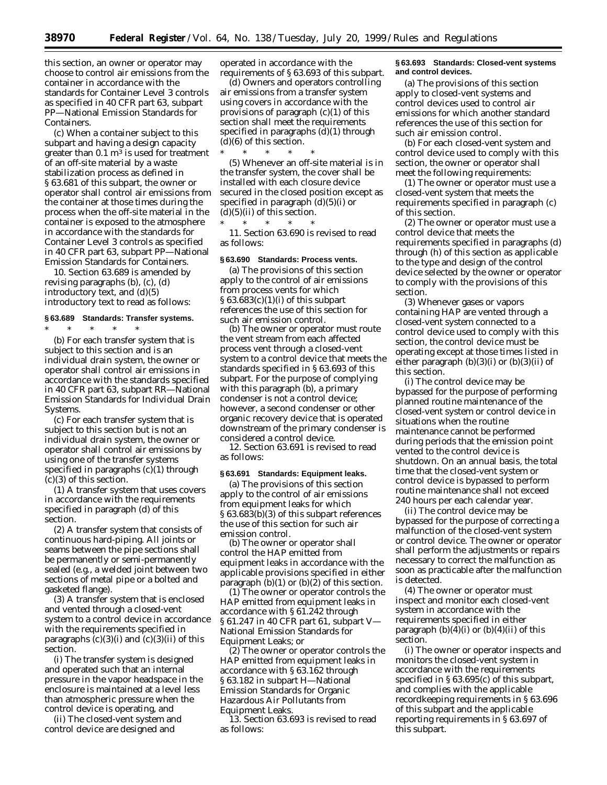this section, an owner or operator may choose to control air emissions from the container in accordance with the standards for Container Level 3 controls as specified in 40 CFR part 63, subpart PP—National Emission Standards for **Containers** 

(c) When a container subject to this subpart and having a design capacity greater than  $0.1 \text{ m}^3$  is used for treatment of an off-site material by a waste stabilization process as defined in § 63.681 of this subpart, the owner or operator shall control air emissions from the container at those times during the process when the off-site material in the container is exposed to the atmosphere in accordance with the standards for Container Level 3 controls as specified in 40 CFR part 63, subpart PP—National Emission Standards for Containers.

10. Section 63.689 is amended by revising paragraphs (b), (c), (d) introductory text, and (d)(5) introductory text to read as follows:

# **§ 63.689 Standards: Transfer systems.**

\* \* \* \* \* (b) For each transfer system that is subject to this section and is an individual drain system, the owner or operator shall control air emissions in accordance with the standards specified in 40 CFR part 63, subpart RR—National Emission Standards for Individual Drain Systems.

(c) For each transfer system that is subject to this section but is not an individual drain system, the owner or operator shall control air emissions by using one of the transfer systems specified in paragraphs (c)(1) through (c)(3) of this section.

(1) A transfer system that uses covers in accordance with the requirements specified in paragraph (d) of this section.

(2) A transfer system that consists of continuous hard-piping. All joints or seams between the pipe sections shall be permanently or semi-permanently sealed (e.g., a welded joint between two sections of metal pipe or a bolted and gasketed flange).

(3) A transfer system that is enclosed and vented through a closed-vent system to a control device in accordance with the requirements specified in paragraphs  $(c)(3)(i)$  and  $(c)(3)(ii)$  of this section.

(i) The transfer system is designed and operated such that an internal pressure in the vapor headspace in the enclosure is maintained at a level less than atmospheric pressure when the control device is operating, and

(ii) The closed-vent system and control device are designed and

operated in accordance with the requirements of § 63.693 of this subpart.

(d) Owners and operators controlling air emissions from a transfer system using covers in accordance with the provisions of paragraph (c)(1) of this section shall meet the requirements specified in paragraphs (d)(1) through (d)(6) of this section.

\* \* \* \* \* (5) Whenever an off-site material is in the transfer system, the cover shall be installed with each closure device secured in the closed position except as specified in paragraph (d)(5)(i) or  $(d)(5)(ii)$  of this section.

\* \* \* \* \* 11. Section 63.690 is revised to read as follows:

# **§ 63.690 Standards: Process vents.**

(a) The provisions of this section apply to the control of air emissions from process vents for which § 63.683(c)(1)(i) of this subpart references the use of this section for such air emission control.

(b) The owner or operator must route the vent stream from each affected process vent through a closed-vent system to a control device that meets the standards specified in § 63.693 of this subpart. For the purpose of complying with this paragraph (b), a primary condenser is not a control device; however, a second condenser or other organic recovery device that is operated downstream of the primary condenser is considered a control device.

12. Section 63.691 is revised to read as follows:

#### **§ 63.691 Standards: Equipment leaks.**

(a) The provisions of this section apply to the control of air emissions from equipment leaks for which § 63.683(b)(3) of this subpart references the use of this section for such air emission control.

(b) The owner or operator shall control the HAP emitted from equipment leaks in accordance with the applicable provisions specified in either paragraph  $(b)(1)$  or  $(b)(2)$  of this section.

(1) The owner or operator controls the HAP emitted from equipment leaks in accordance with § 61.242 through § 61.247 in 40 CFR part 61, subpart V— National Emission Standards for Equipment Leaks; or

(2) The owner or operator controls the HAP emitted from equipment leaks in accordance with § 63.162 through § 63.182 in subpart H—National Emission Standards for Organic Hazardous Air Pollutants from Equipment Leaks.

13. Section 63.693 is revised to read as follows:

#### **§ 63.693 Standards: Closed-vent systems and control devices.**

(a) The provisions of this section apply to closed-vent systems and control devices used to control air emissions for which another standard references the use of this section for such air emission control.

(b) For each closed-vent system and control device used to comply with this section, the owner or operator shall meet the following requirements:

(1) The owner or operator must use a closed-vent system that meets the requirements specified in paragraph (c) of this section.

(2) The owner or operator must use a control device that meets the requirements specified in paragraphs (d) through (h) of this section as applicable to the type and design of the control device selected by the owner or operator to comply with the provisions of this section.

(3) Whenever gases or vapors containing HAP are vented through a closed-vent system connected to a control device used to comply with this section, the control device must be operating except at those times listed in either paragraph  $(b)(3)(i)$  or  $(b)(3)(ii)$  of this section.

(i) The control device may be bypassed for the purpose of performing planned routine maintenance of the closed-vent system or control device in situations when the routine maintenance cannot be performed during periods that the emission point vented to the control device is shutdown. On an annual basis, the total time that the closed-vent system or control device is bypassed to perform routine maintenance shall not exceed 240 hours per each calendar year.

(ii) The control device may be bypassed for the purpose of correcting a malfunction of the closed-vent system or control device. The owner or operator shall perform the adjustments or repairs necessary to correct the malfunction as soon as practicable after the malfunction is detected.

(4) The owner or operator must inspect and monitor each closed-vent system in accordance with the requirements specified in either paragraph  $(b)(4)(i)$  or  $(b)(4)(ii)$  of this section.

(i) The owner or operator inspects and monitors the closed-vent system in accordance with the requirements specified in § 63.695(c) of this subpart, and complies with the applicable recordkeeping requirements in § 63.696 of this subpart and the applicable reporting requirements in § 63.697 of this subpart.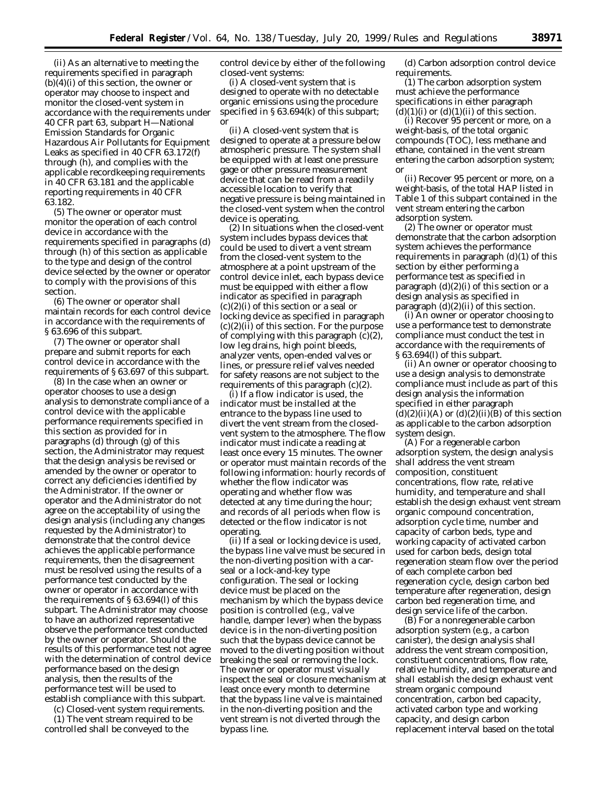(ii) As an alternative to meeting the requirements specified in paragraph  $(b)(4)(i)$  of this section, the owner or operator may choose to inspect and monitor the closed-vent system in accordance with the requirements under 40 CFR part 63, subpart H—National Emission Standards for Organic Hazardous Air Pollutants for Equipment Leaks as specified in 40 CFR 63.172(f) through (h), and complies with the applicable recordkeeping requirements in 40 CFR 63.181 and the applicable reporting requirements in 40 CFR 63.182.

(5) The owner or operator must monitor the operation of each control device in accordance with the requirements specified in paragraphs (d) through (h) of this section as applicable to the type and design of the control device selected by the owner or operator to comply with the provisions of this section.

(6) The owner or operator shall maintain records for each control device in accordance with the requirements of § 63.696 of this subpart.

(7) The owner or operator shall prepare and submit reports for each control device in accordance with the requirements of § 63.697 of this subpart.

(8) In the case when an owner or operator chooses to use a design analysis to demonstrate compliance of a control device with the applicable performance requirements specified in this section as provided for in paragraphs (d) through (g) of this section, the Administrator may request that the design analysis be revised or amended by the owner or operator to correct any deficiencies identified by the Administrator. If the owner or operator and the Administrator do not agree on the acceptability of using the design analysis (including any changes requested by the Administrator) to demonstrate that the control device achieves the applicable performance requirements, then the disagreement must be resolved using the results of a performance test conducted by the owner or operator in accordance with the requirements of § 63.694(l) of this subpart. The Administrator may choose to have an authorized representative observe the performance test conducted by the owner or operator. Should the results of this performance test not agree with the determination of control device performance based on the design analysis, then the results of the performance test will be used to establish compliance with this subpart.

(c) Closed-vent system requirements.

(1) The vent stream required to be controlled shall be conveyed to the

control device by either of the following closed-vent systems:

(i) A closed-vent system that is designed to operate with no detectable organic emissions using the procedure specified in § 63.694(k) of this subpart; or

(ii) A closed-vent system that is designed to operate at a pressure below atmospheric pressure. The system shall be equipped with at least one pressure gage or other pressure measurement device that can be read from a readily accessible location to verify that negative pressure is being maintained in the closed-vent system when the control device is operating.

(2) In situations when the closed-vent system includes bypass devices that could be used to divert a vent stream from the closed-vent system to the atmosphere at a point upstream of the control device inlet, each bypass device must be equipped with either a flow indicator as specified in paragraph (c)(2)(i) of this section or a seal or locking device as specified in paragraph  $(c)(2)(ii)$  of this section. For the purpose of complying with this paragraph (c)(2), low leg drains, high point bleeds, analyzer vents, open-ended valves or lines, or pressure relief valves needed for safety reasons are not subject to the requirements of this paragraph (c)(2).

(i) If a flow indicator is used, the indicator must be installed at the entrance to the bypass line used to divert the vent stream from the closedvent system to the atmosphere. The flow indicator must indicate a reading at least once every 15 minutes. The owner or operator must maintain records of the following information: hourly records of whether the flow indicator was operating and whether flow was detected at any time during the hour; and records of all periods when flow is detected or the flow indicator is not operating.

(ii) If a seal or locking device is used, the bypass line valve must be secured in the non-diverting position with a carseal or a lock-and-key type configuration. The seal or locking device must be placed on the mechanism by which the bypass device position is controlled (e.g., valve handle, damper lever) when the bypass device is in the non-diverting position such that the bypass device cannot be moved to the diverting position without breaking the seal or removing the lock. The owner or operator must visually inspect the seal or closure mechanism at least once every month to determine that the bypass line valve is maintained in the non-diverting position and the vent stream is not diverted through the bypass line.

(d) Carbon adsorption control device requirements.

(1) The carbon adsorption system must achieve the performance specifications in either paragraph  $(d)(1)(i)$  or  $(d)(1)(ii)$  of this section.

(i) Recover 95 percent or more, on a weight-basis, of the total organic compounds (TOC), less methane and ethane, contained in the vent stream entering the carbon adsorption system; or

(ii) Recover 95 percent or more, on a weight-basis, of the total HAP listed in Table 1 of this subpart contained in the vent stream entering the carbon adsorption system.

(2) The owner or operator must demonstrate that the carbon adsorption system achieves the performance requirements in paragraph  $(d)(1)$  of this section by either performing a performance test as specified in paragraph  $(d)(2)(i)$  of this section or a design analysis as specified in paragraph  $(d)(2)(ii)$  of this section.

(i) An owner or operator choosing to use a performance test to demonstrate compliance must conduct the test in accordance with the requirements of § 63.694(l) of this subpart.

(ii) An owner or operator choosing to use a design analysis to demonstrate compliance must include as part of this design analysis the information specified in either paragraph  $(d)(2)(ii)(A)$  or  $(d)(2)(ii)(B)$  of this section as applicable to the carbon adsorption system design.

(A) For a regenerable carbon adsorption system, the design analysis shall address the vent stream composition, constituent concentrations, flow rate, relative humidity, and temperature and shall establish the design exhaust vent stream organic compound concentration, adsorption cycle time, number and capacity of carbon beds, type and working capacity of activated carbon used for carbon beds, design total regeneration steam flow over the period of each complete carbon bed regeneration cycle, design carbon bed temperature after regeneration, design carbon bed regeneration time, and design service life of the carbon.

(B) For a nonregenerable carbon adsorption system (e.g., a carbon canister), the design analysis shall address the vent stream composition, constituent concentrations, flow rate, relative humidity, and temperature and shall establish the design exhaust vent stream organic compound concentration, carbon bed capacity, activated carbon type and working capacity, and design carbon replacement interval based on the total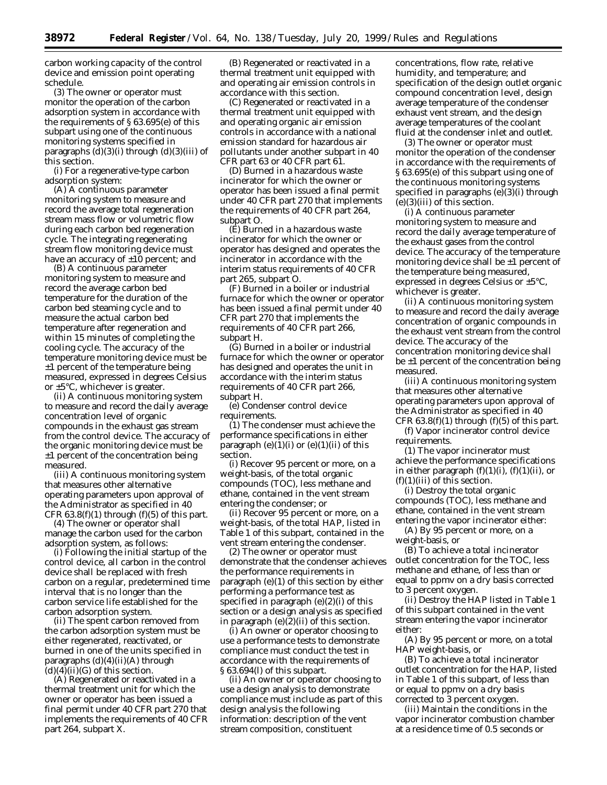carbon working capacity of the control device and emission point operating schedule.

(3) The owner or operator must monitor the operation of the carbon adsorption system in accordance with the requirements of § 63.695(e) of this subpart using one of the continuous monitoring systems specified in paragraphs  $(d)(3)(i)$  through  $(d)(3)(iii)$  of this section.

(i) For a regenerative-type carbon adsorption system:

(A) A continuous parameter monitoring system to measure and record the average total regeneration stream mass flow or volumetric flow during each carbon bed regeneration cycle. The integrating regenerating stream flow monitoring device must have an accuracy of  $\pm 10$  percent; and

(B) A continuous parameter monitoring system to measure and record the average carbon bed temperature for the duration of the carbon bed steaming cycle and to measure the actual carbon bed temperature after regeneration and within 15 minutes of completing the cooling cycle. The accuracy of the temperature monitoring device must be ±1 percent of the temperature being measured, expressed in degrees Celsius or ±5°C, whichever is greater.

(ii) A continuous monitoring system to measure and record the daily average concentration level of organic compounds in the exhaust gas stream from the control device. The accuracy of the organic monitoring device must be ±1 percent of the concentration being measured.

(iii) A continuous monitoring system that measures other alternative operating parameters upon approval of the Administrator as specified in 40 CFR  $63.8(f)(1)$  through  $(f)(5)$  of this part.

(4) The owner or operator shall manage the carbon used for the carbon adsorption system, as follows:

(i) Following the initial startup of the control device, all carbon in the control device shall be replaced with fresh carbon on a regular, predetermined time interval that is no longer than the carbon service life established for the carbon adsorption system.

(ii) The spent carbon removed from the carbon adsorption system must be either regenerated, reactivated, or burned in one of the units specified in paragraphs  $(d)(4)(ii)(A)$  through  $(d)(4)(ii)(G)$  of this section.

(A) Regenerated or reactivated in a thermal treatment unit for which the owner or operator has been issued a final permit under 40 CFR part 270 that implements the requirements of 40 CFR part 264, subpart X.

(B) Regenerated or reactivated in a thermal treatment unit equipped with and operating air emission controls in accordance with this section.

(C) Regenerated or reactivated in a thermal treatment unit equipped with and operating organic air emission controls in accordance with a national emission standard for hazardous air pollutants under another subpart in 40 CFR part 63 or 40 CFR part 61.

(D) Burned in a hazardous waste incinerator for which the owner or operator has been issued a final permit under 40 CFR part 270 that implements the requirements of 40 CFR part 264, subpart O.

(E) Burned in a hazardous waste incinerator for which the owner or operator has designed and operates the incinerator in accordance with the interim status requirements of 40 CFR part 265, subpart O.

(F) Burned in a boiler or industrial furnace for which the owner or operator has been issued a final permit under 40 CFR part 270 that implements the requirements of 40 CFR part 266, subpart H.

(G) Burned in a boiler or industrial furnace for which the owner or operator has designed and operates the unit in accordance with the interim status requirements of 40 CFR part 266, subpart H.

(e) Condenser control device requirements.

(1) The condenser must achieve the performance specifications in either paragraph  $(e)(1)(i)$  or  $(e)(1)(ii)$  of this section.

(i) Recover 95 percent or more, on a weight-basis, of the total organic compounds (TOC), less methane and ethane, contained in the vent stream entering the condenser; or

(ii) Recover 95 percent or more, on a weight-basis, of the total HAP, listed in Table 1 of this subpart, contained in the vent stream entering the condenser.

(2) The owner or operator must demonstrate that the condenser achieves the performance requirements in paragraph (e)(1) of this section by either performing a performance test as specified in paragraph (e)(2)(i) of this section or a design analysis as specified in paragraph (e)(2)(ii) of this section.

(i) An owner or operator choosing to use a performance tests to demonstrate compliance must conduct the test in accordance with the requirements of § 63.694(l) of this subpart.

(ii) An owner or operator choosing to use a design analysis to demonstrate compliance must include as part of this design analysis the following information: description of the vent stream composition, constituent

concentrations, flow rate, relative humidity, and temperature; and specification of the design outlet organic compound concentration level, design average temperature of the condenser exhaust vent stream, and the design average temperatures of the coolant fluid at the condenser inlet and outlet.

(3) The owner or operator must monitor the operation of the condenser in accordance with the requirements of § 63.695(e) of this subpart using one of the continuous monitoring systems specified in paragraphs (e)(3)(i) through  $(e)(3)(iii)$  of this section.

(i) A continuous parameter monitoring system to measure and record the daily average temperature of the exhaust gases from the control device. The accuracy of the temperature monitoring device shall be  $\pm 1$  percent of the temperature being measured, expressed in degrees Celsius or ±5°C, whichever is greater.

(ii) A continuous monitoring system to measure and record the daily average concentration of organic compounds in the exhaust vent stream from the control device. The accuracy of the concentration monitoring device shall be ±1 percent of the concentration being measured.

(iii) A continuous monitoring system that measures other alternative operating parameters upon approval of the Administrator as specified in 40 CFR  $63.8(f)(1)$  through  $(f)(5)$  of this part.

(f) Vapor incinerator control device requirements.

(1) The vapor incinerator must achieve the performance specifications in either paragraph  $(f)(1)(i)$ ,  $(f)(1)(ii)$ , or  $(f)(1)(iii)$  of this section.

(i) Destroy the total organic compounds (TOC), less methane and ethane, contained in the vent stream entering the vapor incinerator either:

(A) By 95 percent or more, on a weight-basis, or

(B) To achieve a total incinerator outlet concentration for the TOC, less methane and ethane, of less than or equal to ppmv on a dry basis corrected to 3 percent oxygen.

(ii) Destroy the HAP listed in Table 1 of this subpart contained in the vent stream entering the vapor incinerator either:

(A) By 95 percent or more, on a total HAP weight-basis, or

(B) To achieve a total incinerator outlet concentration for the HAP, listed in Table 1 of this subpart, of less than or equal to ppmv on a dry basis corrected to 3 percent oxygen.

(iii) Maintain the conditions in the vapor incinerator combustion chamber at a residence time of 0.5 seconds or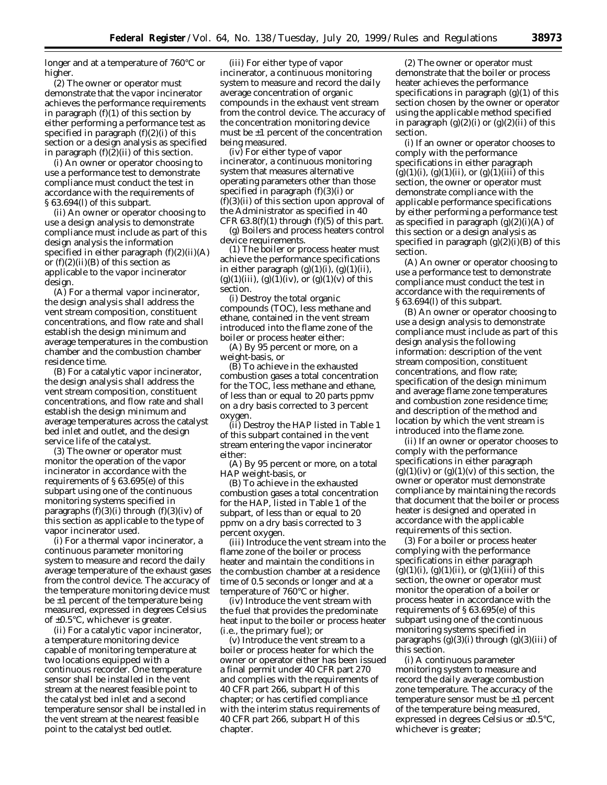longer and at a temperature of 760°C or higher.

(2) The owner or operator must demonstrate that the vapor incinerator achieves the performance requirements in paragraph  $(f)(1)$  of this section by either performing a performance test as specified in paragraph  $(f)(2)(i)$  of this section or a design analysis as specified in paragraph (f)(2)(ii) of this section.

(i) An owner or operator choosing to use a performance test to demonstrate compliance must conduct the test in accordance with the requirements of § 63.694(l) of this subpart.

(ii) An owner or operator choosing to use a design analysis to demonstrate compliance must include as part of this design analysis the information specified in either paragraph  $(f)(2)(ii)(A)$ or  $(f)(2)(ii)(B)$  of this section as applicable to the vapor incinerator design.

(A) For a thermal vapor incinerator, the design analysis shall address the vent stream composition, constituent concentrations, and flow rate and shall establish the design minimum and average temperatures in the combustion chamber and the combustion chamber residence time.

(B) For a catalytic vapor incinerator, the design analysis shall address the vent stream composition, constituent concentrations, and flow rate and shall establish the design minimum and average temperatures across the catalyst bed inlet and outlet, and the design service life of the catalyst.

(3) The owner or operator must monitor the operation of the vapor incinerator in accordance with the requirements of § 63.695(e) of this subpart using one of the continuous monitoring systems specified in paragraphs  $(f)(3)(i)$  through  $(f)(3)(iv)$  of this section as applicable to the type of vapor incinerator used.

(i) For a thermal vapor incinerator, a continuous parameter monitoring system to measure and record the daily average temperature of the exhaust gases from the control device. The accuracy of the temperature monitoring device must be ±1 percent of the temperature being measured, expressed in degrees Celsius of ±0.5°C, whichever is greater.

(ii) For a catalytic vapor incinerator, a temperature monitoring device capable of monitoring temperature at two locations equipped with a continuous recorder. One temperature sensor shall be installed in the vent stream at the nearest feasible point to the catalyst bed inlet and a second temperature sensor shall be installed in the vent stream at the nearest feasible point to the catalyst bed outlet.

(iii) For either type of vapor incinerator, a continuous monitoring system to measure and record the daily average concentration of organic compounds in the exhaust vent stream from the control device. The accuracy of the concentration monitoring device must be  $\pm 1$  percent of the concentration being measured.

(iv) For either type of vapor incinerator, a continuous monitoring system that measures alternative operating parameters other than those specified in paragraph (f)(3)(i) or  $(f)(3)(ii)$  of this section upon approval of the Administrator as specified in 40 CFR  $63.8(f)(1)$  through  $(f)(5)$  of this part.

(g) Boilers and process heaters control device requirements.

(1) The boiler or process heater must achieve the performance specifications in either paragraph  $(g)(1)(i)$ ,  $(g)(1)(ii)$ ,  $(g)(1)(iii)$ ,  $(g)(1)(iv)$ , or  $(g)(1)(v)$  of this section.

(i) Destroy the total organic compounds (TOC), less methane and ethane, contained in the vent stream introduced into the flame zone of the boiler or process heater either:

(A) By 95 percent or more, on a weight-basis, or

(B) To achieve in the exhausted combustion gases a total concentration for the TOC, less methane and ethane, of less than or equal to 20 parts ppmv on a dry basis corrected to 3 percent oxygen.

(ii) Destroy the HAP listed in Table 1 of this subpart contained in the vent stream entering the vapor incinerator either:

(A) By 95 percent or more, on a total HAP weight-basis, or

(B) To achieve in the exhausted combustion gases a total concentration for the HAP, listed in Table 1 of the subpart, of less than or equal to 20 ppmv on a dry basis corrected to 3 percent oxygen.

(iii) Introduce the vent stream into the flame zone of the boiler or process heater and maintain the conditions in the combustion chamber at a residence time of 0.5 seconds or longer and at a temperature of 760°C or higher.

(iv) Introduce the vent stream with the fuel that provides the predominate heat input to the boiler or process heater (i.e., the primary fuel); or

(v) Introduce the vent stream to a boiler or process heater for which the owner or operator either has been issued a final permit under 40 CFR part 270 and complies with the requirements of 40 CFR part 266, subpart H of this chapter; or has certified compliance with the interim status requirements of 40 CFR part 266, subpart H of this chapter.

(2) The owner or operator must demonstrate that the boiler or process heater achieves the performance specifications in paragraph  $(g)(1)$  of this section chosen by the owner or operator using the applicable method specified in paragraph  $(g)(2)(i)$  or  $(g)(2)(ii)$  of this section.

(i) If an owner or operator chooses to comply with the performance specifications in either paragraph  $(g)(1)(i)$ ,  $(g)(1)(ii)$ , or  $(g)(1)(iii)$  of this section, the owner or operator must demonstrate compliance with the applicable performance specifications by either performing a performance test as specified in paragraph  $(g)(2)(i)(A)$  of this section or a design analysis as specified in paragraph  $(g)(2)(i)(B)$  of this section.

(A) An owner or operator choosing to use a performance test to demonstrate compliance must conduct the test in accordance with the requirements of § 63.694(l) of this subpart.

(B) An owner or operator choosing to use a design analysis to demonstrate compliance must include as part of this design analysis the following information: description of the vent stream composition, constituent concentrations, and flow rate; specification of the design minimum and average flame zone temperatures and combustion zone residence time; and description of the method and location by which the vent stream is introduced into the flame zone.

(ii) If an owner or operator chooses to comply with the performance specifications in either paragraph  $(g)(1)(iv)$  or  $(g)(1)(v)$  of this section, the owner or operator must demonstrate compliance by maintaining the records that document that the boiler or process heater is designed and operated in accordance with the applicable requirements of this section.

(3) For a boiler or process heater complying with the performance specifications in either paragraph  $(g)(1)(i)$ ,  $(g)(1)(ii)$ , or  $(g)(1)(iii)$  of this section, the owner or operator must monitor the operation of a boiler or process heater in accordance with the requirements of § 63.695(e) of this subpart using one of the continuous monitoring systems specified in paragraphs  $(g)(3)(i)$  through  $(g)(3)(iii)$  of this section.

(i) A continuous parameter monitoring system to measure and record the daily average combustion zone temperature. The accuracy of the temperature sensor must be ±1 percent of the temperature being measured, expressed in degrees Celsius or ±0.5°C, whichever is greater;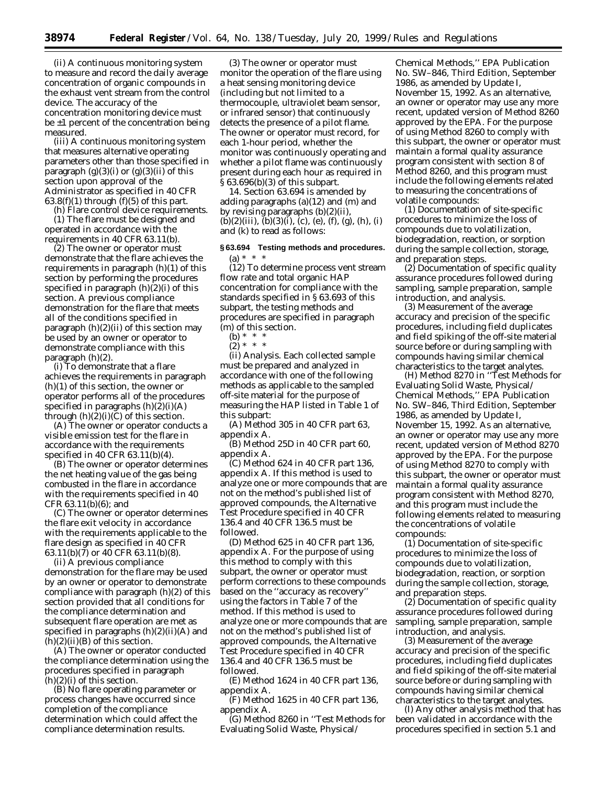(ii) A continuous monitoring system to measure and record the daily average concentration of organic compounds in the exhaust vent stream from the control device. The accuracy of the concentration monitoring device must be ±1 percent of the concentration being measured.

(iii) A continuous monitoring system that measures alternative operating parameters other than those specified in paragraph  $(g)(3)(i)$  or  $(g)(3)(ii)$  of this section upon approval of the Administrator as specified in 40 CFR  $63.8(f)(1)$  through  $(f)(5)$  of this part.

(h) Flare control device requirements. (1) The flare must be designed and operated in accordance with the requirements in 40 CFR 63.11(b).

(2) The owner or operator must demonstrate that the flare achieves the requirements in paragraph (h)(1) of this section by performing the procedures specified in paragraph (h)(2)(i) of this section. A previous compliance demonstration for the flare that meets all of the conditions specified in paragraph (h)(2)(ii) of this section may be used by an owner or operator to demonstrate compliance with this paragraph (h)(2).

(i) To demonstrate that a flare achieves the requirements in paragraph (h)(1) of this section, the owner or operator performs all of the procedures specified in paragraphs  $(h)(2)(i)(A)$ through  $(h)(2)(i)(C)$  of this section.

(A) The owner or operator conducts a visible emission test for the flare in accordance with the requirements specified in 40 CFR 63.11(b)(4).

(B) The owner or operator determines the net heating value of the gas being combusted in the flare in accordance with the requirements specified in 40 CFR 63.11(b)(6); and

(C) The owner or operator determines the flare exit velocity in accordance with the requirements applicable to the flare design as specified in 40 CFR 63.11(b)( $\bar{7}$ ) or 40 CFR 63.11(b)(8).

(ii) A previous compliance demonstration for the flare may be used by an owner or operator to demonstrate compliance with paragraph (h)(2) of this section provided that all conditions for the compliance determination and subsequent flare operation are met as specified in paragraphs (h)(2)(ii)(A) and  $(h)(2)(ii)(B)$  of this section.

(A) The owner or operator conducted the compliance determination using the procedures specified in paragraph  $(h)(2)(i)$  of this section.

(B) No flare operating parameter or process changes have occurred since completion of the compliance determination which could affect the compliance determination results.

(3) The owner or operator must monitor the operation of the flare using a heat sensing monitoring device (including but not limited to a thermocouple, ultraviolet beam sensor, or infrared sensor) that continuously detects the presence of a pilot flame. The owner or operator must record, for each 1-hour period, whether the monitor was continuously operating and whether a pilot flame was continuously present during each hour as required in § 63.696(b)(3) of this subpart.

14. Section 63.694 is amended by adding paragraphs (a)(12) and (m) and by revising paragraphs (b)(2)(ii),  $(b)(2)(iii)$ ,  $(b)(3)(i)$ ,  $(c)$ ,  $(e)$ ,  $(f)$ ,  $(g)$ ,  $(h)$ ,  $(i)$ and (k) to read as follows:

# **§ 63.694 Testing methods and procedures.** (a) \* \* \*

(12) To determine process vent stream flow rate and total organic HAP concentration for compliance with the standards specified in § 63.693 of this subpart, the testing methods and procedures are specified in paragraph (m) of this section.

(b)  $* * * *$ 

 $(2) * * * *$ (ii) *Analysis.* Each collected sample must be prepared and analyzed in accordance with one of the following methods as applicable to the sampled off-site material for the purpose of measuring the HAP listed in Table 1 of this subpart:

(A) Method 305 in 40 CFR part 63, appendix A.

(B) Method 25D in 40 CFR part 60, appendix A.

 $(C)$  Method 624 in 40 CFR part 136, appendix A. If this method is used to analyze one or more compounds that are not on the method's published list of approved compounds, the Alternative Test Procedure specified in 40 CFR 136.4 and 40 CFR 136.5 must be followed.

(D) Method 625 in 40 CFR part 136, appendix A. For the purpose of using this method to comply with this subpart, the owner or operator must perform corrections to these compounds based on the ''accuracy as recovery'' using the factors in Table 7 of the method. If this method is used to analyze one or more compounds that are not on the method's published list of approved compounds, the Alternative Test Procedure specified in 40 CFR 136.4 and 40 CFR 136.5 must be followed.

(E) Method 1624 in 40 CFR part 136, appendix A.

(F) Method 1625 in 40 CFR part 136, appendix A.

(G) Method 8260 in ''Test Methods for Evaluating Solid Waste, Physical/

Chemical Methods,'' EPA Publication No. SW–846, Third Edition, September 1986, as amended by Update I, November 15, 1992. As an alternative, an owner or operator may use any more recent, updated version of Method 8260 approved by the EPA. For the purpose of using Method 8260 to comply with this subpart, the owner or operator must maintain a formal quality assurance program consistent with section 8 of Method 8260, and this program must include the following elements related to measuring the concentrations of volatile compounds:

(*1*) Documentation of site-specific procedures to minimize the loss of compounds due to volatilization, biodegradation, reaction, or sorption during the sample collection, storage, and preparation steps.

(*2*) Documentation of specific quality assurance procedures followed during sampling, sample preparation, sample introduction, and analysis.

(*3*) Measurement of the average accuracy and precision of the specific procedures, including field duplicates and field spiking of the off-site material source before or during sampling with compounds having similar chemical characteristics to the target analytes.

(H) Method 8270 in ''Test Methods for Evaluating Solid Waste, Physical/ Chemical Methods,'' EPA Publication No. SW–846, Third Edition, September 1986, as amended by Update I, November 15, 1992. As an alternative, an owner or operator may use any more recent, updated version of Method 8270 approved by the EPA. For the purpose of using Method 8270 to comply with this subpart, the owner or operator must maintain a formal quality assurance program consistent with Method 8270, and this program must include the following elements related to measuring the concentrations of volatile compounds:

(*1*) Documentation of site-specific procedures to minimize the loss of compounds due to volatilization, biodegradation, reaction, or sorption during the sample collection, storage, and preparation steps.

(*2*) Documentation of specific quality assurance procedures followed during sampling, sample preparation, sample introduction, and analysis.

(*3*) Measurement of the average accuracy and precision of the specific procedures, including field duplicates and field spiking of the off-site material source before or during sampling with compounds having similar chemical characteristics to the target analytes.

(I) Any other analysis method that has been validated in accordance with the procedures specified in section 5.1 and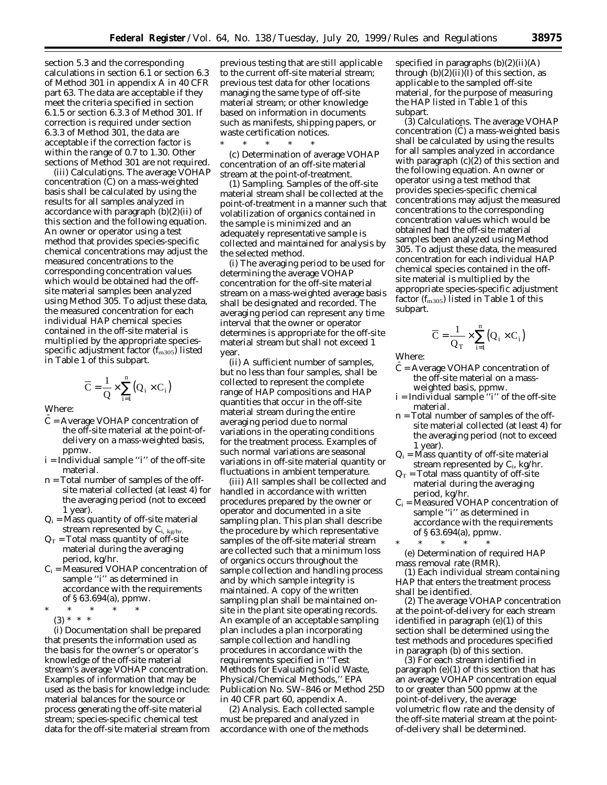section 5.3 and the corresponding calculations in section 6.1 or section 6.3 of Method 301 in appendix A in 40 CFR part 63. The data are acceptable if they meet the criteria specified in section 6.1.5 or section 6.3.3 of Method 301. If correction is required under section 6.3.3 of Method 301, the data are acceptable if the correction factor is within the range of 0.7 to 1.30. Other sections of Method 301 are not required.

(iii) Calculations. The average VOHAP concentration (C) on a mass-weighted basis shall be calculated by using the results for all samples analyzed in accordance with paragraph (b)(2)(ii) of this section and the following equation. An owner or operator using a test method that provides species-specific chemical concentrations may adjust the measured concentrations to the corresponding concentration values which would be obtained had the offsite material samples been analyzed using Method 305. To adjust these data, the measured concentration for each individual HAP chemical species contained in the off-site material is multiplied by the appropriate speciesspecific adjustment factor  $(f_{m305})$  listed in Table 1 of this subpart.

$$
\overline{C} = \frac{1}{Q} \times \sum_{i=1}^{n} (Q_i \times C_i)
$$

Where:

- $C =$  Average VOHAP concentration of the off-site material at the point-ofdelivery on a mass-weighted basis, ppmw.
- i = Individual sample ''i'' of the off-site material.
- n = Total number of samples of the offsite material collected (at least 4) for the averaging period (not to exceed 1 year).
- $Q_i$  = Mass quantity of off-site material stream represented by  $C_{i, \, \text{kg/hr}}$ .
- $Q_T$  = Total mass quantity of off-site material during the averaging period, kg/hr.
- $C_i$  = Measured VOHAP concentration of sample ''i'' as determined in accordance with the requirements of § 63.694(a), ppmw.
- \* \* \* \* \*  $(3) * * * *$

(i) Documentation shall be prepared that presents the information used as the basis for the owner's or operator's knowledge of the off-site material stream's average VOHAP concentration. Examples of information that may be used as the basis for knowledge include: material balances for the source or process generating the off-site material stream; species-specific chemical test data for the off-site material stream from previous testing that are still applicable to the current off-site material stream; previous test data for other locations managing the same type of off-site material stream; or other knowledge based on information in documents such as manifests, shipping papers, or waste certification notices.

\* \* \* \* \* (c) Determination of average VOHAP concentration of an off-site material stream at the point-of-treatment.

(1) *Sampling.* Samples of the off-site material stream shall be collected at the point-of-treatment in a manner such that volatilization of organics contained in the sample is minimized and an adequately representative sample is collected and maintained for analysis by the selected method.

(i) The averaging period to be used for determining the average VOHAP concentration for the off-site material stream on a mass-weighted average basis shall be designated and recorded. The averaging period can represent any time interval that the owner or operator determines is appropriate for the off-site material stream but shall not exceed 1 year.

(ii) A sufficient number of samples, but no less than four samples, shall be collected to represent the complete range of HAP compositions and HAP quantities that occur in the off-site material stream during the entire averaging period due to normal variations in the operating conditions for the treatment process. Examples of such normal variations are seasonal variations in off-site material quantity or fluctuations in ambient temperature.

(iii) All samples shall be collected and handled in accordance with written procedures prepared by the owner or operator and documented in a site sampling plan. This plan shall describe the procedure by which representative samples of the off-site material stream are collected such that a minimum loss of organics occurs throughout the sample collection and handling process and by which sample integrity is maintained. A copy of the written sampling plan shall be maintained onsite in the plant site operating records. An example of an acceptable sampling plan includes a plan incorporating sample collection and handling procedures in accordance with the requirements specified in ''Test Methods for Evaluating Solid Waste, Physical/Chemical Methods,'' EPA Publication No. SW–846 or Method 25D in 40 CFR part 60, appendix A.

(2) *Analysis.* Each collected sample must be prepared and analyzed in accordance with one of the methods

specified in paragraphs  $(b)(2)(ii)(A)$ through  $(b)(2)(ii)(I)$  of this section, as applicable to the sampled off-site material, for the purpose of measuring the HAP listed in Table 1 of this subpart.

(3) *Calculations.* The average VOHAP concentration (C) a mass-weighted basis shall be calculated by using the results for all samples analyzed in accordance with paragraph  $(c)(2)$  of this section and the following equation. An owner or operator using a test method that provides species-specific chemical concentrations may adjust the measured concentrations to the corresponding concentration values which would be obtained had the off-site material samples been analyzed using Method 305. To adjust these data, the measured concentration for each individual HAP chemical species contained in the offsite material is multiplied by the appropriate species-specific adjustment factor  $(f_{m305})$  listed in Table 1 of this subpart.

$$
\overline{C} = \frac{1}{Q_T} \times \sum_{i=1}^{n} (Q_i \times C_i)
$$

Where:

- $C =$  Average VOHAP concentration of the off-site material on a massweighted basis, ppmw.
- i = Individual sample ''i'' of the off-site material.
- n = Total number of samples of the offsite material collected (at least 4) for the averaging period (not to exceed 1 year).
- $Q_i$  = Mass quantity of off-site material stream represented by  $C_i$ , kg/hr.
- $Q_T$  = Total mass quantity of off-site material during the averaging period, kg/hr.
- $\mathrm{C}_\mathrm{i}$  = Measured VOHAP concentration of sample ''i'' as determined in accordance with the requirements of § 63.694(a), ppmw.

\* \* \* \* \* (e) Determination of required HAP mass removal rate (RMR).

(1) Each individual stream containing HAP that enters the treatment process shall be identified.

(2) The average VOHAP concentration at the point-of-delivery for each stream identified in paragraph (e)(1) of this section shall be determined using the test methods and procedures specified in paragraph (b) of this section.

(3) For each stream identified in paragraph (e)(1) of this section that has an average VOHAP concentration equal to or greater than 500 ppmw at the point-of-delivery, the average volumetric flow rate and the density of the off-site material stream at the pointof-delivery shall be determined.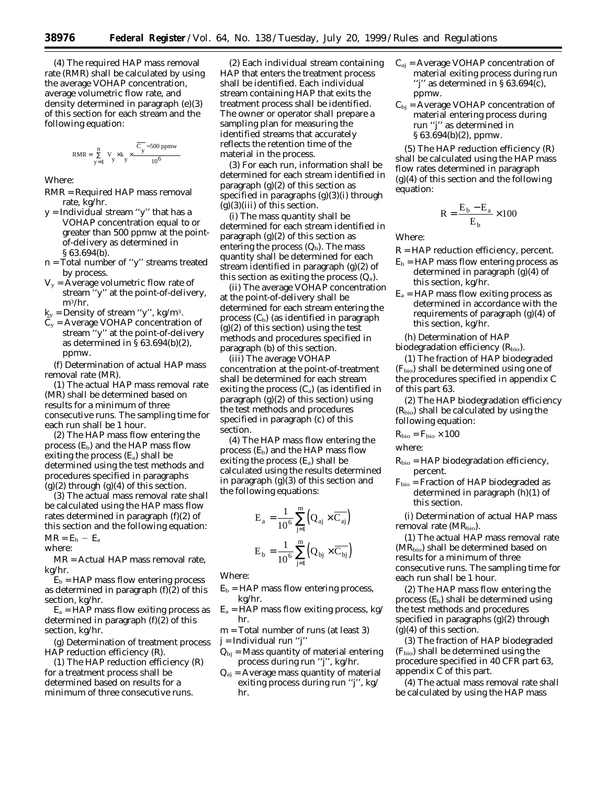(4) The required HAP mass removal rate (RMR) shall be calculated by using the average VOHAP concentration, average volumetric flow rate, and density determined in paragraph (e)(3) of this section for each stream and the following equation:

$$
RMR = \sum_{y=1}^{n} \left[ V_y \times k_y \times \frac{\left(\overline{C_y} - 500 \text{ ppmw}\right)}{10^6} \right]
$$

Where:

- RMR = Required HAP mass removal rate, kg/hr.
- y = Individual stream ''y'' that has a VOHAP concentration equal to or greater than 500 ppmw at the pointof-delivery as determined in § 63.694(b).
- n = Total number of ''y'' streams treated by process.
- $V_y$  = Average volumetric flow rate of stream ''y'' at the point-of-delivery, m3/hr.
- $k_y$  = Density of stream "y", kg/m<sup>3</sup>.
- $C_v$  = Average VOHAP concentration of stream ''y'' at the point-of-delivery as determined in § 63.694(b)(2), ppmw.

(f) Determination of actual HAP mass removal rate (MR).

(1) The actual HAP mass removal rate (MR) shall be determined based on results for a minimum of three consecutive runs. The sampling time for each run shall be 1 hour.

(2) The HAP mass flow entering the process  $(E_b)$  and the HAP mass flow exiting the process  $(E_a)$  shall be determined using the test methods and procedures specified in paragraphs  $(g)(2)$  through  $(g)(4)$  of this section.

(3) The actual mass removal rate shall be calculated using the HAP mass flow rates determined in paragraph (f)(2) of this section and the following equation:  $MR = E_b - E_a$ 

where:

MR = Actual HAP mass removal rate, kg/hr.

 $E_b$  = HAP mass flow entering process as determined in paragraph (f)(2) of this section, kg/hr.

 $E_a = H\overrightarrow{AP}$  mass flow exiting process as determined in paragraph (f)(2) of this section, kg/hr.

(g) Determination of treatment process HAP reduction efficiency (R).

(1) The HAP reduction efficiency (R) for a treatment process shall be determined based on results for a minimum of three consecutive runs.

(2) Each individual stream containing HAP that enters the treatment process shall be identified. Each individual stream containing HAP that exits the treatment process shall be identified. The owner or operator shall prepare a sampling plan for measuring the identified streams that accurately reflects the retention time of the material in the process.

(3) For each run, information shall be determined for each stream identified in paragraph  $(g)(2)$  of this section as specified in paragraphs (g)(3)(i) through  $(g)(3)(iii)$  of this section.

(i) The mass quantity shall be determined for each stream identified in paragraph  $(g)(2)$  of this section as entering the process  $(Q_b)$ . The mass quantity shall be determined for each stream identified in paragraph (g)(2) of this section as exiting the process  $(Q_a)$ .

(ii) The average VOHAP concentration at the point-of-delivery shall be determined for each stream entering the process  $(C_b)$  (as identified in paragraph  $(g)(2)$  of this section) using the test methods and procedures specified in paragraph (b) of this section.

(iii) The average VOHAP concentration at the point-of-treatment shall be determined for each stream exiting the process  $(C_a)$  (as identified in paragraph (g)(2) of this section) using the test methods and procedures specified in paragraph (c) of this section.

(4) The HAP mass flow entering the process  $(E_b)$  and the HAP mass flow exiting the process  $(E_a)$  shall be calculated using the results determined in paragraph (g)(3) of this section and the following equations:

$$
\begin{aligned} E_{a} = & \frac{1}{10^6} \sum_{j=1}^{m} \Bigl( Q_{aj} \times \overline{C_{aj}} \Bigr) \\ E_{b} = & \frac{1}{10^6} \sum_{j=1}^{m} \Bigl( Q_{bj} \times \overline{C_{bj}} \Bigr) \end{aligned}
$$

Where:

- $E_b$  = HAP mass flow entering process, kg/hr.
- $E_a$  = HAP mass flow exiting process, kg/ hr.
- m = Total number of runs (at least 3)

j = Individual run ''j''

- $Q_{bi}$  = Mass quantity of material entering process during run ''j'', kg/hr.
- $Q_{ai}$  = Average mass quantity of material exiting process during run ''j'', kg/ hr.
- $C_{aj}$  = Average VOHAP concentration of material exiting process during run ''j'' as determined in § 63.694(c), ppmw.
- $C_{bi}$  = Average VOHAP concentration of material entering process during run ''j'' as determined in § 63.694(b)(2), ppmw.

(5) The HAP reduction efficiency (R) shall be calculated using the HAP mass flow rates determined in paragraph (g)(4) of this section and the following equation:

$$
R = \frac{E_b - E_a}{E_b} \times 100
$$

Where:

- R = HAP reduction efficiency, percent.
- $E_b$  = HAP mass flow entering process as determined in paragraph (g)(4) of this section, kg/hr.
- $E_a$  = HAP mass flow exiting process as determined in accordance with the requirements of paragraph (g)(4) of this section, kg/hr.

(h) Determination of HAP

biodegradation efficiency  $(R_{\text{bio}})$ .

(1) The fraction of HAP biodegraded  $(F<sub>bio</sub>)$  shall be determined using one of the procedures specified in appendix C of this part 63.

(2) The HAP biodegradation efficiency  $(R<sub>bio</sub>)$  shall be calculated by using the following equation:

$$
R_{\rm bio}=F_{\rm bio}\times 100
$$

where:

 $R_{bio} = HAP$  biodegradation efficiency, percent.

 $F_{bio}$  = Fraction of HAP biodegraded as determined in paragraph (h)(1) of this section.

(i) Determination of actual HAP mass removal rate  $(MR_{\text{bio}})$ .

(1) The actual HAP mass removal rate  $(MR_{bio})$  shall be determined based on results for a minimum of three consecutive runs. The sampling time for each run shall be 1 hour.

(2) The HAP mass flow entering the process  $(E_b)$  shall be determined using the test methods and procedures specified in paragraphs (g)(2) through  $(g)(4)$  of this section.

(3) The fraction of HAP biodegraded  $(F<sub>bio</sub>)$  shall be determined using the procedure specified in 40 CFR part 63, appendix C of this part.

(4) The actual mass removal rate shall be calculated by using the HAP mass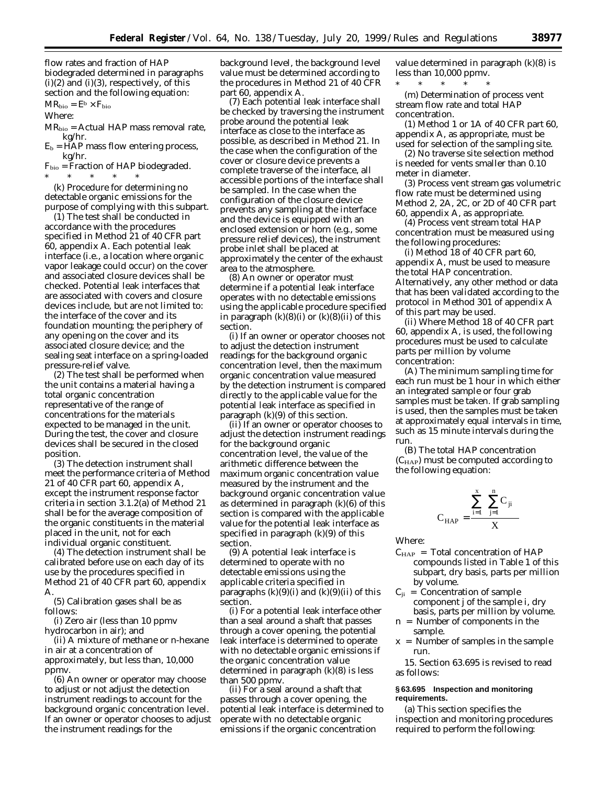flow rates and fraction of HAP biodegraded determined in paragraphs  $(i)(2)$  and  $(i)(3)$ , respectively, of this section and the following equation:

 $MR_{bio} = E^b \times F_{bio}$ 

Where:

 $MR<sub>bio</sub> = Actual HAP mass removal rate,$ kg/hr.

 $E_b = \overrightarrow{H}AP$  mass flow entering process, kg/hr.

 $F_{bio}$  = Fraction of HAP biodegraded. \* \* \* \* \*

(k) Procedure for determining no detectable organic emissions for the purpose of complying with this subpart.

(1) The test shall be conducted in accordance with the procedures specified in Method 21 of 40 CFR part 60, appendix A. Each potential leak interface (i.e., a location where organic vapor leakage could occur) on the cover and associated closure devices shall be checked. Potential leak interfaces that are associated with covers and closure devices include, but are not limited to: the interface of the cover and its foundation mounting; the periphery of any opening on the cover and its associated closure device; and the sealing seat interface on a spring-loaded pressure-relief valve.

(2) The test shall be performed when the unit contains a material having a total organic concentration representative of the range of concentrations for the materials expected to be managed in the unit. During the test, the cover and closure devices shall be secured in the closed position.

(3) The detection instrument shall meet the performance criteria of Method 21 of 40 CFR part 60, appendix A, except the instrument response factor criteria in section 3.1.2(a) of Method 21 shall be for the average composition of the organic constituents in the material placed in the unit, not for each individual organic constituent.

(4) The detection instrument shall be calibrated before use on each day of its use by the procedures specified in Method 21 of 40 CFR part 60, appendix A.

(5) Calibration gases shall be as follows:

(i) Zero air (less than 10 ppmv hydrocarbon in air); and

(ii) A mixture of methane or n-hexane in air at a concentration of approximately, but less than, 10,000 ppmv.

(6) An owner or operator may choose to adjust or not adjust the detection instrument readings to account for the background organic concentration level. If an owner or operator chooses to adjust the instrument readings for the

background level, the background level value must be determined according to the procedures in Method 21 of 40 CFR part 60, appendix A.

(7) Each potential leak interface shall be checked by traversing the instrument probe around the potential leak interface as close to the interface as possible, as described in Method 21. In the case when the configuration of the cover or closure device prevents a complete traverse of the interface, all accessible portions of the interface shall be sampled. In the case when the configuration of the closure device prevents any sampling at the interface and the device is equipped with an enclosed extension or horn (e.g., some pressure relief devices), the instrument probe inlet shall be placed at approximately the center of the exhaust area to the atmosphere.

(8) An owner or operator must determine if a potential leak interface operates with no detectable emissions using the applicable procedure specified in paragraph  $(k)(8)(i)$  or  $(k)(8)(ii)$  of this section.

(i) If an owner or operator chooses not to adjust the detection instrument readings for the background organic concentration level, then the maximum organic concentration value measured by the detection instrument is compared directly to the applicable value for the potential leak interface as specified in paragraph (k)(9) of this section.

(ii) If an owner or operator chooses to adjust the detection instrument readings for the background organic concentration level, the value of the arithmetic difference between the maximum organic concentration value measured by the instrument and the background organic concentration value as determined in paragraph (k)(6) of this section is compared with the applicable value for the potential leak interface as specified in paragraph  $(k)(9)$  of this section.

(9) A potential leak interface is determined to operate with no detectable emissions using the applicable criteria specified in paragraphs  $(k)(9)(i)$  and  $(k)(9)(ii)$  of this section.

(i) For a potential leak interface other than a seal around a shaft that passes through a cover opening, the potential leak interface is determined to operate with no detectable organic emissions if the organic concentration value determined in paragraph (k)(8) is less than 500 ppmv.

(ii) For a seal around a shaft that passes through a cover opening, the potential leak interface is determined to operate with no detectable organic emissions if the organic concentration

value determined in paragraph (k)(8) is less than 10,000 ppmv.

\* \* \* \* \* (m) Determination of process vent stream flow rate and total HAP concentration.

(1) Method 1 or 1A of 40 CFR part 60, appendix A, as appropriate, must be used for selection of the sampling site.

(2) No traverse site selection method is needed for vents smaller than 0.10 meter in diameter.

(3) Process vent stream gas volumetric flow rate must be determined using Method 2, 2A, 2C, or 2D of 40 CFR part 60, appendix A, as appropriate.

(4) Process vent stream total HAP concentration must be measured using the following procedures:

(i) Method 18 of 40 CFR part 60, appendix A, must be used to measure the total HAP concentration. Alternatively, any other method or data that has been validated according to the protocol in Method 301 of appendix A of this part may be used.

(ii) Where Method 18 of 40 CFR part 60, appendix A, is used, the following procedures must be used to calculate parts per million by volume concentration:

(A) The minimum sampling time for each run must be 1 hour in which either an integrated sample or four grab samples must be taken. If grab sampling is used, then the samples must be taken at approximately equal intervals in time, such as 15 minute intervals during the run.

(B) The total HAP concentration  $(C_{\text{HAP}})$  must be computed according to the following equation:

$$
C_{HAP} = \frac{\sum_{i=1}^{x} \left(\sum_{j=1}^{n} C_{ji}\right)}{X}
$$

Where:

- $C_{\text{HAP}}$  = Total concentration of  $HAP$ compounds listed in Table 1 of this subpart, dry basis, parts per million by volume.
- $C_{ji}$  = Concentration of sample component j of the sample i, dry basis, parts per million by volume.
- n = Number of components in the sample.
- $x =$  Number of samples in the sample run.

15. Section 63.695 is revised to read as follows:

# **§ 63.695 Inspection and monitoring requirements.**

(a) This section specifies the inspection and monitoring procedures required to perform the following: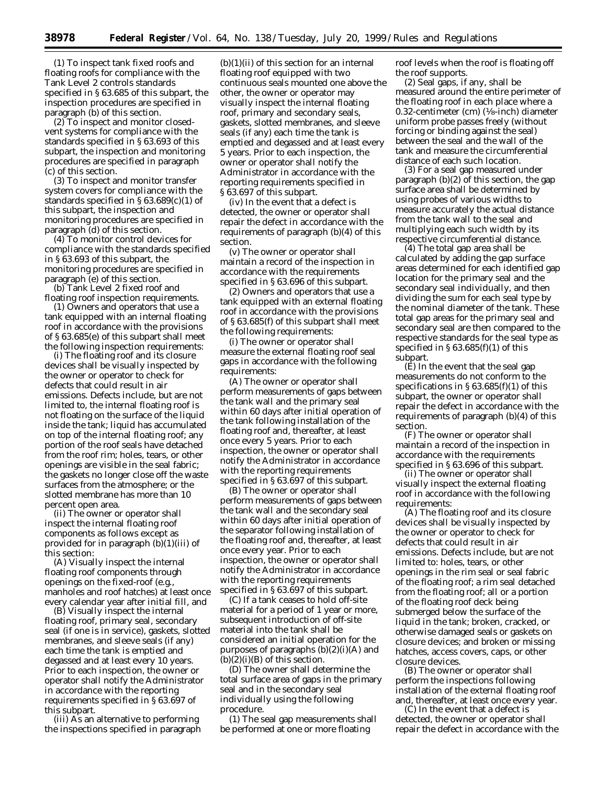(1) To inspect tank fixed roofs and floating roofs for compliance with the Tank Level 2 controls standards specified in § 63.685 of this subpart, the inspection procedures are specified in paragraph (b) of this section.

(2) To inspect and monitor closedvent systems for compliance with the standards specified in § 63.693 of this subpart, the inspection and monitoring procedures are specified in paragraph (c) of this section.

(3) To inspect and monitor transfer system covers for compliance with the standards specified in § 63.689(c)(1) of this subpart, the inspection and monitoring procedures are specified in paragraph (d) of this section.

(4) To monitor control devices for compliance with the standards specified in § 63.693 of this subpart, the monitoring procedures are specified in paragraph (e) of this section.

(b) Tank Level 2 fixed roof and floating roof inspection requirements.

(1) Owners and operators that use a tank equipped with an internal floating roof in accordance with the provisions of § 63.685(e) of this subpart shall meet the following inspection requirements:

(i) The floating roof and its closure devices shall be visually inspected by the owner or operator to check for defects that could result in air emissions. Defects include, but are not limited to, the internal floating roof is not floating on the surface of the liquid inside the tank; liquid has accumulated on top of the internal floating roof; any portion of the roof seals have detached from the roof rim; holes, tears, or other openings are visible in the seal fabric; the gaskets no longer close off the waste surfaces from the atmosphere; or the slotted membrane has more than 10 percent open area.

(ii) The owner or operator shall inspect the internal floating roof components as follows except as provided for in paragraph (b)(1)(iii) of this section:

(A) Visually inspect the internal floating roof components through openings on the fixed-roof (e.g., manholes and roof hatches) at least once every calendar year after initial fill, and

(B) Visually inspect the internal floating roof, primary seal, secondary seal (if one is in service), gaskets, slotted membranes, and sleeve seals (if any) each time the tank is emptied and degassed and at least every 10 years. Prior to each inspection, the owner or operator shall notify the Administrator in accordance with the reporting requirements specified in § 63.697 of this subpart.

(iii) As an alternative to performing the inspections specified in paragraph

 $(b)(1)(ii)$  of this section for an internal floating roof equipped with two continuous seals mounted one above the other, the owner or operator may visually inspect the internal floating roof, primary and secondary seals, gaskets, slotted membranes, and sleeve seals (if any) each time the tank is emptied and degassed and at least every 5 years. Prior to each inspection, the owner or operator shall notify the Administrator in accordance with the reporting requirements specified in § 63.697 of this subpart.

(iv) In the event that a defect is detected, the owner or operator shall repair the defect in accordance with the requirements of paragraph (b)(4) of this section.

(v) The owner or operator shall maintain a record of the inspection in accordance with the requirements specified in § 63.696 of this subpart.

(2) Owners and operators that use a tank equipped with an external floating roof in accordance with the provisions of § 63.685(f) of this subpart shall meet the following requirements:

(i) The owner or operator shall measure the external floating roof seal gaps in accordance with the following requirements:

(A) The owner or operator shall perform measurements of gaps between the tank wall and the primary seal within 60 days after initial operation of the tank following installation of the floating roof and, thereafter, at least once every 5 years. Prior to each inspection, the owner or operator shall notify the Administrator in accordance with the reporting requirements specified in § 63.697 of this subpart.

(B) The owner or operator shall perform measurements of gaps between the tank wall and the secondary seal within 60 days after initial operation of the separator following installation of the floating roof and, thereafter, at least once every year. Prior to each inspection, the owner or operator shall notify the Administrator in accordance with the reporting requirements specified in § 63.697 of this subpart.

(C) If a tank ceases to hold off-site material for a period of 1 year or more, subsequent introduction of off-site material into the tank shall be considered an initial operation for the purposes of paragraphs  $(b)(2)(i)(A)$  and  $(b)(2)(i)(B)$  of this section.

(D) The owner shall determine the total surface area of gaps in the primary seal and in the secondary seal individually using the following procedure.

(*1*) The seal gap measurements shall be performed at one or more floating

roof levels when the roof is floating off the roof supports.

(*2*) Seal gaps, if any, shall be measured around the entire perimeter of the floating roof in each place where a 0.32-centimeter (cm)  $(\frac{1}{8}$ -inch) diameter uniform probe passes freely (without forcing or binding against the seal) between the seal and the wall of the tank and measure the circumferential distance of each such location.

(*3*) For a seal gap measured under paragraph (b)(2) of this section, the gap surface area shall be determined by using probes of various widths to measure accurately the actual distance from the tank wall to the seal and multiplying each such width by its respective circumferential distance.

(*4*) The total gap area shall be calculated by adding the gap surface areas determined for each identified gap location for the primary seal and the secondary seal individually, and then dividing the sum for each seal type by the nominal diameter of the tank. These total gap areas for the primary seal and secondary seal are then compared to the respective standards for the seal type as specified in  $\S 63.685(f)(1)$  of this subpart.

(E) In the event that the seal gap measurements do not conform to the specifications in  $\S 63.685(f)(1)$  of this subpart, the owner or operator shall repair the defect in accordance with the requirements of paragraph (b)(4) of this section.

(F) The owner or operator shall maintain a record of the inspection in accordance with the requirements specified in § 63.696 of this subpart.

(ii) The owner or operator shall visually inspect the external floating roof in accordance with the following requirements:

(A) The floating roof and its closure devices shall be visually inspected by the owner or operator to check for defects that could result in air emissions. Defects include, but are not limited to: holes, tears, or other openings in the rim seal or seal fabric of the floating roof; a rim seal detached from the floating roof; all or a portion of the floating roof deck being submerged below the surface of the liquid in the tank; broken, cracked, or otherwise damaged seals or gaskets on closure devices; and broken or missing hatches, access covers, caps, or other closure devices.

(B) The owner or operator shall perform the inspections following installation of the external floating roof and, thereafter, at least once every year.

(C) In the event that a defect is detected, the owner or operator shall repair the defect in accordance with the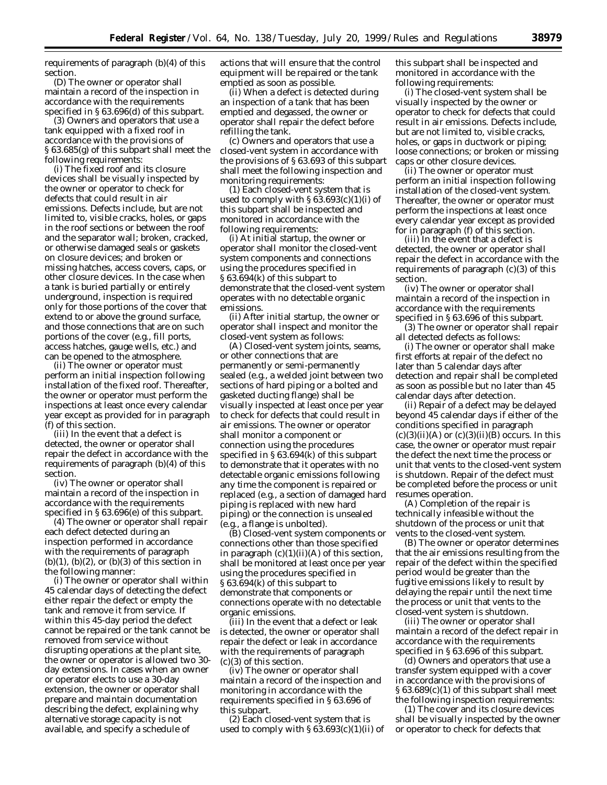requirements of paragraph (b)(4) of this section.

(D) The owner or operator shall maintain a record of the inspection in accordance with the requirements specified in § 63.696(d) of this subpart.

(3) Owners and operators that use a tank equipped with a fixed roof in accordance with the provisions of § 63.685(g) of this subpart shall meet the following requirements:

(i) The fixed roof and its closure devices shall be visually inspected by the owner or operator to check for defects that could result in air emissions. Defects include, but are not limited to, visible cracks, holes, or gaps in the roof sections or between the roof and the separator wall; broken, cracked, or otherwise damaged seals or gaskets on closure devices; and broken or missing hatches, access covers, caps, or other closure devices. In the case when a tank is buried partially or entirely underground, inspection is required only for those portions of the cover that extend to or above the ground surface, and those connections that are on such portions of the cover (e.g., fill ports, access hatches, gauge wells, etc.) and can be opened to the atmosphere.

(ii) The owner or operator must perform an initial inspection following installation of the fixed roof. Thereafter, the owner or operator must perform the inspections at least once every calendar year except as provided for in paragraph (f) of this section.

(iii) In the event that a defect is detected, the owner or operator shall repair the defect in accordance with the requirements of paragraph (b)(4) of this section.

(iv) The owner or operator shall maintain a record of the inspection in accordance with the requirements specified in § 63.696(e) of this subpart.

(4) The owner or operator shall repair each defect detected during an inspection performed in accordance with the requirements of paragraph  $(b)(1)$ ,  $(b)(2)$ , or  $(b)(3)$  of this section in the following manner:

(i) The owner or operator shall within 45 calendar days of detecting the defect either repair the defect or empty the tank and remove it from service. If within this 45-day period the defect cannot be repaired or the tank cannot be removed from service without disrupting operations at the plant site, the owner or operator is allowed two 30 day extensions. In cases when an owner or operator elects to use a 30-day extension, the owner or operator shall prepare and maintain documentation describing the defect, explaining why alternative storage capacity is not available, and specify a schedule of

actions that will ensure that the control equipment will be repaired or the tank emptied as soon as possible.

(ii) When a defect is detected during an inspection of a tank that has been emptied and degassed, the owner or operator shall repair the defect before refilling the tank.

(c) Owners and operators that use a closed-vent system in accordance with the provisions of § 63.693 of this subpart shall meet the following inspection and monitoring requirements:

(1) Each closed-vent system that is used to comply with  $\S 63.693(c)(1)(i)$  of this subpart shall be inspected and monitored in accordance with the following requirements:

(i) At initial startup, the owner or operator shall monitor the closed-vent system components and connections using the procedures specified in § 63.694(k) of this subpart to demonstrate that the closed-vent system operates with no detectable organic emissions.

(ii) After initial startup, the owner or operator shall inspect and monitor the closed-vent system as follows:

(A) Closed-vent system joints, seams, or other connections that are permanently or semi-permanently sealed (e.g., a welded joint between two sections of hard piping or a bolted and gasketed ducting flange) shall be visually inspected at least once per year to check for defects that could result in air emissions. The owner or operator shall monitor a component or connection using the procedures specified in § 63.694(k) of this subpart to demonstrate that it operates with no detectable organic emissions following any time the component is repaired or replaced (e.g., a section of damaged hard piping is replaced with new hard piping) or the connection is unsealed (e.g., a flange is unbolted).

(B) Closed-vent system components or connections other than those specified in paragraph  $(c)(1)(ii)(A)$  of this section, shall be monitored at least once per year using the procedures specified in § 63.694(k) of this subpart to demonstrate that components or connections operate with no detectable organic emissions.

(iii) In the event that a defect or leak is detected, the owner or operator shall repair the defect or leak in accordance with the requirements of paragraph (c)(3) of this section.

(iv) The owner or operator shall maintain a record of the inspection and monitoring in accordance with the requirements specified in § 63.696 of this subpart.

(2) Each closed-vent system that is used to comply with  $\S 63.693(c)(1)(ii)$  of this subpart shall be inspected and monitored in accordance with the following requirements:

(i) The closed-vent system shall be visually inspected by the owner or operator to check for defects that could result in air emissions. Defects include, but are not limited to, visible cracks, holes, or gaps in ductwork or piping; loose connections; or broken or missing caps or other closure devices.

(ii) The owner or operator must perform an initial inspection following installation of the closed-vent system. Thereafter, the owner or operator must perform the inspections at least once every calendar year except as provided for in paragraph (f) of this section.

(iii) In the event that a defect is detected, the owner or operator shall repair the defect in accordance with the requirements of paragraph (c)(3) of this section.

(iv) The owner or operator shall maintain a record of the inspection in accordance with the requirements specified in § 63.696 of this subpart.

(3) The owner or operator shall repair all detected defects as follows:

(i) The owner or operator shall make first efforts at repair of the defect no later than 5 calendar days after detection and repair shall be completed as soon as possible but no later than 45 calendar days after detection.

(ii) Repair of a defect may be delayed beyond 45 calendar days if either of the conditions specified in paragraph  $(c)(3)(ii)(A)$  or  $(c)(3)(ii)(B)$  occurs. In this case, the owner or operator must repair the defect the next time the process or unit that vents to the closed-vent system is shutdown. Repair of the defect must be completed before the process or unit resumes operation.

(A) Completion of the repair is technically infeasible without the shutdown of the process or unit that vents to the closed-vent system.

(B) The owner or operator determines that the air emissions resulting from the repair of the defect within the specified period would be greater than the fugitive emissions likely to result by delaying the repair until the next time the process or unit that vents to the closed-vent system is shutdown.

(iii) The owner or operator shall maintain a record of the defect repair in accordance with the requirements specified in § 63.696 of this subpart.

(d) Owners and operators that use a transfer system equipped with a cover in accordance with the provisions of § 63.689(c)(1) of this subpart shall meet the following inspection requirements:

(1) The cover and its closure devices shall be visually inspected by the owner or operator to check for defects that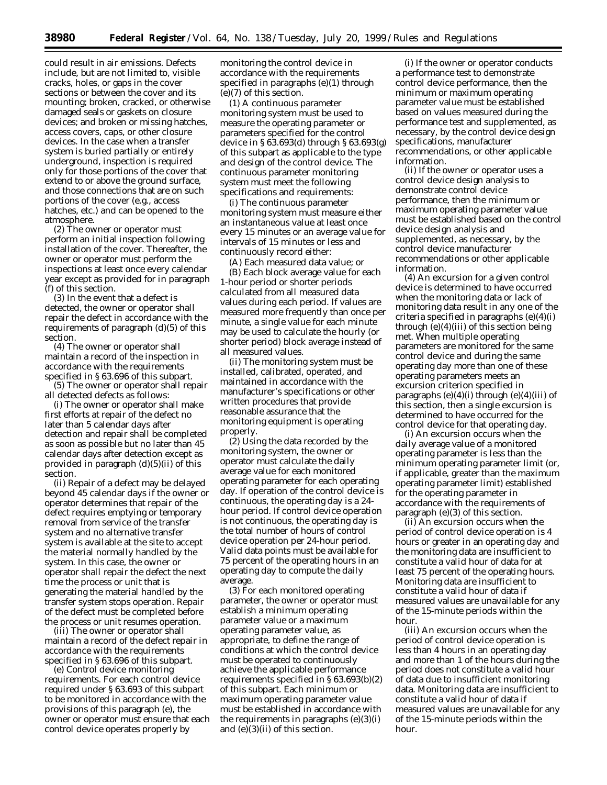could result in air emissions. Defects include, but are not limited to, visible cracks, holes, or gaps in the cover sections or between the cover and its mounting; broken, cracked, or otherwise damaged seals or gaskets on closure devices; and broken or missing hatches, access covers, caps, or other closure devices. In the case when a transfer system is buried partially or entirely underground, inspection is required only for those portions of the cover that extend to or above the ground surface, and those connections that are on such portions of the cover (e.g., access hatches, etc.) and can be opened to the atmosphere.

(2) The owner or operator must perform an initial inspection following installation of the cover. Thereafter, the owner or operator must perform the inspections at least once every calendar year except as provided for in paragraph (f) of this section.

(3) In the event that a defect is detected, the owner or operator shall repair the defect in accordance with the requirements of paragraph (d)(5) of this section.

(4) The owner or operator shall maintain a record of the inspection in accordance with the requirements specified in § 63.696 of this subpart.

(5) The owner or operator shall repair all detected defects as follows:

(i) The owner or operator shall make first efforts at repair of the defect no later than 5 calendar days after detection and repair shall be completed as soon as possible but no later than 45 calendar days after detection except as provided in paragraph (d)(5)(ii) of this section.

(ii) Repair of a defect may be delayed beyond 45 calendar days if the owner or operator determines that repair of the defect requires emptying or temporary removal from service of the transfer system and no alternative transfer system is available at the site to accept the material normally handled by the system. In this case, the owner or operator shall repair the defect the next time the process or unit that is generating the material handled by the transfer system stops operation. Repair of the defect must be completed before the process or unit resumes operation.

(iii) The owner or operator shall maintain a record of the defect repair in accordance with the requirements specified in § 63.696 of this subpart.

(e) *Control device monitoring requirements.* For each control device required under § 63.693 of this subpart to be monitored in accordance with the provisions of this paragraph (e), the owner or operator must ensure that each control device operates properly by

monitoring the control device in accordance with the requirements specified in paragraphs (e)(1) through (e)(7) of this section.

(1) A continuous parameter monitoring system must be used to measure the operating parameter or parameters specified for the control device in § 63.693(d) through § 63.693(g) of this subpart as applicable to the type and design of the control device. The continuous parameter monitoring system must meet the following specifications and requirements:

(i) The continuous parameter monitoring system must measure either an instantaneous value at least once every 15 minutes or an average value for intervals of 15 minutes or less and continuously record either:

(A) Each measured data value; or

(B) Each block average value for each 1-hour period or shorter periods calculated from all measured data values during each period. If values are measured more frequently than once per minute, a single value for each minute may be used to calculate the hourly (or shorter period) block average instead of all measured values.

(ii) The monitoring system must be installed, calibrated, operated, and maintained in accordance with the manufacturer's specifications or other written procedures that provide reasonable assurance that the monitoring equipment is operating properly.

(2) Using the data recorded by the monitoring system, the owner or operator must calculate the daily average value for each monitored operating parameter for each operating day. If operation of the control device is continuous, the operating day is a 24 hour period. If control device operation is not continuous, the operating day is the total number of hours of control device operation per 24-hour period. Valid data points must be available for 75 percent of the operating hours in an operating day to compute the daily average.

(3) For each monitored operating parameter, the owner or operator must establish a minimum operating parameter value or a maximum operating parameter value, as appropriate, to define the range of conditions at which the control device must be operated to continuously achieve the applicable performance requirements specified in § 63.693(b)(2) of this subpart. Each minimum or maximum operating parameter value must be established in accordance with the requirements in paragraphs  $(e)(3)(i)$ and (e)(3)(ii) of this section.

(i) If the owner or operator conducts a performance test to demonstrate control device performance, then the minimum or maximum operating parameter value must be established based on values measured during the performance test and supplemented, as necessary, by the control device design specifications, manufacturer recommendations, or other applicable information.

(ii) If the owner or operator uses a control device design analysis to demonstrate control device performance, then the minimum or maximum operating parameter value must be established based on the control device design analysis and supplemented, as necessary, by the control device manufacturer recommendations or other applicable information.

(4) An excursion for a given control device is determined to have occurred when the monitoring data or lack of monitoring data result in any one of the criteria specified in paragraphs (e)(4)(i) through  $(e)(4)(iii)$  of this section being met. When multiple operating parameters are monitored for the same control device and during the same operating day more than one of these operating parameters meets an excursion criterion specified in paragraphs  $(e)(4)(i)$  through  $(e)(4)(iii)$  of this section, then a single excursion is determined to have occurred for the control device for that operating day.

(i) An excursion occurs when the daily average value of a monitored operating parameter is less than the minimum operating parameter limit (or, if applicable, greater than the maximum operating parameter limit) established for the operating parameter in accordance with the requirements of paragraph (e)(3) of this section.

(ii) An excursion occurs when the period of control device operation is 4 hours or greater in an operating day and the monitoring data are insufficient to constitute a valid hour of data for at least 75 percent of the operating hours. Monitoring data are insufficient to constitute a valid hour of data if measured values are unavailable for any of the 15-minute periods within the hour.

(iii) An excursion occurs when the period of control device operation is less than 4 hours in an operating day and more than 1 of the hours during the period does not constitute a valid hour of data due to insufficient monitoring data. Monitoring data are insufficient to constitute a valid hour of data if measured values are unavailable for any of the 15-minute periods within the hour.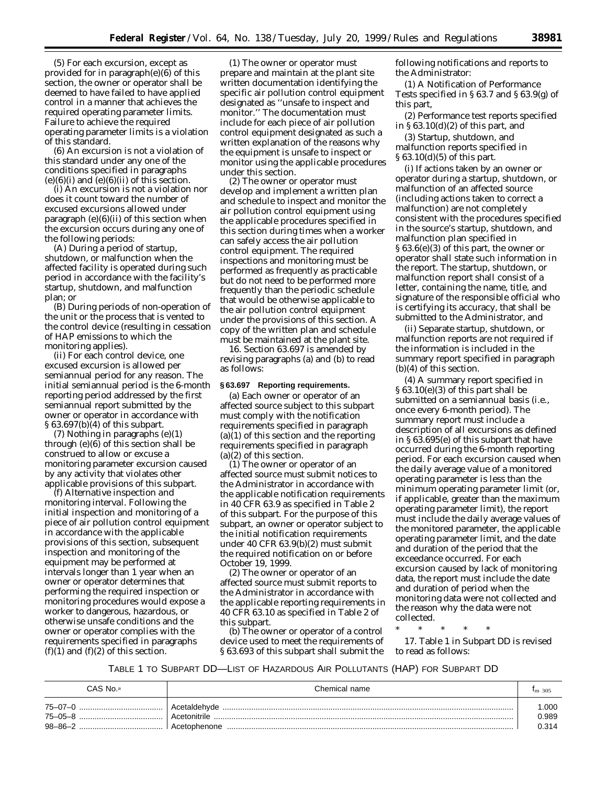(5) For each excursion, except as provided for in paragraph(e)(6) of this section, the owner or operator shall be deemed to have failed to have applied control in a manner that achieves the required operating parameter limits. Failure to achieve the required operating parameter limits is a violation of this standard.

(6) An excursion is not a violation of this standard under any one of the conditions specified in paragraphs  $(e)(6)(i)$  and  $(e)(6)(ii)$  of this section.

(i) An excursion is not a violation nor does it count toward the number of excused excursions allowed under paragraph  $(e)(6)(ii)$  of this section when the excursion occurs during any one of the following periods:

(A) During a period of startup, shutdown, or malfunction when the affected facility is operated during such period in accordance with the facility's startup, shutdown, and malfunction plan; or

(B) During periods of non-operation of the unit or the process that is vented to the control device (resulting in cessation of HAP emissions to which the monitoring applies).

(ii) For each control device, one excused excursion is allowed per semiannual period for any reason. The initial semiannual period is the 6-month reporting period addressed by the first semiannual report submitted by the owner or operator in accordance with § 63.697(b)(4) of this subpart.

(7) Nothing in paragraphs (e)(1) through (e)(6) of this section shall be construed to allow or excuse a monitoring parameter excursion caused by any activity that violates other applicable provisions of this subpart.

(f) *Alternative inspection and monitoring interval.* Following the initial inspection and monitoring of a piece of air pollution control equipment in accordance with the applicable provisions of this section, subsequent inspection and monitoring of the equipment may be performed at intervals longer than 1 year when an owner or operator determines that performing the required inspection or monitoring procedures would expose a worker to dangerous, hazardous, or otherwise unsafe conditions and the owner or operator complies with the requirements specified in paragraphs  $(f)(1)$  and  $(f)(2)$  of this section.

(1) The owner or operator must prepare and maintain at the plant site written documentation identifying the specific air pollution control equipment designated as ''unsafe to inspect and monitor.'' The documentation must include for each piece of air pollution control equipment designated as such a written explanation of the reasons why the equipment is unsafe to inspect or monitor using the applicable procedures under this section.

(2) The owner or operator must develop and implement a written plan and schedule to inspect and monitor the air pollution control equipment using the applicable procedures specified in this section during times when a worker can safely access the air pollution control equipment. The required inspections and monitoring must be performed as frequently as practicable but do not need to be performed more frequently than the periodic schedule that would be otherwise applicable to the air pollution control equipment under the provisions of this section. A copy of the written plan and schedule must be maintained at the plant site.

16. Section 63.697 is amended by revising paragraphs (a) and (b) to read as follows:

# **§ 63.697 Reporting requirements.**

(a) Each owner or operator of an affected source subject to this subpart must comply with the notification requirements specified in paragraph  $(a)(1)$  of this section and the reporting requirements specified in paragraph (a)(2) of this section.

(1) The owner or operator of an affected source must submit notices to the Administrator in accordance with the applicable notification requirements in 40 CFR 63.9 as specified in Table 2 of this subpart. For the purpose of this subpart, an owner or operator subject to the initial notification requirements under 40 CFR 63.9(b)(2) must submit the required notification on or before October 19, 1999.

(2) The owner or operator of an affected source must submit reports to the Administrator in accordance with the applicable reporting requirements in 40 CFR 63.10 as specified in Table 2 of this subpart.

(b) The owner or operator of a control device used to meet the requirements of § 63.693 of this subpart shall submit the following notifications and reports to the Administrator:

(1) A Notification of Performance Tests specified in § 63.7 and § 63.9(g) of this part,

(2) Performance test reports specified in  $\S 63.10(d)(2)$  of this part, and

(3) Startup, shutdown, and malfunction reports specified in § 63.10(d)(5) of this part.

(i) If actions taken by an owner or operator during a startup, shutdown, or malfunction of an affected source (including actions taken to correct a malfunction) are not completely consistent with the procedures specified in the source's startup, shutdown, and malfunction plan specified in § 63.6(e)(3) of this part, the owner or operator shall state such information in the report. The startup, shutdown, or malfunction report shall consist of a letter, containing the name, title, and signature of the responsible official who is certifying its accuracy, that shall be submitted to the Administrator, and

(ii) Separate startup, shutdown, or malfunction reports are not required if the information is included in the summary report specified in paragraph (b)(4) of this section.

(4) A summary report specified in § 63.10(e)(3) of this part shall be submitted on a semiannual basis (i.e., once every 6-month period). The summary report must include a description of all excursions as defined in § 63.695(e) of this subpart that have occurred during the 6-month reporting period. For each excursion caused when the daily average value of a monitored operating parameter is less than the minimum operating parameter limit (or, if applicable, greater than the maximum operating parameter limit), the report must include the daily average values of the monitored parameter, the applicable operating parameter limit, and the date and duration of the period that the exceedance occurred. For each excursion caused by lack of monitoring data, the report must include the date and duration of period when the monitoring data were not collected and the reason why the data were not collected.

\* \* \* \* \*

17. Table 1 in Subpart DD is revised to read as follows:

TABLE 1 TO SUBPART DD—LIST OF HAZARDOUS AIR POLLUTANTS (HAP) FOR SUBPART DD

| CAS No.ª                                      | Chemical name                                | $Im$ 305               |
|-----------------------------------------------|----------------------------------------------|------------------------|
| $75 - 07 - 0$<br>75-05-8<br>$98 - 86 - 2$<br> | Acetaldehyde<br>Acetonitrile<br>Acetophenone | .000<br>0.989<br>0.314 |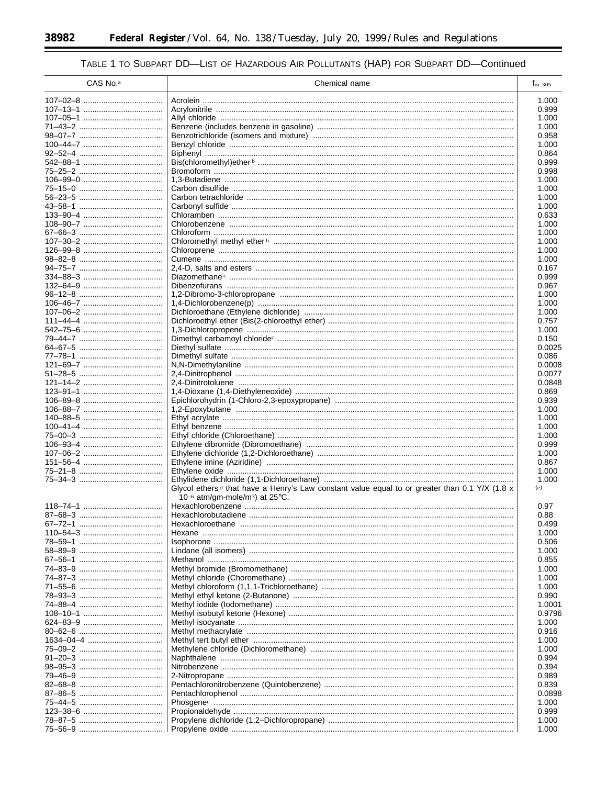-

۰

# TABLE 1 TO SUBPART DD-LIST OF HAZARDOUS AIR POLLUTANTS (HAP) FOR SUBPART DD-Continued

| CAS No. <sup>a</sup> | Chemical name                                                                                             | $f_{\rm m}$ 305 |
|----------------------|-----------------------------------------------------------------------------------------------------------|-----------------|
|                      |                                                                                                           | 1.000           |
|                      |                                                                                                           | 0.999           |
|                      |                                                                                                           | 1.000           |
|                      |                                                                                                           | 1.000           |
|                      |                                                                                                           | 0.958           |
|                      |                                                                                                           | 1.000           |
|                      |                                                                                                           | 0.864           |
|                      |                                                                                                           | 0.999           |
|                      |                                                                                                           | 0.998           |
|                      |                                                                                                           | 1.000           |
|                      |                                                                                                           | 1.000           |
|                      |                                                                                                           | 1.000<br>1.000  |
|                      |                                                                                                           | 0.633           |
|                      |                                                                                                           | 1.000           |
|                      |                                                                                                           | 1.000           |
|                      |                                                                                                           | 1.000           |
|                      |                                                                                                           | 1.000           |
|                      |                                                                                                           | 1.000           |
|                      |                                                                                                           | 0.167           |
|                      |                                                                                                           | 0.999           |
|                      |                                                                                                           | 0.967           |
|                      |                                                                                                           | 1.000           |
|                      |                                                                                                           | 1.000           |
|                      |                                                                                                           | 1.000<br>0.757  |
|                      |                                                                                                           | 1.000           |
|                      |                                                                                                           | 0.150           |
|                      |                                                                                                           | 0.0025          |
|                      |                                                                                                           | 0.086           |
|                      |                                                                                                           | 0.0008          |
|                      |                                                                                                           | 0.0077          |
|                      |                                                                                                           | 0.0848          |
|                      |                                                                                                           | 0.869           |
|                      |                                                                                                           | 0.939           |
|                      |                                                                                                           | 1.000           |
|                      |                                                                                                           | 1.000<br>1.000  |
|                      |                                                                                                           | 1.000           |
|                      |                                                                                                           | 0.999           |
|                      |                                                                                                           | 1.000           |
|                      |                                                                                                           | 0.867           |
|                      |                                                                                                           | 1.000           |
|                      |                                                                                                           | 1.000           |
|                      | Glycol ethers <sup>d</sup> that have a Henry's Law constant value equal to or greater than 0.1 Y/X (1.8 x | (e)             |
|                      | 10-6 atm/gm-mole/m <sup>3</sup> ) at $25^{\circ}$ C.                                                      |                 |
|                      |                                                                                                           | 0.97            |
|                      |                                                                                                           | 0.88            |
|                      |                                                                                                           | 0.499<br>1.000  |
|                      |                                                                                                           | 0.506           |
|                      |                                                                                                           | 1.000           |
|                      |                                                                                                           | 0.855           |
|                      |                                                                                                           | 1.000           |
|                      |                                                                                                           | 1.000           |
|                      |                                                                                                           | 1.000           |
|                      |                                                                                                           | 0.990           |
|                      |                                                                                                           | 1.0001          |
|                      |                                                                                                           | 0.9796          |
|                      |                                                                                                           | 1.000           |
|                      |                                                                                                           | 0.916           |
|                      |                                                                                                           | 1.000<br>1.000  |
|                      |                                                                                                           | 0.994           |
|                      |                                                                                                           | 0.394           |
|                      |                                                                                                           | 0.989           |
|                      |                                                                                                           | 0.839           |
|                      |                                                                                                           | 0.0898          |
|                      |                                                                                                           | 1.000           |
|                      |                                                                                                           | 0.999           |
|                      |                                                                                                           | 1.000           |
|                      |                                                                                                           | 1.000           |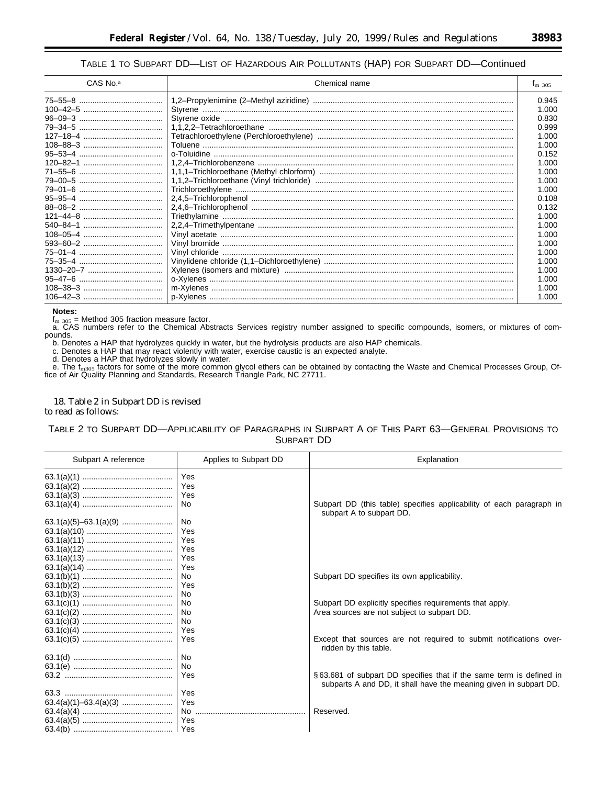# TABLE 1 TO SUBPART DD—LIST OF HAZARDOUS AIR POLLUTANTS (HAP) FOR SUBPART DD—Continued

| CAS No. <sup>a</sup> | Chemical name                                                                                                                                                                                                                                                                                                                                                                                                            | $I_{\rm m}$ 305 |
|----------------------|--------------------------------------------------------------------------------------------------------------------------------------------------------------------------------------------------------------------------------------------------------------------------------------------------------------------------------------------------------------------------------------------------------------------------|-----------------|
|                      |                                                                                                                                                                                                                                                                                                                                                                                                                          | 0.945           |
|                      |                                                                                                                                                                                                                                                                                                                                                                                                                          | 1.000           |
|                      |                                                                                                                                                                                                                                                                                                                                                                                                                          | 0.830           |
|                      |                                                                                                                                                                                                                                                                                                                                                                                                                          | 0.999           |
|                      |                                                                                                                                                                                                                                                                                                                                                                                                                          | 1.000           |
|                      |                                                                                                                                                                                                                                                                                                                                                                                                                          | 1.000           |
|                      |                                                                                                                                                                                                                                                                                                                                                                                                                          | 0.152           |
|                      |                                                                                                                                                                                                                                                                                                                                                                                                                          | 1.000           |
|                      |                                                                                                                                                                                                                                                                                                                                                                                                                          | 1.000           |
|                      |                                                                                                                                                                                                                                                                                                                                                                                                                          | 1.000           |
|                      |                                                                                                                                                                                                                                                                                                                                                                                                                          | 1.000           |
|                      |                                                                                                                                                                                                                                                                                                                                                                                                                          | 0.108           |
|                      |                                                                                                                                                                                                                                                                                                                                                                                                                          | 0.132           |
|                      |                                                                                                                                                                                                                                                                                                                                                                                                                          | 1.000           |
|                      |                                                                                                                                                                                                                                                                                                                                                                                                                          | 1.000           |
|                      |                                                                                                                                                                                                                                                                                                                                                                                                                          | 1.000           |
|                      |                                                                                                                                                                                                                                                                                                                                                                                                                          | 1.000           |
|                      |                                                                                                                                                                                                                                                                                                                                                                                                                          | 1.000           |
|                      |                                                                                                                                                                                                                                                                                                                                                                                                                          | 1.000           |
|                      |                                                                                                                                                                                                                                                                                                                                                                                                                          | 1.000           |
|                      |                                                                                                                                                                                                                                                                                                                                                                                                                          | 1.000           |
|                      | $m-Xylenes  \  \, \ldots \  \, \ldots \  \, \ldots \  \, \ldots \  \, \ldots \  \, \ldots \  \, \ldots \  \, \ldots \  \, \ldots \  \, \ldots \  \, \ldots \  \, \ldots \  \, \ldots \  \, \ldots \  \, \ldots \  \, \ldots \  \, \ldots \  \, \ldots \  \, \ldots \  \, \ldots \  \, \ldots \  \, \ldots \  \, \ldots \  \, \ldots \  \, \ldots \  \, \ldots \  \, \ldots \  \, \ldots \  \, \ldots \  \, \ldots \  \,$ | 1.000           |
|                      |                                                                                                                                                                                                                                                                                                                                                                                                                          | 1.000           |

# **Notes:**

f<sub>m 305</sub> = Method 305 fraction measure factor.<br>a. CAS numbers refer to the Chemical Abstracts Services registry number assigned to specific compounds, isomers, or mixtures of compounds.

b. Denotes a HAP that hydrolyzes quickly in water, but the hydrolysis products are also HAP chemicals.

c. Denotes a HAP that may react violently with water, exercise caustic is an expected analyte.

d. Denotes a HAP that hydrolyzes slowly in water.

e. The f<sub>m305</sub> factors for some of the more common glycol ethers can be obtained by contacting the Waste and Chemical Processes Group, Of-<br>fice of Air Quality Planning and Standards, Research Triangle Park, NC 27711.

# 18. Table 2 in Subpart DD is revised to read as follows:

# TABLE 2 TO SUBPART DD—APPLICABILITY OF PARAGRAPHS IN SUBPART A OF THIS PART 63—GENERAL PROVISIONS TO SUBPART DD

| Subpart A reference | Applies to Subpart DD   | Explanation                                                                                                                              |
|---------------------|-------------------------|------------------------------------------------------------------------------------------------------------------------------------------|
|                     | Yes<br>Yes<br>Yes<br>No | Subpart DD (this table) specifies applicability of each paragraph in                                                                     |
|                     | No<br>Yes<br>Yes        | subpart A to subpart DD.                                                                                                                 |
|                     | Yes<br>Yes<br>Yes       |                                                                                                                                          |
|                     | No<br>Yes<br>No         | Subpart DD specifies its own applicability.                                                                                              |
|                     | No<br>No<br>No          | Subpart DD explicitly specifies requirements that apply.<br>Area sources are not subject to subpart DD.                                  |
|                     | Yes<br>Yes              | Except that sources are not required to submit notifications over-<br>ridden by this table.                                              |
|                     | No<br>No                |                                                                                                                                          |
|                     | Yes                     | §63.681 of subpart DD specifies that if the same term is defined in<br>subparts A and DD, it shall have the meaning given in subpart DD. |
|                     | Yes                     |                                                                                                                                          |
|                     | Yes                     |                                                                                                                                          |
|                     |                         | Reserved.                                                                                                                                |
|                     | Yes                     |                                                                                                                                          |
|                     |                         |                                                                                                                                          |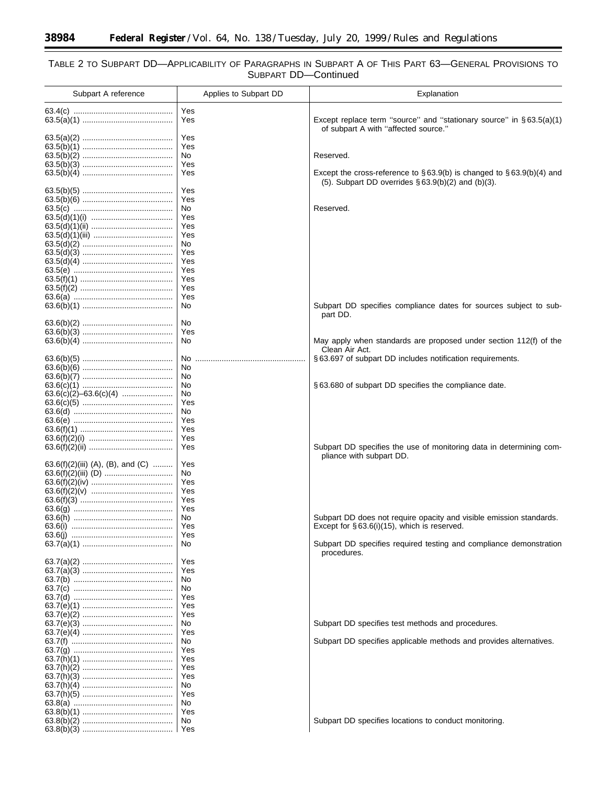$\equiv$ 

۰

# TABLE 2 TO SUBPART DD—APPLICABILITY OF PARAGRAPHS IN SUBPART A OF THIS PART 63—GENERAL PROVISIONS TO SUBPART DD—Continued

| Subpart A reference               | Applies to Subpart DD | Explanation                                                                         |
|-----------------------------------|-----------------------|-------------------------------------------------------------------------------------|
|                                   | Yes                   |                                                                                     |
|                                   | Yes                   | Except replace term "source" and "stationary source" in $\S 63.5(a)(1)$             |
|                                   |                       | of subpart A with "affected source."                                                |
|                                   | Yes<br>Yes            |                                                                                     |
|                                   | No.                   | Reserved.                                                                           |
|                                   | Yes                   |                                                                                     |
|                                   | Yes                   | Except the cross-reference to $\S 63.9(b)$ is changed to $\S 63.9(b)(4)$ and        |
|                                   | Yes                   | $(5)$ . Subpart DD overrides § 63.9(b)(2) and (b)(3).                               |
|                                   | Yes                   |                                                                                     |
|                                   | No.                   | Reserved.                                                                           |
|                                   | Yes                   |                                                                                     |
|                                   | Yes                   |                                                                                     |
|                                   | Yes<br>No             |                                                                                     |
|                                   | Yes                   |                                                                                     |
|                                   | Yes                   |                                                                                     |
|                                   | Yes                   |                                                                                     |
|                                   | Yes                   |                                                                                     |
|                                   | Yes<br>Yes            |                                                                                     |
|                                   | No                    | Subpart DD specifies compliance dates for sources subject to sub-                   |
|                                   |                       | part DD.                                                                            |
|                                   | No                    |                                                                                     |
|                                   | Yes                   |                                                                                     |
|                                   | No                    | May apply when standards are proposed under section 112(f) of the<br>Clean Air Act. |
|                                   | No.                   | §63.697 of subpart DD includes notification requirements.                           |
|                                   | No                    |                                                                                     |
|                                   | No                    |                                                                                     |
|                                   | No<br>No              | §63.680 of subpart DD specifies the compliance date.                                |
|                                   | Yes                   |                                                                                     |
|                                   | No                    |                                                                                     |
|                                   | Yes                   |                                                                                     |
|                                   | Yes                   |                                                                                     |
|                                   | Yes<br>Yes            | Subpart DD specifies the use of monitoring data in determining com-                 |
|                                   |                       | pliance with subpart DD.                                                            |
| 63.6(f)(2)(iii) (A), (B), and (C) | Yes                   |                                                                                     |
|                                   | No.                   |                                                                                     |
|                                   | Yes<br>Yes            |                                                                                     |
|                                   | Yes                   |                                                                                     |
|                                   | Yes                   |                                                                                     |
|                                   | No.                   | Subpart DD does not require opacity and visible emission standards.                 |
|                                   | Yes<br>Yes            | Except for $\S$ 63.6(i)(15), which is reserved.                                     |
|                                   | No                    | Subpart DD specifies required testing and compliance demonstration<br>procedures.   |
|                                   | Yes                   |                                                                                     |
|                                   | Yes                   |                                                                                     |
|                                   | No<br>No              |                                                                                     |
|                                   | Yes                   |                                                                                     |
|                                   | Yes                   |                                                                                     |
|                                   | Yes                   |                                                                                     |
|                                   | No.                   | Subpart DD specifies test methods and procedures.                                   |
|                                   | Yes<br>No             | Subpart DD specifies applicable methods and provides alternatives.                  |
|                                   | Yes                   |                                                                                     |
|                                   | Yes                   |                                                                                     |
|                                   | Yes                   |                                                                                     |
|                                   | Yes                   |                                                                                     |
|                                   | No.<br>Yes            |                                                                                     |
|                                   | No.                   |                                                                                     |
|                                   | Yes                   |                                                                                     |
|                                   | No.                   | Subpart DD specifies locations to conduct monitoring.                               |
|                                   |                       |                                                                                     |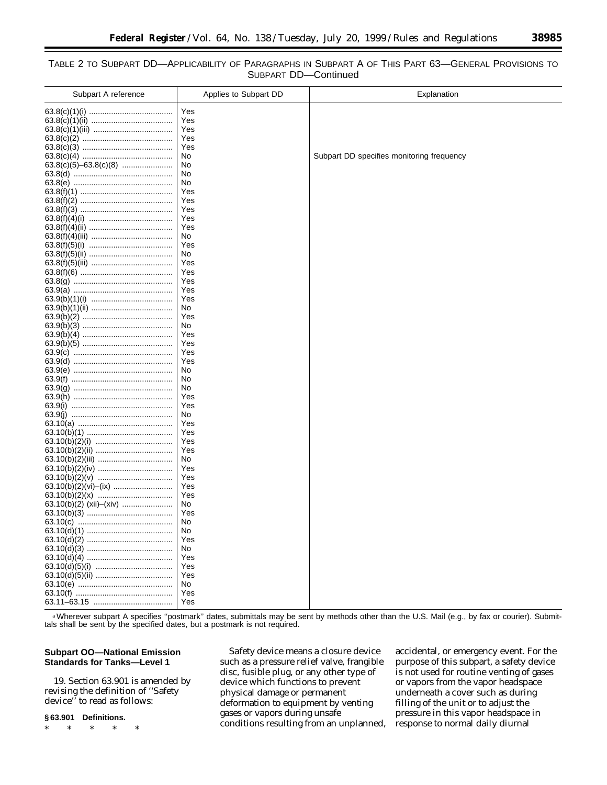# TABLE 2 TO SUBPART DD—APPLICABILITY OF PARAGRAPHS IN SUBPART A OF THIS PART 63—GENERAL PROVISIONS TO SUBPART DD—Continued

| Subpart A reference     | Applies to Subpart DD | Explanation                               |
|-------------------------|-----------------------|-------------------------------------------|
|                         | Yes                   |                                           |
|                         | Yes                   |                                           |
|                         | Yes                   |                                           |
|                         | Yes                   |                                           |
|                         | Yes                   |                                           |
|                         | No                    | Subpart DD specifies monitoring frequency |
|                         | No                    |                                           |
|                         | No<br>No              |                                           |
|                         | Yes                   |                                           |
|                         | Yes                   |                                           |
|                         | Yes                   |                                           |
|                         | Yes                   |                                           |
|                         | Yes                   |                                           |
|                         | No                    |                                           |
|                         | Yes                   |                                           |
|                         | No.                   |                                           |
|                         | Yes                   |                                           |
|                         | Yes                   |                                           |
|                         | Yes                   |                                           |
|                         | Yes                   |                                           |
|                         | Yes                   |                                           |
|                         | No<br>Yes             |                                           |
|                         | No.                   |                                           |
|                         | Yes                   |                                           |
|                         | Yes                   |                                           |
|                         | Yes                   |                                           |
|                         | Yes                   |                                           |
|                         | No                    |                                           |
|                         | No                    |                                           |
|                         | No.                   |                                           |
|                         | Yes                   |                                           |
|                         | Yes                   |                                           |
|                         | No                    |                                           |
|                         | Yes                   |                                           |
|                         | Yes<br>Yes            |                                           |
|                         | Yes                   |                                           |
|                         | No.                   |                                           |
|                         | Yes                   |                                           |
|                         | Yes                   |                                           |
|                         | Yes                   |                                           |
|                         | Yes                   |                                           |
| 63.10(b)(2) (xii)–(xiv) | No                    |                                           |
|                         | Yes                   |                                           |
|                         | No                    |                                           |
|                         | No                    |                                           |
|                         | Yes                   |                                           |
|                         | No                    |                                           |
|                         | Yes<br>Yes            |                                           |
|                         | Yes                   |                                           |
|                         | No                    |                                           |
|                         | Yes                   |                                           |
|                         | Yes                   |                                           |
|                         |                       |                                           |

a Wherever subpart A specifies "postmark" dates, submittals may be sent by methods other than the U.S. Mail (e.g., by fax or courier). Submittals shall be sent by the specified dates, but a postmark is not required.

# **Subpart OO—National Emission Standards for Tanks—Level 1**

19. Section 63.901 is amended by revising the definition of ''Safety device'' to read as follows:

# **§ 63.901 Definitions.**

\* \* \* \* \*

*Safety device* means a closure device such as a pressure relief valve, frangible disc, fusible plug, or any other type of device which functions to prevent physical damage or permanent deformation to equipment by venting gases or vapors during unsafe conditions resulting from an unplanned, accidental, or emergency event. For the purpose of this subpart, a safety device is not used for routine venting of gases or vapors from the vapor headspace underneath a cover such as during filling of the unit or to adjust the pressure in this vapor headspace in response to normal daily diurnal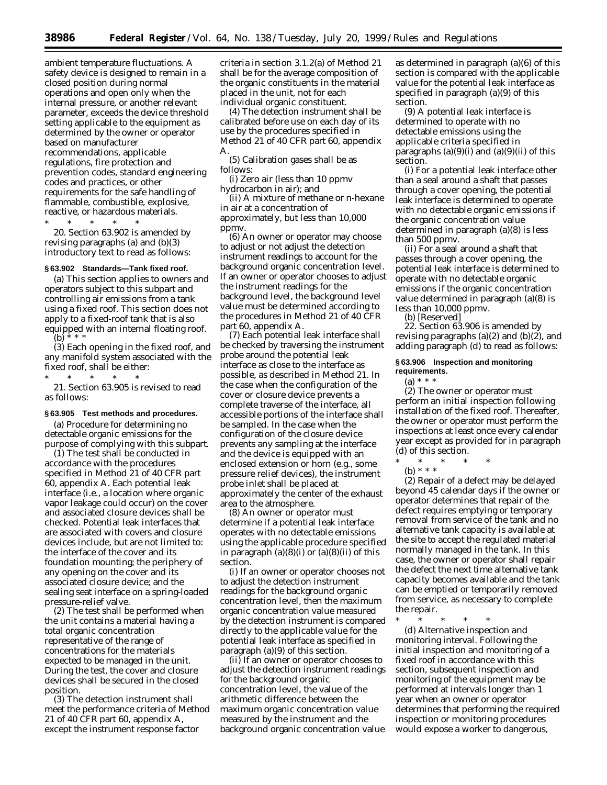ambient temperature fluctuations. A safety device is designed to remain in a closed position during normal operations and open only when the internal pressure, or another relevant parameter, exceeds the device threshold setting applicable to the equipment as determined by the owner or operator based on manufacturer recommendations, applicable regulations, fire protection and prevention codes, standard engineering codes and practices, or other requirements for the safe handling of flammable, combustible, explosive, reactive, or hazardous materials.

\* \* \* \* \* 20. Section 63.902 is amended by revising paragraphs (a) and (b)(3) introductory text to read as follows:

#### **§ 63.902 Standards—Tank fixed roof.**

(a) This section applies to owners and operators subject to this subpart and controlling air emissions from a tank using a fixed roof. This section does not apply to a fixed-roof tank that is also equipped with an internal floating roof.  $(b)$  \* \* \*

(3) Each opening in the fixed roof, and any manifold system associated with the fixed roof, shall be either:

\* \* \* \* \* 21. Section 63.905 is revised to read as follows:

#### **§ 63.905 Test methods and procedures.**

(a) Procedure for determining no detectable organic emissions for the purpose of complying with this subpart.

(1) The test shall be conducted in accordance with the procedures specified in Method 21 of 40 CFR part 60, appendix A. Each potential leak interface (i.e., a location where organic vapor leakage could occur) on the cover and associated closure devices shall be checked. Potential leak interfaces that are associated with covers and closure devices include, but are not limited to: the interface of the cover and its foundation mounting; the periphery of any opening on the cover and its associated closure device; and the sealing seat interface on a spring-loaded pressure-relief valve.

(2) The test shall be performed when the unit contains a material having a total organic concentration representative of the range of concentrations for the materials expected to be managed in the unit. During the test, the cover and closure devices shall be secured in the closed position.

(3) The detection instrument shall meet the performance criteria of Method 21 of 40 CFR part 60, appendix A, except the instrument response factor

criteria in section 3.1.2(a) of Method 21 shall be for the average composition of the organic constituents in the material placed in the unit, not for each individual organic constituent.

(4) The detection instrument shall be calibrated before use on each day of its use by the procedures specified in Method 21 of 40 CFR part 60, appendix A.

(5) Calibration gases shall be as follows:

(i) Zero air (less than 10 ppmv hydrocarbon in air); and

(ii) A mixture of methane or n-hexane in air at a concentration of approximately, but less than 10,000 ppmv.

(6) An owner or operator may choose to adjust or not adjust the detection instrument readings to account for the background organic concentration level. If an owner or operator chooses to adjust the instrument readings for the background level, the background level value must be determined according to the procedures in Method 21 of 40 CFR part 60, appendix A.

(7) Each potential leak interface shall be checked by traversing the instrument probe around the potential leak interface as close to the interface as possible, as described in Method 21. In the case when the configuration of the cover or closure device prevents a complete traverse of the interface, all accessible portions of the interface shall be sampled. In the case when the configuration of the closure device prevents any sampling at the interface and the device is equipped with an enclosed extension or horn (e.g., some pressure relief devices), the instrument probe inlet shall be placed at approximately the center of the exhaust area to the atmosphere.

(8) An owner or operator must determine if a potential leak interface operates with no detectable emissions using the applicable procedure specified in paragraph  $(a)(8)(i)$  or  $(a)(8)(ii)$  of this section.

(i) If an owner or operator chooses not to adjust the detection instrument readings for the background organic concentration level, then the maximum organic concentration value measured by the detection instrument is compared directly to the applicable value for the potential leak interface as specified in paragraph (a)(9) of this section.

(ii) If an owner or operator chooses to adjust the detection instrument readings for the background organic concentration level, the value of the arithmetic difference between the maximum organic concentration value measured by the instrument and the background organic concentration value

as determined in paragraph (a)(6) of this section is compared with the applicable value for the potential leak interface as specified in paragraph (a)(9) of this section.

(9) A potential leak interface is determined to operate with no detectable emissions using the applicable criteria specified in paragraphs  $(a)(9)(i)$  and  $(a)(9)(ii)$  of this section.

(i) For a potential leak interface other than a seal around a shaft that passes through a cover opening, the potential leak interface is determined to operate with no detectable organic emissions if the organic concentration value determined in paragraph (a)(8) is less than 500 ppmv.

(ii) For a seal around a shaft that passes through a cover opening, the potential leak interface is determined to operate with no detectable organic emissions if the organic concentration value determined in paragraph (a)(8) is less than 10,000 ppmv.

(b) [Reserved]

22. Section 63.906 is amended by revising paragraphs  $(a)(2)$  and  $(b)(2)$ , and adding paragraph (d) to read as follows:

#### **§ 63.906 Inspection and monitoring requirements.**

(a) \* \* \*

(2) The owner or operator must perform an initial inspection following installation of the fixed roof. Thereafter, the owner or operator must perform the inspections at least once every calendar year except as provided for in paragraph (d) of this section.

\* \* \* \* \*

(b) \* \* \*

(2) Repair of a defect may be delayed beyond 45 calendar days if the owner or operator determines that repair of the defect requires emptying or temporary removal from service of the tank and no alternative tank capacity is available at the site to accept the regulated material normally managed in the tank. In this case, the owner or operator shall repair the defect the next time alternative tank capacity becomes available and the tank can be emptied or temporarily removed from service, as necessary to complete the repair.

\* \* \* \* \*

(d) *Alternative inspection and monitoring interval.* Following the initial inspection and monitoring of a fixed roof in accordance with this section, subsequent inspection and monitoring of the equipment may be performed at intervals longer than 1 year when an owner or operator determines that performing the required inspection or monitoring procedures would expose a worker to dangerous,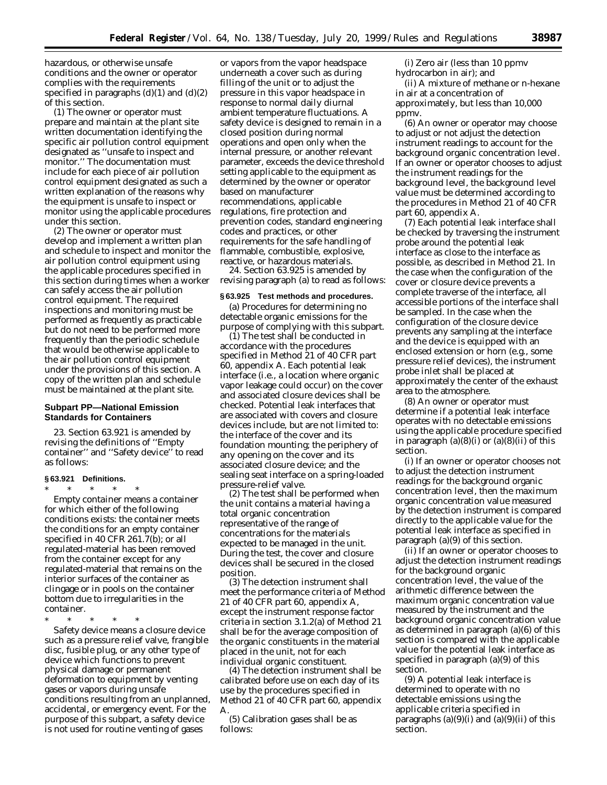hazardous, or otherwise unsafe conditions and the owner or operator complies with the requirements specified in paragraphs  $(d)(1)$  and  $(d)(2)$ of this section.

(1) The owner or operator must prepare and maintain at the plant site written documentation identifying the specific air pollution control equipment designated as ''unsafe to inspect and monitor.'' The documentation must include for each piece of air pollution control equipment designated as such a written explanation of the reasons why the equipment is unsafe to inspect or monitor using the applicable procedures under this section.

(2) The owner or operator must develop and implement a written plan and schedule to inspect and monitor the air pollution control equipment using the applicable procedures specified in this section during times when a worker can safely access the air pollution control equipment. The required inspections and monitoring must be performed as frequently as practicable but do not need to be performed more frequently than the periodic schedule that would be otherwise applicable to the air pollution control equipment under the provisions of this section. A copy of the written plan and schedule must be maintained at the plant site.

# **Subpart PP—National Emission Standards for Containers**

23. Section 63.921 is amended by revising the definitions of ''Empty container'' and ''Safety device'' to read as follows:

#### **§ 63.921 Definitions.**

\* \* \* \* \* *Empty container* means a container for which either of the following conditions exists: the container meets the conditions for an empty container specified in 40 CFR 261.7(b); or all regulated-material has been removed from the container except for any regulated-material that remains on the interior surfaces of the container as clingage or in pools on the container bottom due to irregularities in the container.

\* \* \* \* \*

*Safety device* means a closure device such as a pressure relief valve, frangible disc, fusible plug, or any other type of device which functions to prevent physical damage or permanent deformation to equipment by venting gases or vapors during unsafe conditions resulting from an unplanned, accidental, or emergency event. For the purpose of this subpart, a safety device is not used for routine venting of gases

or vapors from the vapor headspace underneath a cover such as during filling of the unit or to adjust the pressure in this vapor headspace in response to normal daily diurnal ambient temperature fluctuations. A safety device is designed to remain in a closed position during normal operations and open only when the internal pressure, or another relevant parameter, exceeds the device threshold setting applicable to the equipment as determined by the owner or operator based on manufacturer recommendations, applicable regulations, fire protection and prevention codes, standard engineering codes and practices, or other requirements for the safe handling of flammable, combustible, explosive, reactive, or hazardous materials.

24. Section 63.925 is amended by revising paragraph (a) to read as follows:

#### **§ 63.925 Test methods and procedures.**

(a) Procedures for determining no detectable organic emissions for the purpose of complying with this subpart.

(1) The test shall be conducted in accordance with the procedures specified in Method 21 of 40 CFR part 60, appendix A. Each potential leak interface (i.e., a location where organic vapor leakage could occur) on the cover and associated closure devices shall be checked. Potential leak interfaces that are associated with covers and closure devices include, but are not limited to: the interface of the cover and its foundation mounting; the periphery of any opening on the cover and its associated closure device; and the sealing seat interface on a spring-loaded pressure-relief valve.

(2) The test shall be performed when the unit contains a material having a total organic concentration representative of the range of concentrations for the materials expected to be managed in the unit. During the test, the cover and closure devices shall be secured in the closed position.

(3) The detection instrument shall meet the performance criteria of Method 21 of 40 CFR part 60, appendix A, except the instrument response factor criteria in section 3.1.2(a) of Method 21 shall be for the average composition of the organic constituents in the material placed in the unit, not for each individual organic constituent.

(4) The detection instrument shall be calibrated before use on each day of its use by the procedures specified in Method 21 of 40 CFR part 60, appendix A.

(5) Calibration gases shall be as follows:

(i) Zero air (less than 10 ppmv hydrocarbon in air); and

(ii) A mixture of methane or n-hexane in air at a concentration of approximately, but less than 10,000 ppmv.

(6) An owner or operator may choose to adjust or not adjust the detection instrument readings to account for the background organic concentration level. If an owner or operator chooses to adjust the instrument readings for the background level, the background level value must be determined according to the procedures in Method 21 of 40 CFR part 60, appendix A.

(7) Each potential leak interface shall be checked by traversing the instrument probe around the potential leak interface as close to the interface as possible, as described in Method 21. In the case when the configuration of the cover or closure device prevents a complete traverse of the interface, all accessible portions of the interface shall be sampled. In the case when the configuration of the closure device prevents any sampling at the interface and the device is equipped with an enclosed extension or horn (e.g., some pressure relief devices), the instrument probe inlet shall be placed at approximately the center of the exhaust area to the atmosphere.

(8) An owner or operator must determine if a potential leak interface operates with no detectable emissions using the applicable procedure specified in paragraph  $(a)(8)(i)$  or  $(a)(8)(ii)$  of this section.

(i) If an owner or operator chooses not to adjust the detection instrument readings for the background organic concentration level, then the maximum organic concentration value measured by the detection instrument is compared directly to the applicable value for the potential leak interface as specified in paragraph (a)(9) of this section.

(ii) If an owner or operator chooses to adjust the detection instrument readings for the background organic concentration level, the value of the arithmetic difference between the maximum organic concentration value measured by the instrument and the background organic concentration value as determined in paragraph (a)(6) of this section is compared with the applicable value for the potential leak interface as specified in paragraph (a)(9) of this section.

(9) A potential leak interface is determined to operate with no detectable emissions using the applicable criteria specified in paragraphs  $(a)(9)(i)$  and  $(a)(9)(ii)$  of this section.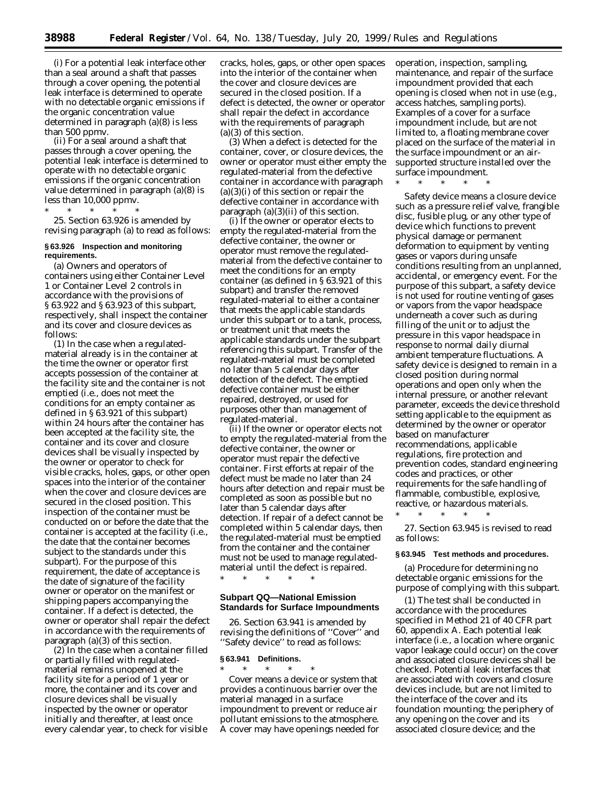(i) For a potential leak interface other than a seal around a shaft that passes through a cover opening, the potential leak interface is determined to operate with no detectable organic emissions if the organic concentration value determined in paragraph (a)(8) is less than 500 ppmv.

(ii) For a seal around a shaft that passes through a cover opening, the potential leak interface is determined to operate with no detectable organic emissions if the organic concentration value determined in paragraph (a)(8) is less than 10,000 ppmv.

\* \* \* \* \* 25. Section 63.926 is amended by revising paragraph (a) to read as follows:

# **§ 63.926 Inspection and monitoring requirements.**

(a) Owners and operators of containers using either Container Level 1 or Container Level 2 controls in accordance with the provisions of § 63.922 and § 63.923 of this subpart, respectively, shall inspect the container and its cover and closure devices as follows:

(1) In the case when a regulatedmaterial already is in the container at the time the owner or operator first accepts possession of the container at the facility site and the container is not emptied (i.e., does not meet the conditions for an empty container as defined in § 63.921 of this subpart) within 24 hours after the container has been accepted at the facility site, the container and its cover and closure devices shall be visually inspected by the owner or operator to check for visible cracks, holes, gaps, or other open spaces into the interior of the container when the cover and closure devices are secured in the closed position. This inspection of the container must be conducted on or before the date that the container is accepted at the facility (i.e., the date that the container becomes subject to the standards under this subpart). For the purpose of this requirement, the date of acceptance is the date of signature of the facility owner or operator on the manifest or shipping papers accompanying the container. If a defect is detected, the owner or operator shall repair the defect in accordance with the requirements of paragraph (a)(3) of this section.

(2) In the case when a container filled or partially filled with regulatedmaterial remains unopened at the facility site for a period of 1 year or more, the container and its cover and closure devices shall be visually inspected by the owner or operator initially and thereafter, at least once every calendar year, to check for visible

cracks, holes, gaps, or other open spaces into the interior of the container when the cover and closure devices are secured in the closed position. If a defect is detected, the owner or operator shall repair the defect in accordance with the requirements of paragraph (a)(3) of this section.

(3) When a defect is detected for the container, cover, or closure devices, the owner or operator must either empty the regulated-material from the defective container in accordance with paragraph  $(a)(3)(i)$  of this section or repair the defective container in accordance with paragraph  $(a)(3)(ii)$  of this section.

(i) If the owner or operator elects to empty the regulated-material from the defective container, the owner or operator must remove the regulatedmaterial from the defective container to meet the conditions for an empty container (as defined in § 63.921 of this subpart) and transfer the removed regulated-material to either a container that meets the applicable standards under this subpart or to a tank, process, or treatment unit that meets the applicable standards under the subpart referencing this subpart. Transfer of the regulated-material must be completed no later than 5 calendar days after detection of the defect. The emptied defective container must be either repaired, destroyed, or used for purposes other than management of regulated-material.

(ii) If the owner or operator elects not to empty the regulated-material from the defective container, the owner or operator must repair the defective container. First efforts at repair of the defect must be made no later than 24 hours after detection and repair must be completed as soon as possible but no later than 5 calendar days after detection. If repair of a defect cannot be completed within 5 calendar days, then the regulated-material must be emptied from the container and the container must not be used to manage regulatedmaterial until the defect is repaired.

\* \* \* \* \*

#### **Subpart QQ—National Emission Standards for Surface Impoundments**

26. Section 63.941 is amended by revising the definitions of ''Cover'' and ''Safety device'' to read as follows:

# **§ 63.941 Definitions.**

\* \* \* \* \* *Cover* means a device or system that provides a continuous barrier over the material managed in a surface impoundment to prevent or reduce air pollutant emissions to the atmosphere. A cover may have openings needed for operation, inspection, sampling, maintenance, and repair of the surface impoundment provided that each opening is closed when not in use (e.g., access hatches, sampling ports). Examples of a cover for a surface impoundment include, but are not limited to, a floating membrane cover placed on the surface of the material in the surface impoundment or an airsupported structure installed over the surface impoundment.

\* \* \* \* \*

*Safety device* means a closure device such as a pressure relief valve, frangible disc, fusible plug, or any other type of device which functions to prevent physical damage or permanent deformation to equipment by venting gases or vapors during unsafe conditions resulting from an unplanned, accidental, or emergency event. For the purpose of this subpart, a safety device is not used for routine venting of gases or vapors from the vapor headspace underneath a cover such as during filling of the unit or to adjust the pressure in this vapor headspace in response to normal daily diurnal ambient temperature fluctuations. A safety device is designed to remain in a closed position during normal operations and open only when the internal pressure, or another relevant parameter, exceeds the device threshold setting applicable to the equipment as determined by the owner or operator based on manufacturer recommendations, applicable regulations, fire protection and prevention codes, standard engineering codes and practices, or other requirements for the safe handling of flammable, combustible, explosive, reactive, or hazardous materials.

27. Section 63.945 is revised to read as follows:

\* \* \* \* \*

#### **§ 63.945 Test methods and procedures.**

(a) Procedure for determining no detectable organic emissions for the purpose of complying with this subpart.

(1) The test shall be conducted in accordance with the procedures specified in Method 21 of 40 CFR part 60, appendix A. Each potential leak interface (i.e., a location where organic vapor leakage could occur) on the cover and associated closure devices shall be checked. Potential leak interfaces that are associated with covers and closure devices include, but are not limited to the interface of the cover and its foundation mounting; the periphery of any opening on the cover and its associated closure device; and the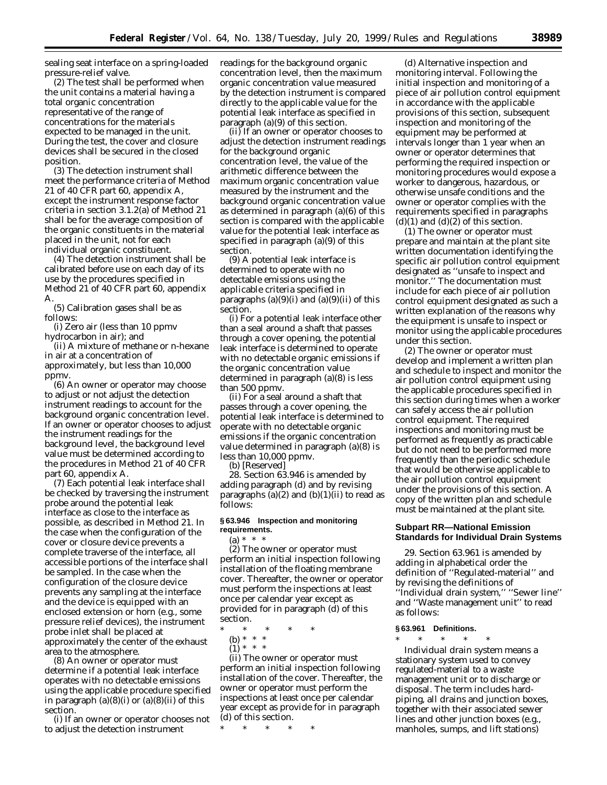sealing seat interface on a spring-loaded pressure-relief valve.

(2) The test shall be performed when the unit contains a material having a total organic concentration representative of the range of concentrations for the materials expected to be managed in the unit. During the test, the cover and closure devices shall be secured in the closed position.

(3) The detection instrument shall meet the performance criteria of Method 21 of 40 CFR part 60, appendix A, except the instrument response factor criteria in section 3.1.2(a) of Method 21 shall be for the average composition of the organic constituents in the material placed in the unit, not for each individual organic constituent.

(4) The detection instrument shall be calibrated before use on each day of its use by the procedures specified in Method 21 of 40 CFR part 60, appendix A.

(5) Calibration gases shall be as follows:

(i) Zero air (less than 10 ppmv hydrocarbon in air); and

(ii) A mixture of methane or n-hexane in air at a concentration of approximately, but less than 10,000 ppmv.

(6) An owner or operator may choose to adjust or not adjust the detection instrument readings to account for the background organic concentration level. If an owner or operator chooses to adjust the instrument readings for the background level, the background level value must be determined according to the procedures in Method 21 of 40 CFR part 60, appendix A.

(7) Each potential leak interface shall be checked by traversing the instrument probe around the potential leak interface as close to the interface as possible, as described in Method 21. In the case when the configuration of the cover or closure device prevents a complete traverse of the interface, all accessible portions of the interface shall be sampled. In the case when the configuration of the closure device prevents any sampling at the interface and the device is equipped with an enclosed extension or horn (e.g., some pressure relief devices), the instrument probe inlet shall be placed at approximately the center of the exhaust area to the atmosphere.

(8) An owner or operator must determine if a potential leak interface operates with no detectable emissions using the applicable procedure specified in paragraph  $(a)(8)(i)$  or  $(a)(8)(ii)$  of this section.

(i) If an owner or operator chooses not to adjust the detection instrument

readings for the background organic concentration level, then the maximum organic concentration value measured by the detection instrument is compared directly to the applicable value for the potential leak interface as specified in paragraph (a)(9) of this section.

(ii) If an owner or operator chooses to adjust the detection instrument readings for the background organic concentration level, the value of the arithmetic difference between the maximum organic concentration value measured by the instrument and the background organic concentration value as determined in paragraph (a)(6) of this section is compared with the applicable value for the potential leak interface as specified in paragraph (a)(9) of this section.

(9) A potential leak interface is determined to operate with no detectable emissions using the applicable criteria specified in paragraphs  $(a)(9)(i)$  and  $(a)(9)(ii)$  of this section.

(i) For a potential leak interface other than a seal around a shaft that passes through a cover opening, the potential leak interface is determined to operate with no detectable organic emissions if the organic concentration value determined in paragraph (a)(8) is less than 500 ppmv.

(ii) For a seal around a shaft that passes through a cover opening, the potential leak interface is determined to operate with no detectable organic emissions if the organic concentration value determined in paragraph (a)(8) is less than 10,000 ppmv.

(b) [Reserved]

28. Section 63.946 is amended by adding paragraph (d) and by revising paragraphs  $(a)(2)$  and  $(b)(1)(ii)$  to read as follows:

# **§ 63.946 Inspection and monitoring requirements.**

 $(a) * * * *$ 

(2) The owner or operator must perform an initial inspection following installation of the floating membrane cover. Thereafter, the owner or operator must perform the inspections at least once per calendar year except as provided for in paragraph (d) of this section.

\* \* \* \* \*

(b) \* \* \*  $(1) * * * *$ 

(ii) The owner or operator must perform an initial inspection following installation of the cover. Thereafter, the owner or operator must perform the inspections at least once per calendar year except as provide for in paragraph (d) of this section.

\* \* \* \* \*

(d) *Alternative inspection and monitoring interval.* Following the initial inspection and monitoring of a piece of air pollution control equipment in accordance with the applicable provisions of this section, subsequent inspection and monitoring of the equipment may be performed at intervals longer than 1 year when an owner or operator determines that performing the required inspection or monitoring procedures would expose a worker to dangerous, hazardous, or otherwise unsafe conditions and the owner or operator complies with the requirements specified in paragraphs  $(d)(1)$  and  $(d)(2)$  of this section.

(1) The owner or operator must prepare and maintain at the plant site written documentation identifying the specific air pollution control equipment designated as ''unsafe to inspect and monitor.'' The documentation must include for each piece of air pollution control equipment designated as such a written explanation of the reasons why the equipment is unsafe to inspect or monitor using the applicable procedures under this section.

(2) The owner or operator must develop and implement a written plan and schedule to inspect and monitor the air pollution control equipment using the applicable procedures specified in this section during times when a worker can safely access the air pollution control equipment. The required inspections and monitoring must be performed as frequently as practicable but do not need to be performed more frequently than the periodic schedule that would be otherwise applicable to the air pollution control equipment under the provisions of this section. A copy of the written plan and schedule must be maintained at the plant site.

# **Subpart RR—National Emission Standards for Individual Drain Systems**

29. Section 63.961 is amended by adding in alphabetical order the definition of ''Regulated-material'' and by revising the definitions of ''Individual drain system,'' ''Sewer line'' and ''Waste management unit'' to read as follows:

#### **§ 63.961 Definitions.**

\* \* \* \* \* *Individual drain system* means a stationary system used to convey regulated-material to a waste management unit or to discharge or disposal. The term includes hardpiping, all drains and junction boxes, together with their associated sewer lines and other junction boxes (e.g., manholes, sumps, and lift stations)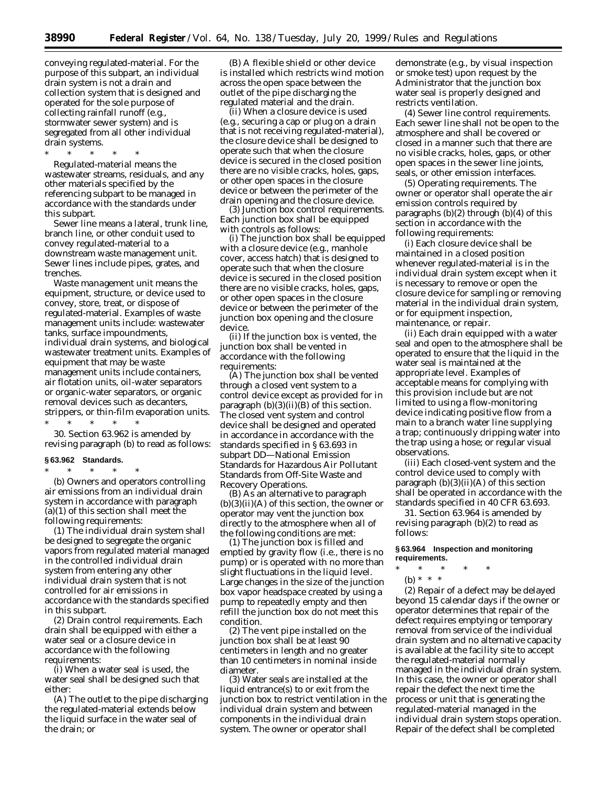**38990 Federal Register** / Vol. 64, No. 138 / Tuesday, July 20, 1999 / Rules and Regulations

conveying regulated-material. For the purpose of this subpart, an individual drain system is not a drain and collection system that is designed and operated for the sole purpose of collecting rainfall runoff (e.g., stormwater sewer system) and is segregated from all other individual drain systems.

\* \* \* \* \* *Regulated-material* means the wastewater streams, residuals, and any other materials specified by the referencing subpart to be managed in accordance with the standards under this subpart.

*Sewer line* means a lateral, trunk line, branch line, or other conduit used to convey regulated-material to a downstream waste management unit. Sewer lines include pipes, grates, and trenches.

*Waste management unit* means the equipment, structure, or device used to convey, store, treat, or dispose of regulated-material. Examples of waste management units include: wastewater tanks, surface impoundments, individual drain systems, and biological wastewater treatment units. Examples of equipment that may be waste management units include containers, air flotation units, oil-water separators or organic-water separators, or organic removal devices such as decanters, strippers, or thin-film evaporation units. \* \* \* \* \*

30. Section 63.962 is amended by revising paragraph (b) to read as follows:

#### **§ 63.962 Standards.**

\* \* \* \* \* (b) Owners and operators controlling air emissions from an individual drain system in accordance with paragraph (a)(1) of this section shall meet the following requirements:

(1) The individual drain system shall be designed to segregate the organic vapors from regulated material managed in the controlled individual drain system from entering any other individual drain system that is not controlled for air emissions in accordance with the standards specified in this subpart.

(2) *Drain control requirements.* Each drain shall be equipped with either a water seal or a closure device in accordance with the following requirements:

(i) When a water seal is used, the water seal shall be designed such that either:

(A) The outlet to the pipe discharging the regulated-material extends below the liquid surface in the water seal of the drain; or

(B) A flexible shield or other device is installed which restricts wind motion across the open space between the outlet of the pipe discharging the regulated material and the drain.

(ii) When a closure device is used (e.g., securing a cap or plug on a drain that is not receiving regulated-material), the closure device shall be designed to operate such that when the closure device is secured in the closed position there are no visible cracks, holes, gaps, or other open spaces in the closure device or between the perimeter of the drain opening and the closure device.

(3) *Junction box control requirements.* Each junction box shall be equipped with controls as follows:

(i) The junction box shall be equipped with a closure device (e.g., manhole cover, access hatch) that is designed to operate such that when the closure device is secured in the closed position there are no visible cracks, holes, gaps, or other open spaces in the closure device or between the perimeter of the junction box opening and the closure device.

(ii) If the junction box is vented, the junction box shall be vented in accordance with the following requirements:

(A) The junction box shall be vented through a closed vent system to a control device except as provided for in paragraph  $(b)(3)(ii)(B)$  of this section. The closed vent system and control device shall be designed and operated in accordance in accordance with the standards specified in § 63.693 in subpart DD—National Emission Standards for Hazardous Air Pollutant Standards from Off-Site Waste and Recovery Operations.

(B) As an alternative to paragraph  $(b)(3)(ii)(A)$  of this section, the owner or operator may vent the junction box directly to the atmosphere when all of the following conditions are met:

(*1*) The junction box is filled and emptied by gravity flow (i.e., there is no pump) or is operated with no more than slight fluctuations in the liquid level. Large changes in the size of the junction box vapor headspace created by using a pump to repeatedly empty and then refill the junction box do not meet this condition.

(*2*) The vent pipe installed on the junction box shall be at least 90 centimeters in length and no greater than 10 centimeters in nominal inside diameter.

(*3*) Water seals are installed at the liquid entrance(s) to or exit from the junction box to restrict ventilation in the individual drain system and between components in the individual drain system. The owner or operator shall

demonstrate (e.g., by visual inspection or smoke test) upon request by the Administrator that the junction box water seal is properly designed and restricts ventilation.

(4) *Sewer line control requirements.* Each sewer line shall not be open to the atmosphere and shall be covered or closed in a manner such that there are no visible cracks, holes, gaps, or other open spaces in the sewer line joints, seals, or other emission interfaces.

(5) *Operating requirements.* The owner or operator shall operate the air emission controls required by paragraphs (b)(2) through (b)(4) of this section in accordance with the following requirements:

(i) Each closure device shall be maintained in a closed position whenever regulated-material is in the individual drain system except when it is necessary to remove or open the closure device for sampling or removing material in the individual drain system, or for equipment inspection, maintenance, or repair.

(ii) Each drain equipped with a water seal and open to the atmosphere shall be operated to ensure that the liquid in the water seal is maintained at the appropriate level. Examples of acceptable means for complying with this provision include but are not limited to using a flow-monitoring device indicating positive flow from a main to a branch water line supplying a trap; continuously dripping water into the trap using a hose; or regular visual observations.

(iii) Each closed-vent system and the control device used to comply with paragraph  $(b)(3)(ii)(A)$  of this section shall be operated in accordance with the standards specified in 40 CFR 63.693.

31. Section 63.964 is amended by revising paragraph (b)(2) to read as follows:

### **§ 63.964 Inspection and monitoring requirements.**

- \* \* \* \* \*
- (b) \* \* \*

(2) Repair of a defect may be delayed beyond 15 calendar days if the owner or operator determines that repair of the defect requires emptying or temporary removal from service of the individual drain system and no alternative capacity is available at the facility site to accept the regulated-material normally managed in the individual drain system. In this case, the owner or operator shall repair the defect the next time the process or unit that is generating the regulated-material managed in the individual drain system stops operation. Repair of the defect shall be completed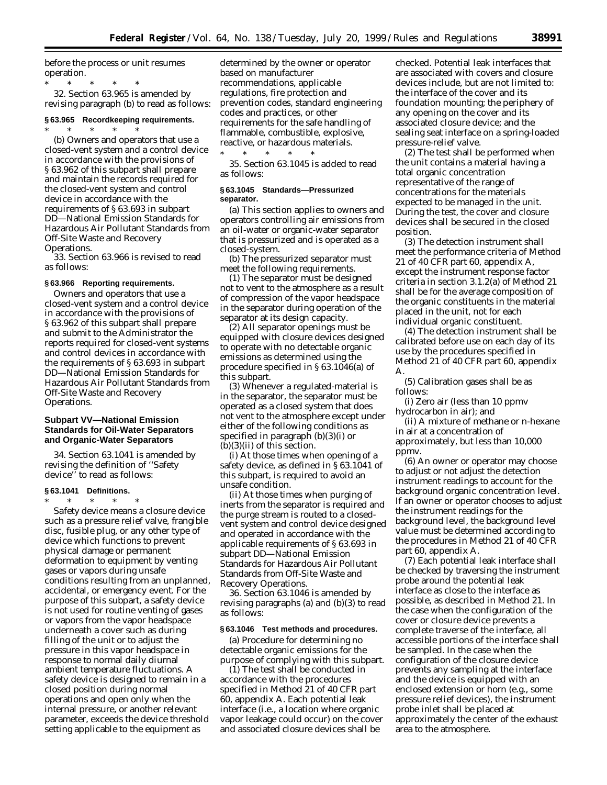before the process or unit resumes operation.

\* \* \* \* \* 32. Section 63.965 is amended by revising paragraph (b) to read as follows:

# **§ 63.965 Recordkeeping requirements.**

\* \* \* \* \* (b) Owners and operators that use a closed-vent system and a control device in accordance with the provisions of § 63.962 of this subpart shall prepare and maintain the records required for the closed-vent system and control device in accordance with the requirements of § 63.693 in subpart DD—National Emission Standards for Hazardous Air Pollutant Standards from Off-Site Waste and Recovery Operations.

33. Section 63.966 is revised to read as follows:

#### **§ 63.966 Reporting requirements.**

Owners and operators that use a closed-vent system and a control device in accordance with the provisions of § 63.962 of this subpart shall prepare and submit to the Administrator the reports required for closed-vent systems and control devices in accordance with the requirements of § 63.693 in subpart DD—National Emission Standards for Hazardous Air Pollutant Standards from Off-Site Waste and Recovery Operations.

# **Subpart VV—National Emission Standards for Oil-Water Separators and Organic-Water Separators**

34. Section 63.1041 is amended by revising the definition of ''Safety device'' to read as follows:

# **§ 63.1041 Definitions.**

\* \* \* \* \* *Safety device* means a closure device such as a pressure relief valve, frangible disc, fusible plug, or any other type of device which functions to prevent physical damage or permanent deformation to equipment by venting gases or vapors during unsafe conditions resulting from an unplanned, accidental, or emergency event. For the purpose of this subpart, a safety device is not used for routine venting of gases or vapors from the vapor headspace underneath a cover such as during filling of the unit or to adjust the pressure in this vapor headspace in response to normal daily diurnal ambient temperature fluctuations. A safety device is designed to remain in a closed position during normal operations and open only when the internal pressure, or another relevant parameter, exceeds the device threshold setting applicable to the equipment as

determined by the owner or operator based on manufacturer recommendations, applicable regulations, fire protection and prevention codes, standard engineering codes and practices, or other requirements for the safe handling of flammable, combustible, explosive, reactive, or hazardous materials.

\* \* \* \* \* 35. Section 63.1045 is added to read as follows:

# **§ 63.1045 Standards—Pressurized separator.**

(a) This section applies to owners and operators controlling air emissions from an oil-water or organic-water separator that is pressurized and is operated as a closed-system.

(b) The pressurized separator must meet the following requirements.

(1) The separator must be designed not to vent to the atmosphere as a result of compression of the vapor headspace in the separator during operation of the separator at its design capacity.

(2) All separator openings must be equipped with closure devices designed to operate with no detectable organic emissions as determined using the procedure specified in § 63.1046(a) of this subpart.

(3) Whenever a regulated-material is in the separator, the separator must be operated as a closed system that does not vent to the atmosphere except under either of the following conditions as specified in paragraph (b)(3)(i) or  $(b)(3)(ii)$  of this section.

(i) At those times when opening of a safety device, as defined in § 63.1041 of this subpart, is required to avoid an unsafe condition.

(ii) At those times when purging of inerts from the separator is required and the purge stream is routed to a closedvent system and control device designed and operated in accordance with the applicable requirements of § 63.693 in subpart DD—National Emission Standards for Hazardous Air Pollutant Standards from Off-Site Waste and Recovery Operations.

36. Section 63.1046 is amended by revising paragraphs (a) and (b)(3) to read as follows:

# **§ 63.1046 Test methods and procedures.**

(a) Procedure for determining no detectable organic emissions for the purpose of complying with this subpart.

(1) The test shall be conducted in accordance with the procedures specified in Method 21 of 40 CFR part 60, appendix A. Each potential leak interface (i.e., a location where organic vapor leakage could occur) on the cover and associated closure devices shall be

checked. Potential leak interfaces that are associated with covers and closure devices include, but are not limited to: the interface of the cover and its foundation mounting; the periphery of any opening on the cover and its associated closure device; and the sealing seat interface on a spring-loaded pressure-relief valve.

(2) The test shall be performed when the unit contains a material having a total organic concentration representative of the range of concentrations for the materials expected to be managed in the unit. During the test, the cover and closure devices shall be secured in the closed position.

(3) The detection instrument shall meet the performance criteria of Method 21 of 40 CFR part 60, appendix A, except the instrument response factor criteria in section 3.1.2(a) of Method 21 shall be for the average composition of the organic constituents in the material placed in the unit, not for each individual organic constituent.

(4) The detection instrument shall be calibrated before use on each day of its use by the procedures specified in Method 21 of 40 CFR part 60, appendix A.

(5) Calibration gases shall be as follows:

(i) Zero air (less than 10 ppmv hydrocarbon in air); and

(ii) A mixture of methane or n-hexane in air at a concentration of approximately, but less than 10,000 ppmv.

(6) An owner or operator may choose to adjust or not adjust the detection instrument readings to account for the background organic concentration level. If an owner or operator chooses to adjust the instrument readings for the background level, the background level value must be determined according to the procedures in Method 21 of 40 CFR part 60, appendix A.

(7) Each potential leak interface shall be checked by traversing the instrument probe around the potential leak interface as close to the interface as possible, as described in Method 21. In the case when the configuration of the cover or closure device prevents a complete traverse of the interface, all accessible portions of the interface shall be sampled. In the case when the configuration of the closure device prevents any sampling at the interface and the device is equipped with an enclosed extension or horn (e.g., some pressure relief devices), the instrument probe inlet shall be placed at approximately the center of the exhaust area to the atmosphere.